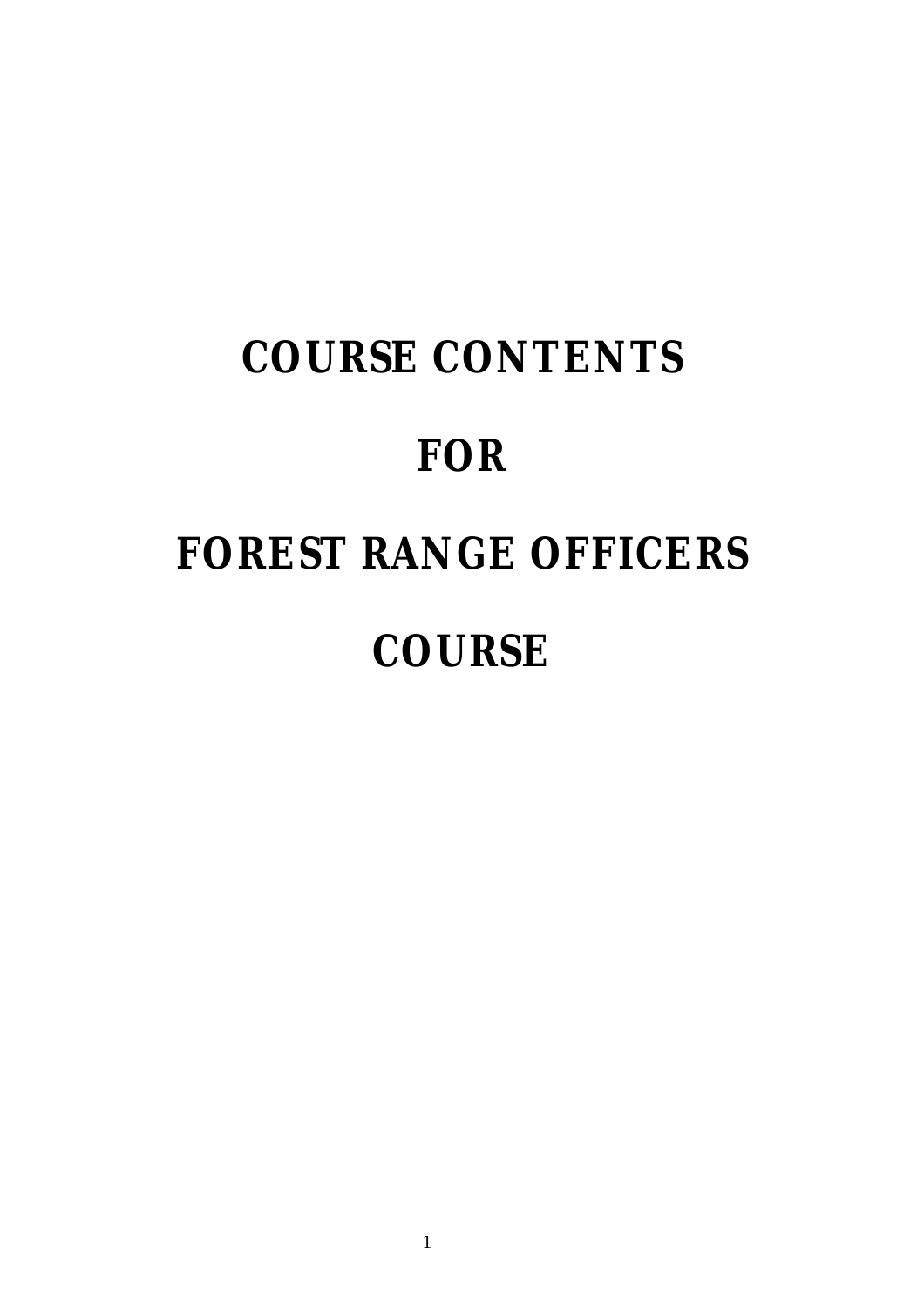# **COURSE CONTENTS FOR**

# **FOREST RANGE OFFICERS**

# **COURSE**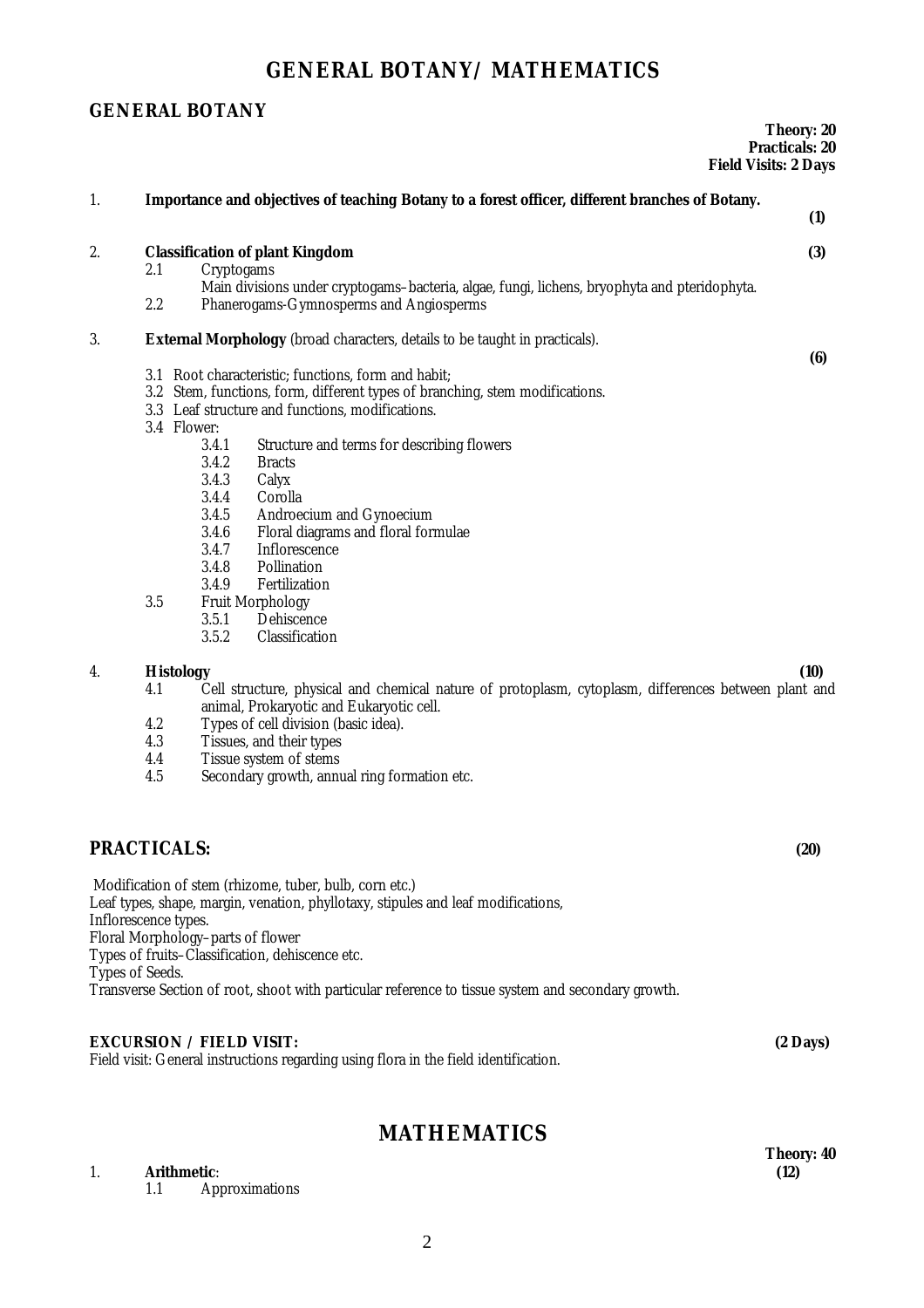# **GENERAL BOTANY/ MATHEMATICS**

### **GENERAL BOTANY**

|                        |            | <b>Field Visits: 2 Days</b>                                                                                                                 | <b>Theory: 20</b><br><b>Practicals: 20</b> |
|------------------------|------------|---------------------------------------------------------------------------------------------------------------------------------------------|--------------------------------------------|
| 1.                     |            | Importance and objectives of teaching Botany to a forest officer, different branches of Botany.                                             |                                            |
|                        |            |                                                                                                                                             | (1)                                        |
| 2.                     |            | <b>Classification of plant Kingdom</b>                                                                                                      | (3)                                        |
|                        | 2.1        | Cryptogams<br>Main divisions under cryptogams-bacteria, algae, fungi, lichens, bryophyta and pteridophyta.                                  |                                            |
|                        | 2.2        | Phanerogams-Gymnosperms and Angiosperms                                                                                                     |                                            |
| 3.                     |            | External Morphology (broad characters, details to be taught in practicals).                                                                 | (6)                                        |
|                        |            | 3.1 Root characteristic; functions, form and habit;                                                                                         |                                            |
|                        |            | 3.2 Stem, functions, form, different types of branching, stem modifications.                                                                |                                            |
|                        |            | 3.3 Leaf structure and functions, modifications.<br>3.4 Flower:                                                                             |                                            |
|                        |            | 3.4.1<br>Structure and terms for describing flowers                                                                                         |                                            |
|                        |            | 3.4.2<br><b>Bracts</b>                                                                                                                      |                                            |
|                        |            | 3.4.3<br>Calyx<br>3.4.4<br>Corolla                                                                                                          |                                            |
|                        |            | 3.4.5<br>Androecium and Gynoecium                                                                                                           |                                            |
|                        |            | Floral diagrams and floral formulae<br>3.4.6                                                                                                |                                            |
|                        |            | 3.4.7<br>Inflorescence                                                                                                                      |                                            |
|                        |            | 3.4.8<br>Pollination                                                                                                                        |                                            |
|                        | 3.5        | 3.4.9<br>Fertilization<br><b>Fruit Morphology</b>                                                                                           |                                            |
|                        |            | 3.5.1<br>Dehiscence                                                                                                                         |                                            |
|                        |            | 3.5.2<br>Classification                                                                                                                     |                                            |
| 4.                     |            | <b>Histology</b>                                                                                                                            | (10)                                       |
|                        | 4.1        | Cell structure, physical and chemical nature of protoplasm, cytoplasm, differences between plant and                                        |                                            |
|                        |            | animal, Prokaryotic and Eukaryotic cell.                                                                                                    |                                            |
|                        | 4.2        | Types of cell division (basic idea).                                                                                                        |                                            |
|                        | 4.3<br>4.4 | Tissues, and their types<br>Tissue system of stems                                                                                          |                                            |
|                        | 4.5        | Secondary growth, annual ring formation etc.                                                                                                |                                            |
|                        |            |                                                                                                                                             |                                            |
| <b>PRACTICALS:</b>     |            |                                                                                                                                             | (20)                                       |
|                        |            |                                                                                                                                             |                                            |
|                        |            | Modification of stem (rhizome, tuber, bulb, corn etc.)<br>Leaf types, shape, margin, venation, phyllotaxy, stipules and leaf modifications, |                                            |
| Inflorescence types.   |            |                                                                                                                                             |                                            |
|                        |            | Floral Morphology-parts of flower                                                                                                           |                                            |
|                        |            | Types of fruits-Classification, dehiscence etc.                                                                                             |                                            |
| <b>Types of Seeds.</b> |            | Transverse Section of root, shoot with particular reference to tissue system and secondary growth.                                          |                                            |
|                        |            |                                                                                                                                             |                                            |
|                        |            | <b>EXCURSION / FIELD VISIT:</b>                                                                                                             | $(2 \text{ Days})$                         |
|                        |            | Field visit: General instructions regarding using flora in the field identification.                                                        |                                            |
|                        |            |                                                                                                                                             |                                            |
|                        |            |                                                                                                                                             |                                            |

# **MATHEMATICS**

- 1. **Arithmetic: 1.1** App
	- **Approximations**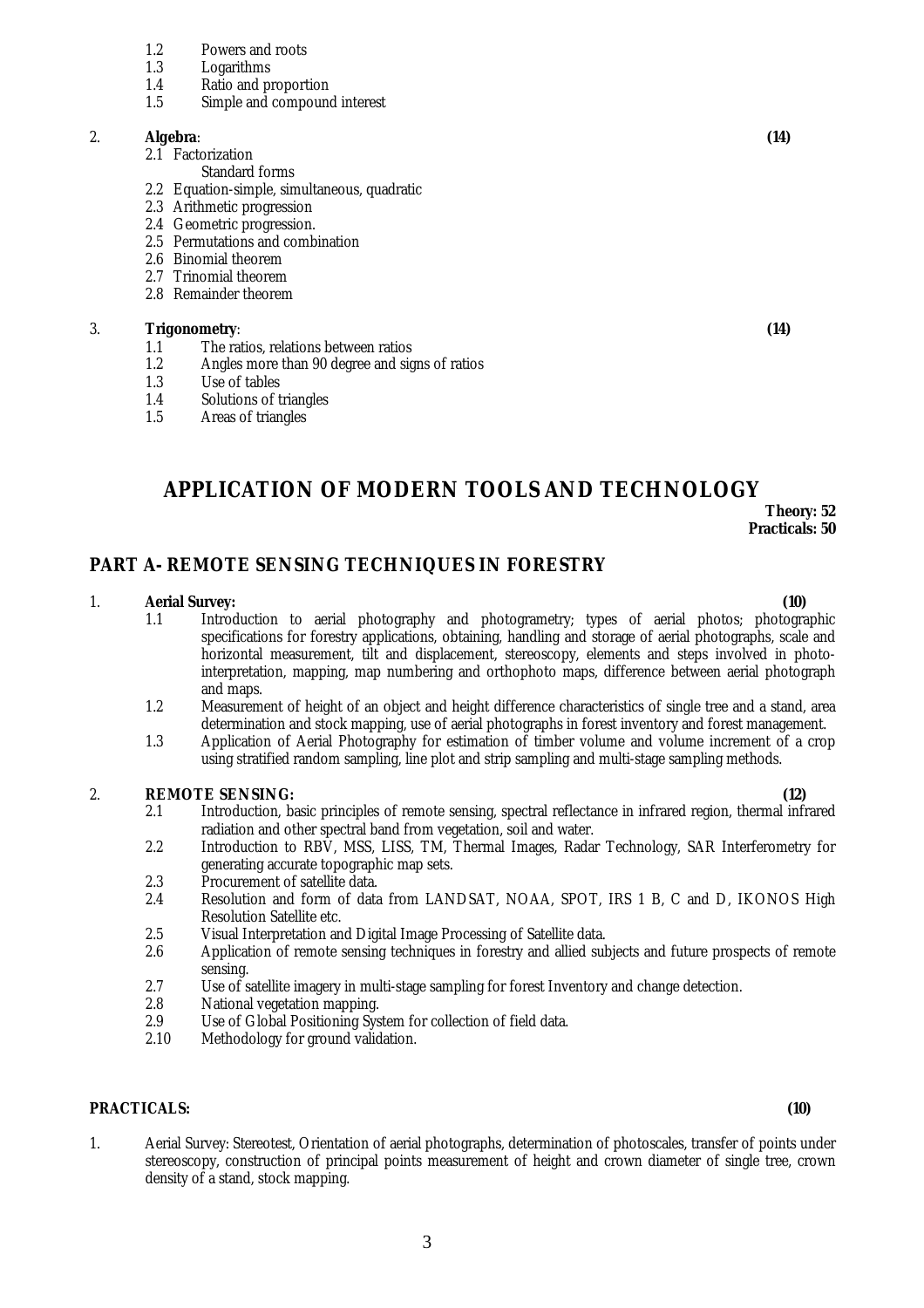- 1.3 Logarithms<br>1.4 Ratio and m
- 1.4 Ratio and proportion<br>1.5 Simple and compound

### Simple and compound interest

### 2. **Algebra**: **(14)**

- 2.1 Factorization
- Standard forms
- 2.2 Equation-simple, simultaneous, quadratic
- 2.3 Arithmetic progression
- 2.4 Geometric progression.
- 2.5 Permutations and combination
- 2.6 Binomial theorem
- 2.7 Trinomial theorem
- 2.8 Remainder theorem

### 3. **Trigonometry**: **(14)**

- 1.1 The ratios, relations between ratios<br>1.2 Angles more than 90 degree and signal
- 1.2 Angles more than 90 degree and signs of ratios<br>1.3 Use of tables
- 1.3 Use of tables<br>1.4 Solutions of t
- Solutions of triangles
- 1.5 Areas of triangles

### **APPLICATION OF MODERN TOOLS AND TECHNOLOGY Theory: 52 Practicals: 50**

### **PART A- REMOTE SENSING TECHNIQUES IN FORESTRY**

### 1. **Aerial Survey: (10)**

- 1.1 Introduction to aerial photography and photogrametry; types of aerial photos; photographic specifications for forestry applications, obtaining, handling and storage of aerial photographs, scale and horizontal measurement, tilt and displacement, stereoscopy, elements and steps involved in photointerpretation, mapping, map numbering and orthophoto maps, difference between aerial photograph and maps.
- 1.2 Measurement of height of an object and height difference characteristics of single tree and a stand, area determination and stock mapping, use of aerial photographs in forest inventory and forest management.
- 1.3 Application of Aerial Photography for estimation of timber volume and volume increment of a crop using stratified random sampling, line plot and strip sampling and multi-stage sampling methods.

### 2. **REMOTE SENSING: (12)**

- 2.1 Introduction, basic principles of remote sensing, spectral reflectance in infrared region, thermal infrared radiation and other spectral band from vegetation, soil and water.
- 2.2 Introduction to RBV, MSS, LISS, TM, Thermal Images, Radar Technology, SAR Interferometry for generating accurate topographic map sets.
- 2.3 Procurement of satellite data.
- 2.4 Resolution and form of data from LANDSAT, NOAA, SPOT, IRS 1 B, C and D, IKONOS High Resolution Satellite etc.
- 2.5 Visual Interpretation and Digital Image Processing of Satellite data.
- 2.6 Application of remote sensing techniques in forestry and allied subjects and future prospects of remote sensing.
- 2.7 Use of satellite imagery in multi-stage sampling for forest Inventory and change detection.
- 2.8 National vegetation mapping.
- 2.9 Use of Global Positioning System for collection of field data.
- 2.10 Methodology for ground validation.

### **PRACTICALS: (10)**

1. Aerial Survey: Stereotest, Orientation of aerial photographs, determination of photoscales, transfer of points under stereoscopy, construction of principal points measurement of height and crown diameter of single tree, crown density of a stand, stock mapping.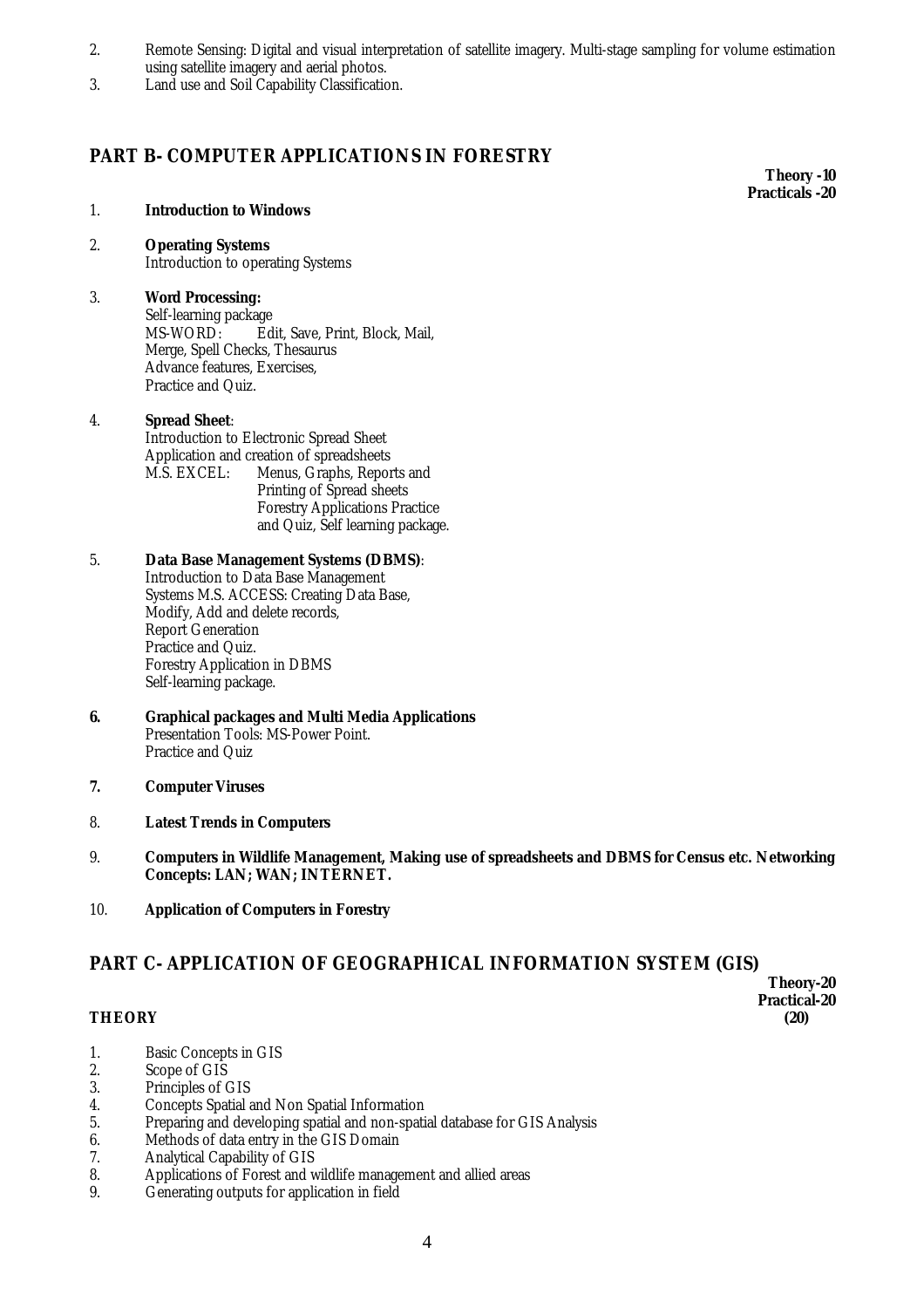- 2. Remote Sensing: Digital and visual interpretation of satellite imagery. Multi-stage sampling for volume estimation using satellite imagery and aerial photos.
- 3. Land use and Soil Capability Classification.

### **PART B- COMPUTER APPLICATIONS IN FORESTRY**

1. **Introduction to Windows**

# 2. **Operating Systems**

# Introduction to operating Systems

3. **Word Processing:** Self-learning package<br>MS-WORD: Ed Edit, Save, Print, Block, Mail. Merge, Spell Checks, Thesaurus Advance features, Exercises, Practice and Quiz.

### 4. **Spread Sheet**:

Introduction to Electronic Spread Sheet Application and creation of spreadsheets M.S. EXCEL: Menus, Graphs, Reports and Printing of Spread sheets Forestry Applications Practice and Quiz, Self learning package.

### 5. **Data Base Management Systems (DBMS)**: Introduction to Data Base Management Systems M.S. ACCESS: Creating Data Base, Modify, Add and delete records, Report Generation Practice and Quiz. Forestry Application in DBMS Self-learning package.

### **6. Graphical packages and Multi Media Applications** Presentation Tools: MS-Power Point. Practice and Quiz

- **7. Computer Viruses**
- 8. **Latest Trends in Computers**
- 9. **Computers in Wildlife Management, Making use of spreadsheets and DBMS for Census etc. Networking Concepts: LAN; WAN; INTERNET.**
- 10. **Application of Computers in Forestry**

### **PART C- APPLICATION OF GEOGRAPHICAL INFORMATION SYSTEM (GIS)**

### **THEORY (20)**

- 1. Basic Concepts in GIS<br>2. Scope of GIS
- Scope of GIS
- 3. Principles of GIS
- 4. Concepts Spatial and Non Spatial Information
- 5. Preparing and developing spatial and non-spatial database for GIS Analysis
- 6. Methods of data entry in the GIS Domain
- 7. Analytical Capability of GIS
- 8. Applications of Forest and wildlife management and allied areas
- 9. Generating outputs for application in field

**Theory -10 Practicals -20**

> **Theory-20 Practical-20**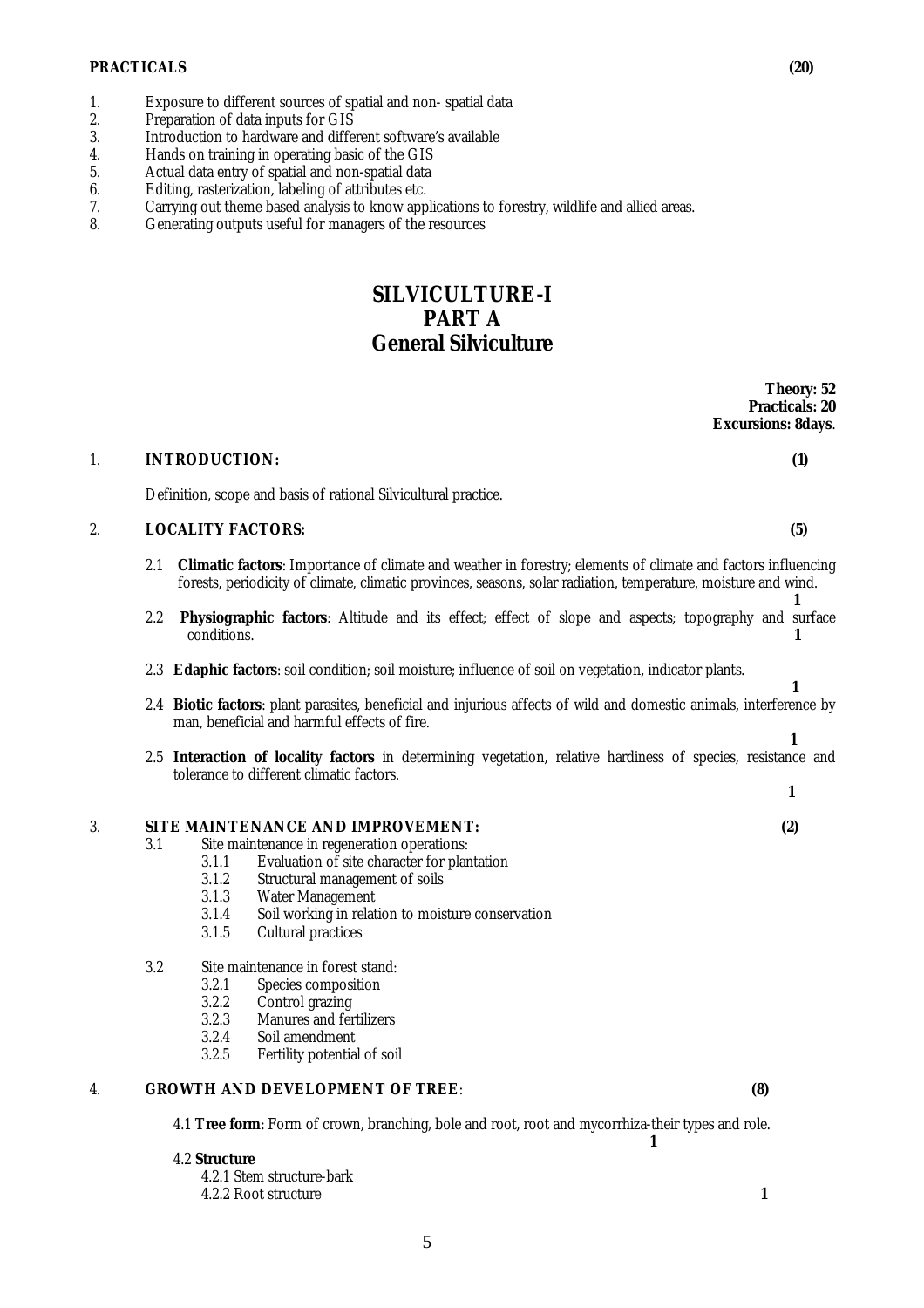- 1. Exposure to different sources of spatial and non-spatial data<br>2. Preparation of data inputs for GIS
- 2. Preparation of data inputs for GIS<br>3. Introduction to hardware and diffe
- 3. Introduction to hardware and different software's available
- 4. Hands on training in operating basic of the GIS
- 5. Actual data entry of spatial and non-spatial data
- 6. Editing, rasterization, labeling of attributes etc.
- 7. Carrying out theme based analysis to know applications to forestry, wildlife and allied areas.
- 8. Generating outputs useful for managers of the resources

### **SILVICULTURE-I PART A General Silviculture**

**Theory: 52 Practicals: 20 Excursions: 8days**. 1. **INTRODUCTION: (1)** Definition, scope and basis of rational Silvicultural practice. 2. **LOCALITY FACTORS: (5)** 2.1 **Climatic factors**: Importance of climate and weather in forestry; elements of climate and factors influencing forests, periodicity of climate, climatic provinces, seasons, solar radiation, temperature, moisture and wind.  **1** 2.2 **Physiographic factors**: Altitude and its effect; effect of slope and aspects; topography and surface conditions. **1** 2.3 **Edaphic factors**: soil condition; soil moisture; influence of soil on vegetation, indicator plants. **1** 2.4 **Biotic factors**: plant parasites, beneficial and injurious affects of wild and domestic animals, interference by man, beneficial and harmful effects of fire. **1** 2.5 **Interaction of locality factors** in determining vegetation, relative hardiness of species, resistance and tolerance to different climatic factors. **1** 3. **SITE MAINTENANCE AND IMPROVEMENT: (2)** 3.1 Site maintenance in regeneration operations: 3.1.1 Evaluation of site character for plantation 3.1.2 Structural management of soils 3.1.3 Water Management 3.1.4 Soil working in relation to moisture conservation 3.1.5 Cultural practices 3.2 Site maintenance in forest stand: 3.2.1 Species composition 3.2.2 Control grazing 3.2.3 Manures and fertilizers 3.2.4 Soil amendment 3.2.5 Fertility potential of soil 4. **GROWTH AND DEVELOPMENT OF TREE**: **(8)** 4.1 **Tree form**: Form of crown, branching, bole and root, root and mycorrhiza-their types and role. **1**

### 4.2 **Structure**

4.2.1 Stem structure-bark 4.2.2 Root structure **1**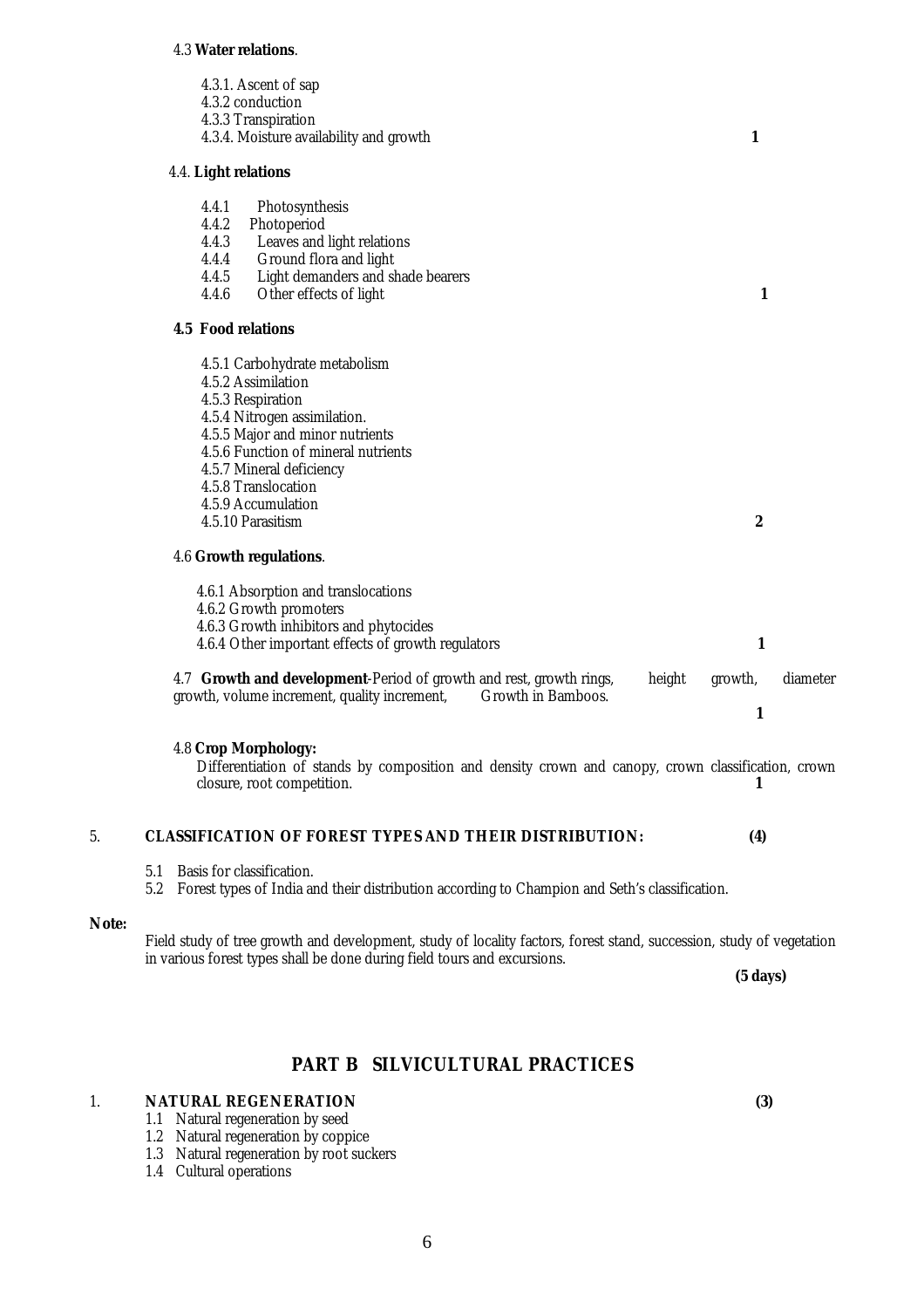### 4.3 **Water relations**.

| 4.3.1. Ascent of sap                                                |        |         |          |
|---------------------------------------------------------------------|--------|---------|----------|
| 4.3.2 conduction                                                    |        |         |          |
| 4.3.3 Transpiration                                                 |        |         |          |
| 4.3.4. Moisture availability and growth                             |        | 1       |          |
| 4.4. Light relations                                                |        |         |          |
| 4.4.1<br>Photosynthesis                                             |        |         |          |
| 4.4.2<br>Photoperiod                                                |        |         |          |
| 4.4.3<br>Leaves and light relations                                 |        |         |          |
| Ground flora and light<br>4.4.4                                     |        |         |          |
| Light demanders and shade bearers<br>4.4.5                          |        |         |          |
| Other effects of light<br>4.4.6                                     |        | 1       |          |
| <b>4.5 Food relations</b>                                           |        |         |          |
| 4.5.1 Carbohydrate metabolism                                       |        |         |          |
| 4.5.2 Assimilation                                                  |        |         |          |
| 4.5.3 Respiration                                                   |        |         |          |
| 4.5.4 Nitrogen assimilation.                                        |        |         |          |
| 4.5.5 Major and minor nutrients                                     |        |         |          |
| 4.5.6 Function of mineral nutrients                                 |        |         |          |
| 4.5.7 Mineral deficiency                                            |        |         |          |
| 4.5.8 Translocation                                                 |        |         |          |
| 4.5.9 Accumulation                                                  |        |         |          |
| 4.5.10 Parasitism                                                   |        | 2       |          |
| 4.6 Growth regulations.                                             |        |         |          |
| 4.6.1 Absorption and translocations                                 |        |         |          |
| 4.6.2 Growth promoters                                              |        |         |          |
| 4.6.3 Growth inhibitors and phytocides                              |        |         |          |
| 4.6.4 Other important effects of growth regulators                  |        | 1       |          |
| 4.7 Growth and development-Period of growth and rest, growth rings, | height | growth, | diameter |
| growth, volume increment, quality increment,<br>Growth in Bamboos.  |        |         |          |
|                                                                     |        | 1       |          |

### 4.8 **Crop Morphology:**

Differentiation of stands by composition and density crown and canopy, crown classification, crown closure, root competition. **1** 

### 5. **CLASSIFICATION OF FOREST TYPES AND THEIR DISTRIBUTION: (4)**

5.1 Basis for classification.

5.2 Forest types of India and their distribution according to Champion and Seth's classification.

### **Note:**

Field study of tree growth and development, study of locality factors, forest stand, succession, study of vegetation in various forest types shall be done during field tours and excursions.

**(5 days)**

### **PART B SILVICULTURAL PRACTICES**

### 1. **NATURAL REGENERATION (3)**

- 1.1 Natural regeneration by seed
- 1.2 Natural regeneration by coppice
- 1.3 Natural regeneration by root suckers
- 1.4 Cultural operations

6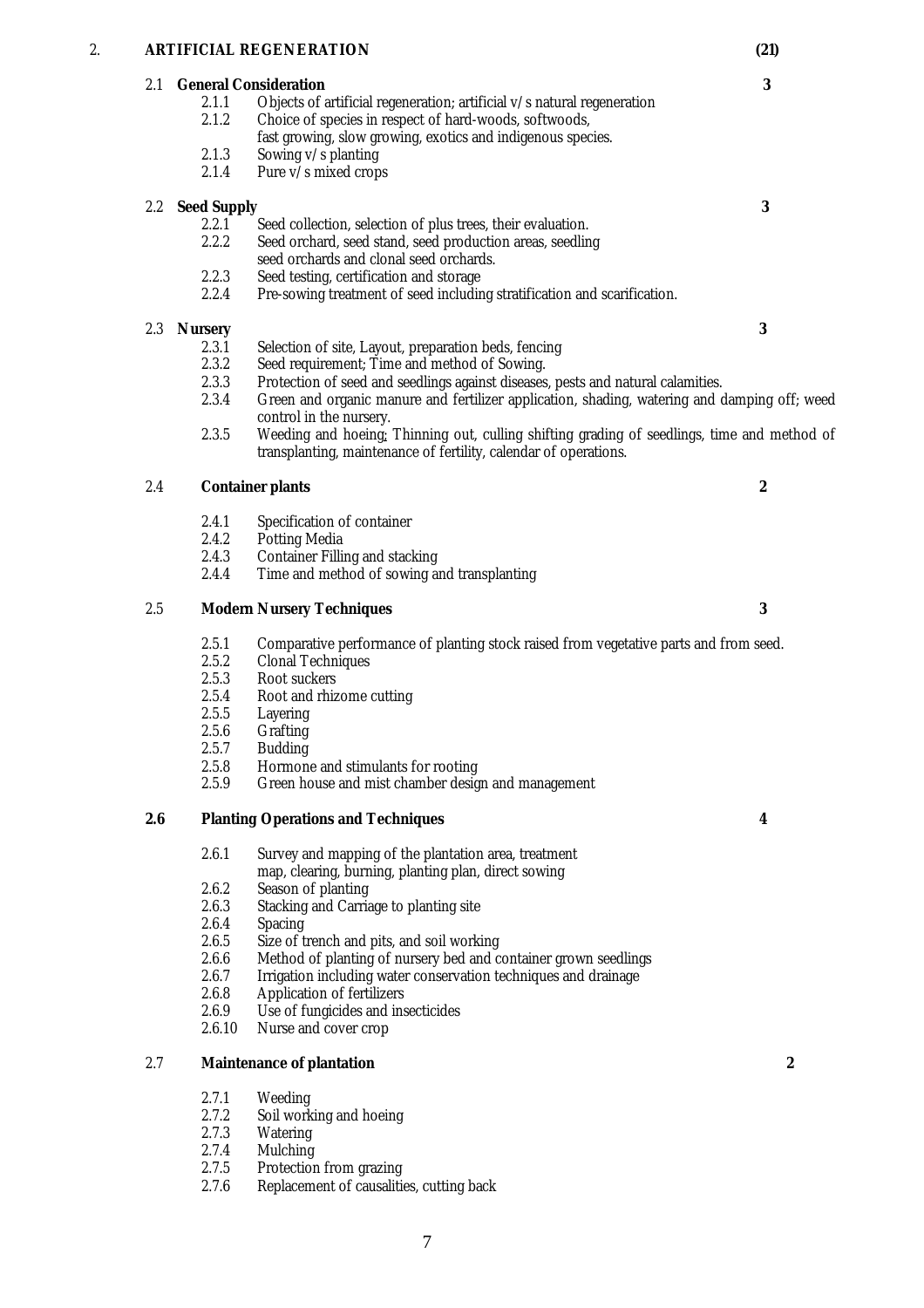### 2. **ARTIFICIAL REGENERATION (21)**

- 2.1 **General Consideration 3** 2.1.1 Objects of artificial regeneration; artificial  $v/s$  natural regeneration<br>2.1.2 Choice of species in respect of hard-woods, softwoods.
	- Choice of species in respect of hard-woods, softwoods,
		- fast growing, slow growing, exotics and indigenous species.
	- 2.1.3 Sowing  $v/s$  planting<br>2.1.4 Pure  $v/s$  mixed crop
	- Pure  $v/s$  mixed crops

- 2.2 **Seed Supply** 3<br>2.2.1 Seed collection, selection of plus trees, their evaluation. 2.2.1<sup>7</sup> Seed collection, selection of plus trees, their evaluation.<br>2.2.2 Seed orchard, seed stand, seed production areas, seedlin
	- Seed orchard, seed stand, seed production areas, seedling
	- seed orchards and clonal seed orchards.
	- 2.2.3 Seed testing, certification and storage<br>2.2.4 Pre-sowing treatment of seed including
	- Pre-sowing treatment of seed including stratification and scarification.

- 2.3 **Nursery** 2.3.1 Selection of site. Lavout, preparation beds, fencing 2.3.1 Selection of site. Lavout, preparation beds, fencing 2.3.1 Selection of site, Layout, preparation beds, fencing<br>2.3.2 Seed requirement: Time and method of Sowing.
	- 2.3.2 Seed requirement; Time and method of Sowing.<br>2.3.3 Protection of seed and seedlings against diseases
	- 2.3.3 Protection of seed and seedlings against diseases, pests and natural calamities.<br>2.3.4 Green and organic manure and fertilizer application, shading, watering and c
	- 2.3.4 Green and organic manure and fertilizer application, shading, watering and damping off; weed control in the nursery.
	- 2.3.5 Weeding and hoeing; Thinning out, culling shifting grading of seedlings, time and method of transplanting, maintenance of fertility, calendar of operations.

### 2.4 **Container plants 2**

- 2.4.1 Specification of container<br>2.4.2 Potting Media
- 2.4.2 Potting Media<br>2.4.3 Container Filli
- 2.4.3 Container Filling and stacking<br>2.4.4 Time and method of sowing a
- Time and method of sowing and transplanting

### 2.5 **Modern Nursery Techniques 3**

- 2.5.1 Comparative performance of planting stock raised from vegetative parts and from seed.<br>2.5.2 Clonal Techniques
- 2.5.2 Clonal Techniques<br>2.5.3 Root suckers
- Root suckers
- 2.5.4 Root and rhizome cutting
- 2.5.5 Layering
- 2.5.6 Grafting
- 2.5.7 Budding
- 2.5.8 Hormone and stimulants for rooting<br>2.5.9 Green house and mist chamber design
- Green house and mist chamber design and management

### **2.6 Planting Operations and Techniques 4**

- 2.6.1 Survey and mapping of the plantation area, treatment
	- map, clearing, burning, planting plan, direct sowing
- 2.6.2 Season of planting
- 2.6.3 Stacking and Carriage to planting site
- 2.6.4 Spacing
- 2.6.5 Size of trench and pits, and soil working
- 2.6.6 Method of planting of nursery bed and container grown seedlings
- 2.6.7 Irrigation including water conservation techniques and drainage
- 2.6.8 Application of fertilizers
- 2.6.9 Use of fungicides and insecticides
- 2.6.10 Nurse and cover crop

### 2.7 **Maintenance of plantation 2**

- 2.7.1 Weeding
- 2.7.2 Soil working and hoeing
- 2.7.3 Watering
- 2.7.4 Mulching
- 2.7.5 Protection from grazing
- 2.7.6 Replacement of causalities, cutting back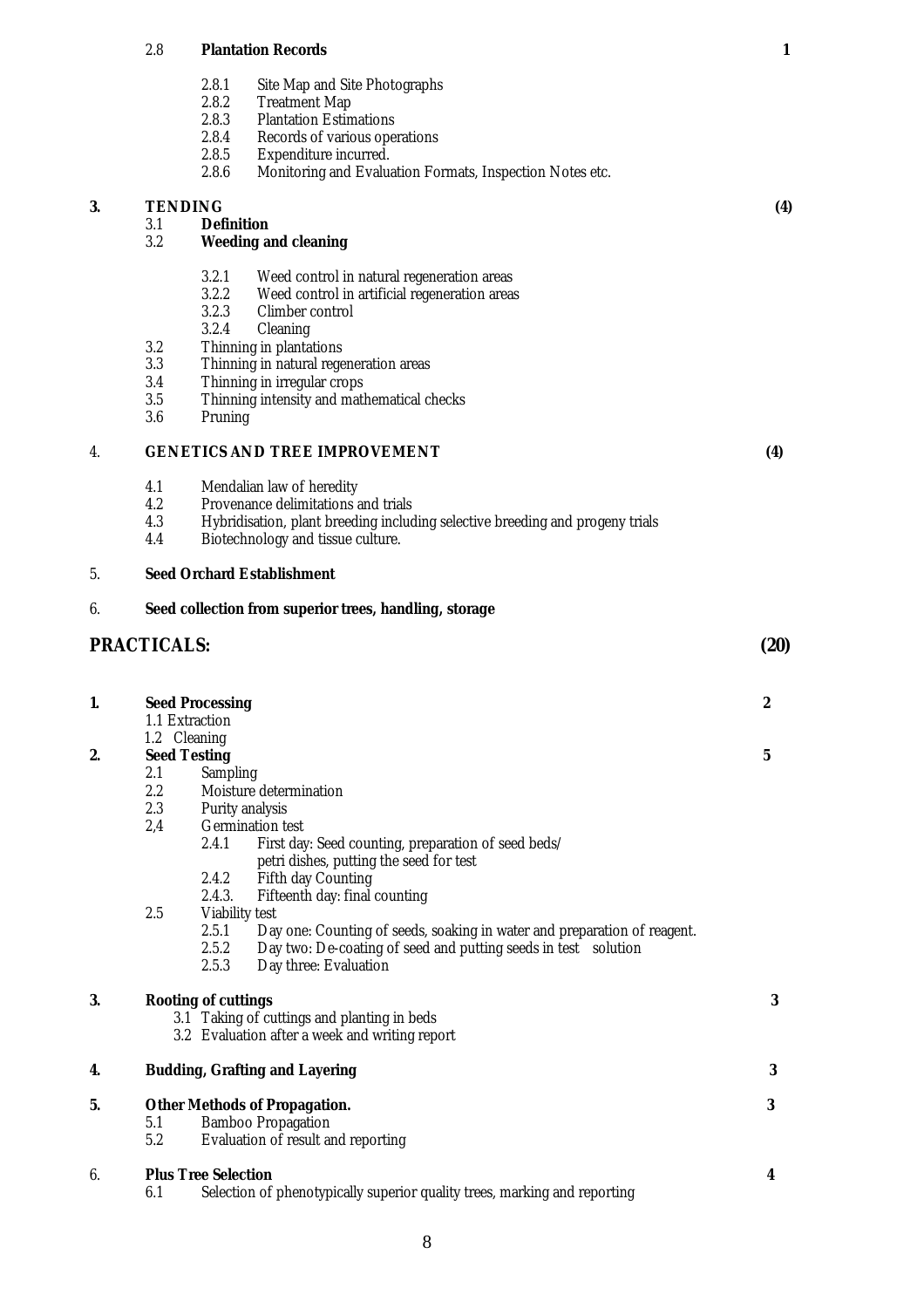### 2.8 **Plantation Records 1**

- 2.8.1 Site Map and Site Photographs<br>2.8.2 Treatment Map
- 2.8.2 Treatment Map<br>2.8.3 Plantation Estin
- 2.8.3 Plantation Estimations<br>2.8.4 Records of various operations
- 2.8.4 Records of various operations<br>2.8.5 Expenditure incurred.
- 2.8.5 Expenditure incurred.<br>2.8.6 Monitoring and Evalua
- Monitoring and Evaluation Formats, Inspection Notes etc.

### **3. TENDING (4)**

### 3.1 **Definition** 3.2 **Weeding and cleaning**

- 3.2.1 Weed control in natural regeneration areas<br>3.2.2 Weed control in artificial regeneration areas
- 3.2.2 Weed control in artificial regeneration areas
- 3.2.3 Climber control<br>3.2.4 Cleaning **Cleaning**
- 
- 3.2 Thinning in plantations<br>3.3 Thinning in natural rege 3.3 Thinning in natural regeneration areas<br>3.4 Thinning in irregular crops
- 
- 3.4 Thinning in irregular crops<br>3.5 Thinning intensity and matl Thinning intensity and mathematical checks
- 3.6 Pruning

### 4. **GENETICS AND TREE IMPROVEMENT (4)**

- 4.1 Mendalian law of heredity<br>4.2 Provenance delimitations a
- 4.2 Provenance delimitations and trials<br>4.3 Hybridisation, plant breeding include 4.3 Hybridisation, plant breeding including selective breeding and progeny trials
- Biotechnology and tissue culture.

### 5. **Seed Orchard Establishment**

### 6. **Seed collection from superior trees, handling, storage**

|    | <b>PRACTICALS:</b>                          |                            |                                                                                                | (20)             |
|----|---------------------------------------------|----------------------------|------------------------------------------------------------------------------------------------|------------------|
| 1. |                                             | <b>Seed Processing</b>     |                                                                                                | $\boldsymbol{2}$ |
|    |                                             | 1.1 Extraction             |                                                                                                |                  |
|    | 1.2 Cleaning                                |                            |                                                                                                |                  |
| 2. |                                             | <b>Seed Testing</b>        |                                                                                                | $\mathbf 5$      |
|    | 2.1                                         | <b>Sampling</b>            |                                                                                                |                  |
|    | 2.2                                         |                            | Moisture determination                                                                         |                  |
|    | 2.3                                         |                            | Purity analysis                                                                                |                  |
|    | 2,4                                         |                            | <b>Germination test</b>                                                                        |                  |
|    |                                             | 2.4.1                      | First day: Seed counting, preparation of seed beds/<br>petri dishes, putting the seed for test |                  |
|    |                                             | 2.4.2                      | <b>Fifth day Counting</b>                                                                      |                  |
|    |                                             | 2.4.3.                     | Fifteenth day: final counting                                                                  |                  |
|    | 2.5                                         | Viability test             |                                                                                                |                  |
|    |                                             | 2.5.1                      | Day one: Counting of seeds, soaking in water and preparation of reagent.                       |                  |
|    |                                             | 2.5.2                      | Day two: De-coating of seed and putting seeds in test solution                                 |                  |
|    |                                             | 2.5.3                      | Day three: Evaluation                                                                          |                  |
| 3. |                                             | <b>Rooting of cuttings</b> |                                                                                                | 3                |
|    | 3.1 Taking of cuttings and planting in beds |                            |                                                                                                |                  |
|    |                                             |                            | 3.2 Evaluation after a week and writing report                                                 |                  |
| 4. |                                             |                            | <b>Budding, Grafting and Layering</b>                                                          | 3                |
| 5. |                                             |                            | <b>Other Methods of Propagation.</b>                                                           | 3                |
|    | 5.1                                         |                            | <b>Bamboo Propagation</b>                                                                      |                  |
|    | 5.2                                         |                            | Evaluation of result and reporting                                                             |                  |
| 6. |                                             | <b>Plus Tree Selection</b> |                                                                                                | 4                |

6.1 Selection of phenotypically superior quality trees, marking and reporting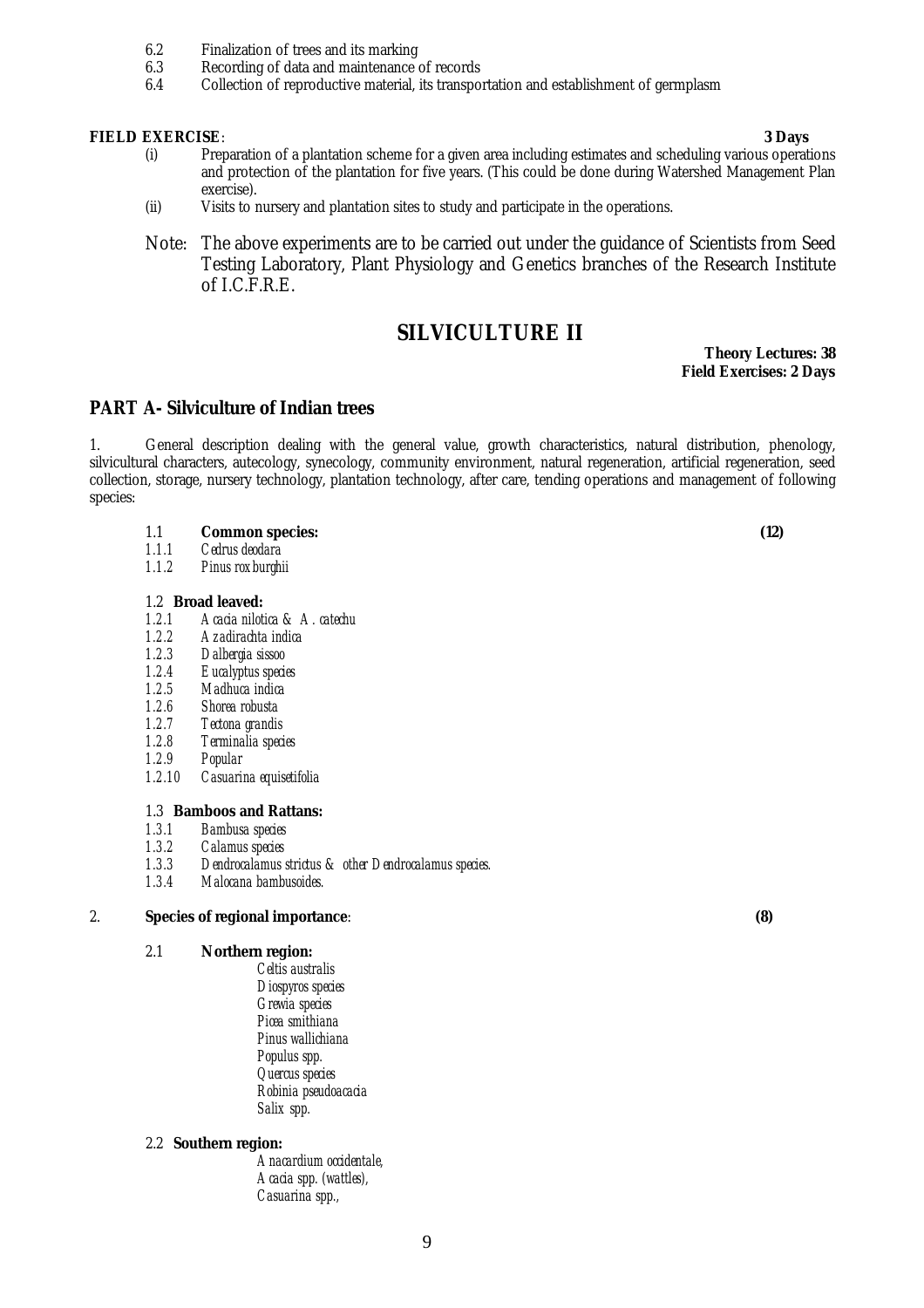- 6.2 Finalization of trees and its marking<br>6.3 Recording of data and maintenance
- 6.3 Recording of data and maintenance of records<br>6.4 Collection of reproductive material, its transpo
- 6.4 Collection of reproductive material, its transportation and establishment of germplasm

### **FIELD EXERCISE**: **3 Days**

- (i) Preparation of a plantation scheme for a given area including estimates and scheduling various operations and protection of the plantation for five years. (This could be done during Watershed Management Plan exercise).
- (ii) Visits to nursery and plantation sites to study and participate in the operations.
- Note: The above experiments are to be carried out under the guidance of Scientists from Seed Testing Laboratory, Plant Physiology and Genetics branches of the Research Institute of I.C.F.R.E.

### **SILVICULTURE II**

**Theory Lectures: 38 Field Exercises: 2 Days**

### **PART A- Silviculture of Indian trees**

1. General description dealing with the general value, growth characteristics, natural distribution, phenology, silvicultural characters, autecology, synecology, community environment, natural regeneration, artificial regeneration, seed collection, storage, nursery technology, plantation technology, after care, tending operations and management of following species:

- 1.1 **Common species: (12)**
- *1.1.1 Cedrus deodara*
- *1.1.2 Pinus roxburghii*

# 1.2 **Broad leaved:**

- *1.2.1 Acacia nilotica & A. catechu*
- *1.2.2 Azadirachta indica*
- *1.2.3 Dalbergia sissoo*
- *1.2.4 Eucalyptus species*
- *1.2.5 Madhuca indica*
- *1.2.6 Shorea robusta*
- *1.2.7 Tectona grandis*
- *1.2.8 Terminalia species*
- *1.2.9 Popular*
- *1.2.10 Casuarina equisetifolia*

### 1.3 **Bamboos and Rattans:**

- *1.3.1 Bambusa species*
- *1.3.2 Calamus species*
- *1.3.3 Dendrocalamus strictus & other Dendrocalamus species.*
- *1.3.4 Malocana bambusoides.*

### 2. **Species of regional importance**: **(8)**

- 2.1 **Northern region:**
	- *Celtis australis Diospyros species Grewia species Picea smithiana Pinus wallichiana Populus spp. Quercus species Robinia pseudoacacia Salix spp.*

### 2.2 **Southern region:**

*Anacardium occidentale, Acacia spp. (wattles), Casuarina spp.,*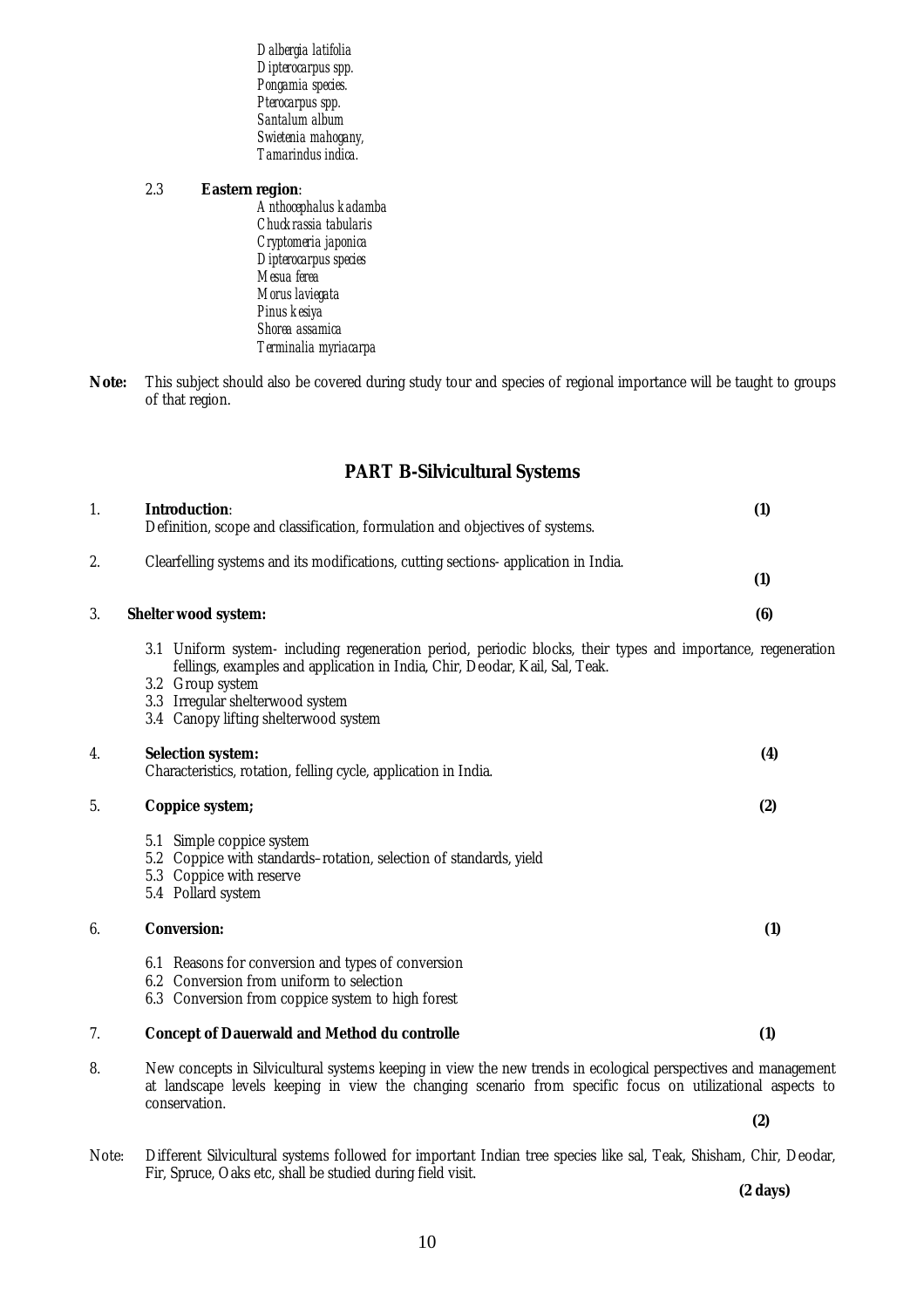*Dalbergia latifolia Dipterocarpus spp. Pongamia species. Pterocarpus spp. Santalum album Swietenia mahogany, Tamarindus indica.*

### 2.3 **Eastern region**:

- *Anthocephalus kadamba Chuckrassia tabularis Cryptomeria japonica Dipterocarpus species Mesua ferea Morus laviegata Pinus kesiya Shorea assamica Terminalia myriacarpa*
- **Note:** This subject should also be covered during study tour and species of regional importance will be taught to groups of that region.

### **PART B-Silvicultural Systems**

| 1. | <b>Introduction:</b><br>Definition, scope and classification, formulation and objectives of systems.                                                                                                                                                                                         | (1) |
|----|----------------------------------------------------------------------------------------------------------------------------------------------------------------------------------------------------------------------------------------------------------------------------------------------|-----|
| 2. | Clearfelling systems and its modifications, cutting sections- application in India.                                                                                                                                                                                                          | (1) |
| 3. | <b>Shelter wood system:</b>                                                                                                                                                                                                                                                                  | (6) |
|    | 3.1 Uniform system- including regeneration period, periodic blocks, their types and importance, regeneration<br>fellings, examples and application in India, Chir, Deodar, Kail, Sal, Teak.<br>3.2 Group system<br>3.3 Irregular shelterwood system<br>3.4 Canopy lifting shelterwood system |     |
| 4. | <b>Selection system:</b><br>Characteristics, rotation, felling cycle, application in India.                                                                                                                                                                                                  | (4) |
| 5. | Coppice system;                                                                                                                                                                                                                                                                              | (2) |
|    | 5.1 Simple coppice system<br>5.2 Coppice with standards-rotation, selection of standards, yield<br>5.3 Coppice with reserve<br>5.4 Pollard system                                                                                                                                            |     |
| 6. | <b>Conversion:</b>                                                                                                                                                                                                                                                                           | (1) |
|    | 6.1 Reasons for conversion and types of conversion<br>6.2 Conversion from uniform to selection<br>6.3 Conversion from coppice system to high forest                                                                                                                                          |     |
| 7. | <b>Concept of Dauerwald and Method du controlle</b>                                                                                                                                                                                                                                          | (1) |
|    |                                                                                                                                                                                                                                                                                              |     |

8. New concepts in Silvicultural systems keeping in view the new trends in ecological perspectives and management at landscape levels keeping in view the changing scenario from specific focus on utilizational aspects to conservation. **(2)**

Note: Different Silvicultural systems followed for important Indian tree species like sal, Teak, Shisham, Chir, Deodar, Fir, Spruce, Oaks etc, shall be studied during field visit.

**(2 days)**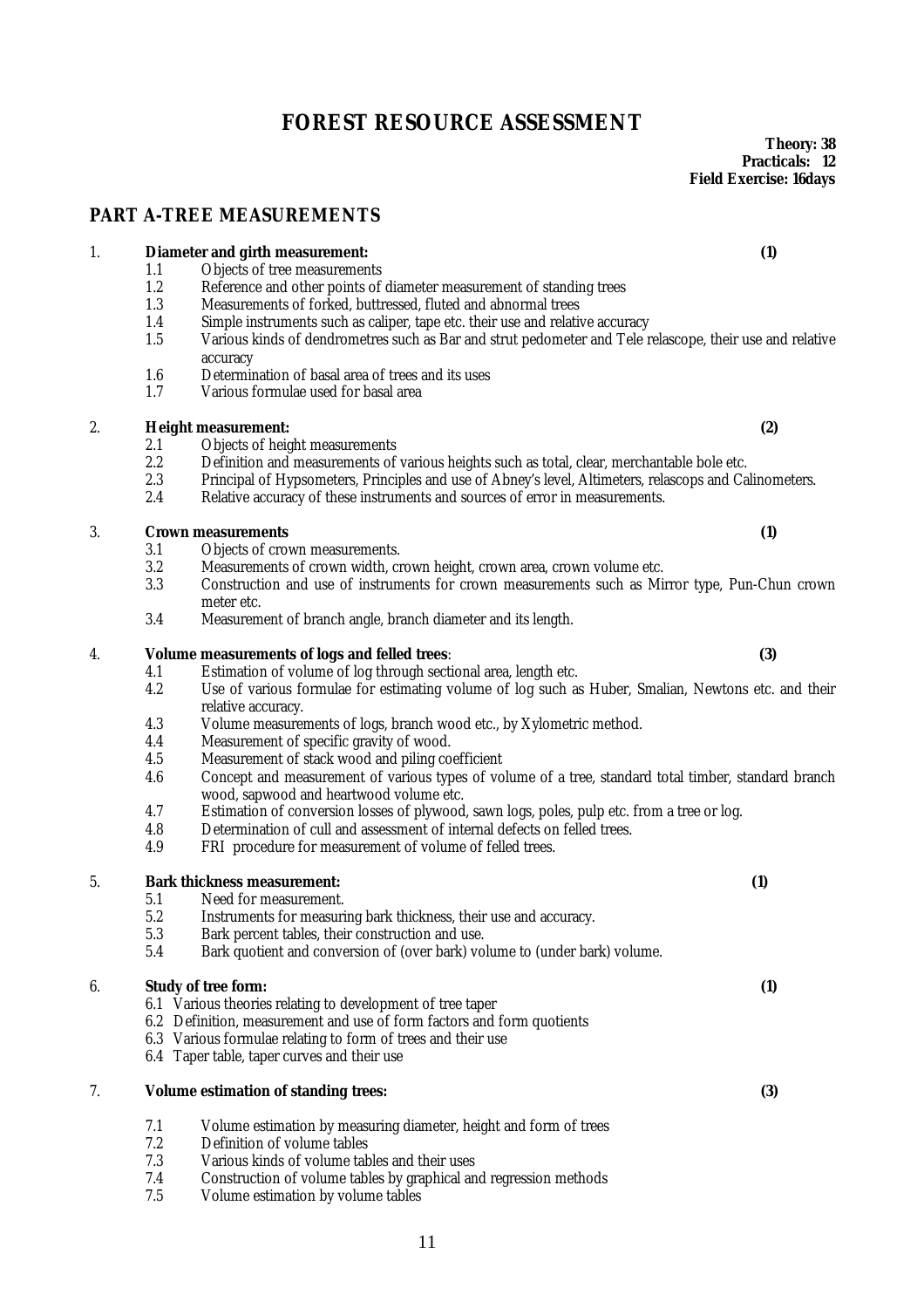# **FOREST RESOURCE ASSESSMENT**

**Theory: 38 Practicals: 12 Field Exercise: 16days**

### **PART A-TREE MEASUREMENTS**

### 1. **Diameter and girth measurement: (1)**

- 1.1 Objects of tree measurements<br>12 Reference and other noints of
- 1.2 Reference and other points of diameter measurement of standing trees<br>1.3 Measurements of forked, buttressed, fluted and abnormal trees
- Measurements of forked, buttressed, fluted and abnormal trees
- 1.4 Simple instruments such as caliper, tape etc. their use and relative accuracy
- 1.5 Various kinds of dendrometres such as Bar and strut pedometer and Tele relascope, their use and relative accuracy
- 1.6 Determination of basal area of trees and its uses
- 1.7 Various formulae used for basal area

### 2. **Height measurement: (2)**

- 2.1 Objects of height measurements
- 2.2 Definition and measurements of various heights such as total, clear, merchantable bole etc.<br>2.3 Principal of Hypsometers. Principles and use of Abney's level. Altimeters, relascops and Ca
- 2.3 Principal of Hypsometers, Principles and use of Abney's level, Altimeters, relascops and Calinometers.<br>2.4 Relative accuracy of these instruments and sources of error in measurements.
- Relative accuracy of these instruments and sources of error in measurements.

### 3. **Crown measurements (1)**

- 3.1 Objects of crown measurements.
- 3.2 Measurements of crown width, crown height, crown area, crown volume etc.
- 3.3 Construction and use of instruments for crown measurements such as Mirror type, Pun-Chun crown meter etc.
- 3.4 Measurement of branch angle, branch diameter and its length.

# 4. **Volume measurements of logs and felled trees**: **(3)**

- 4.1 Estimation of volume of log through sectional area, length etc.<br>4.2 Use of various formulae for estimating volume of log such as
- Use of various formulae for estimating volume of log such as Huber, Smalian, Newtons etc. and their relative accuracy.
- 4.3 Volume measurements of logs, branch wood etc., by Xylometric method.<br>4.4 Measurement of specific gravity of wood.
- Measurement of specific gravity of wood.
- 4.5 Measurement of stack wood and piling coefficient
- 4.6 Concept and measurement of various types of volume of a tree, standard total timber, standard branch wood, sapwood and heartwood volume etc.
- 4.7 Estimation of conversion losses of plywood, sawn logs, poles, pulp etc. from a tree or log.
- 4.8 Determination of cull and assessment of internal defects on felled trees.
- 4.9 FRI procedure for measurement of volume of felled trees.

### 5. **Bark thickness measurement: (1)**

- 5.1 Need for measurement.
- 5.2 Instruments for measuring bark thickness, their use and accuracy.
- 5.3 Bark percent tables, their construction and use.
- 5.4 Bark quotient and conversion of (over bark) volume to (under bark) volume.

### 6. **Study of tree form: (1)**

- 6.1 Various theories relating to development of tree taper
- 6.2 Definition, measurement and use of form factors and form quotients
- 6.3 Various formulae relating to form of trees and their use
- 6.4 Taper table, taper curves and their use

### 7. **Volume estimation of standing trees: (3)**

- 7.1 Volume estimation by measuring diameter, height and form of trees
- 7.2 Definition of volume tables
- 7.3 Various kinds of volume tables and their uses
- 7.4 Construction of volume tables by graphical and regression methods<br>7.5 Volume estimation by volume tables
- Volume estimation by volume tables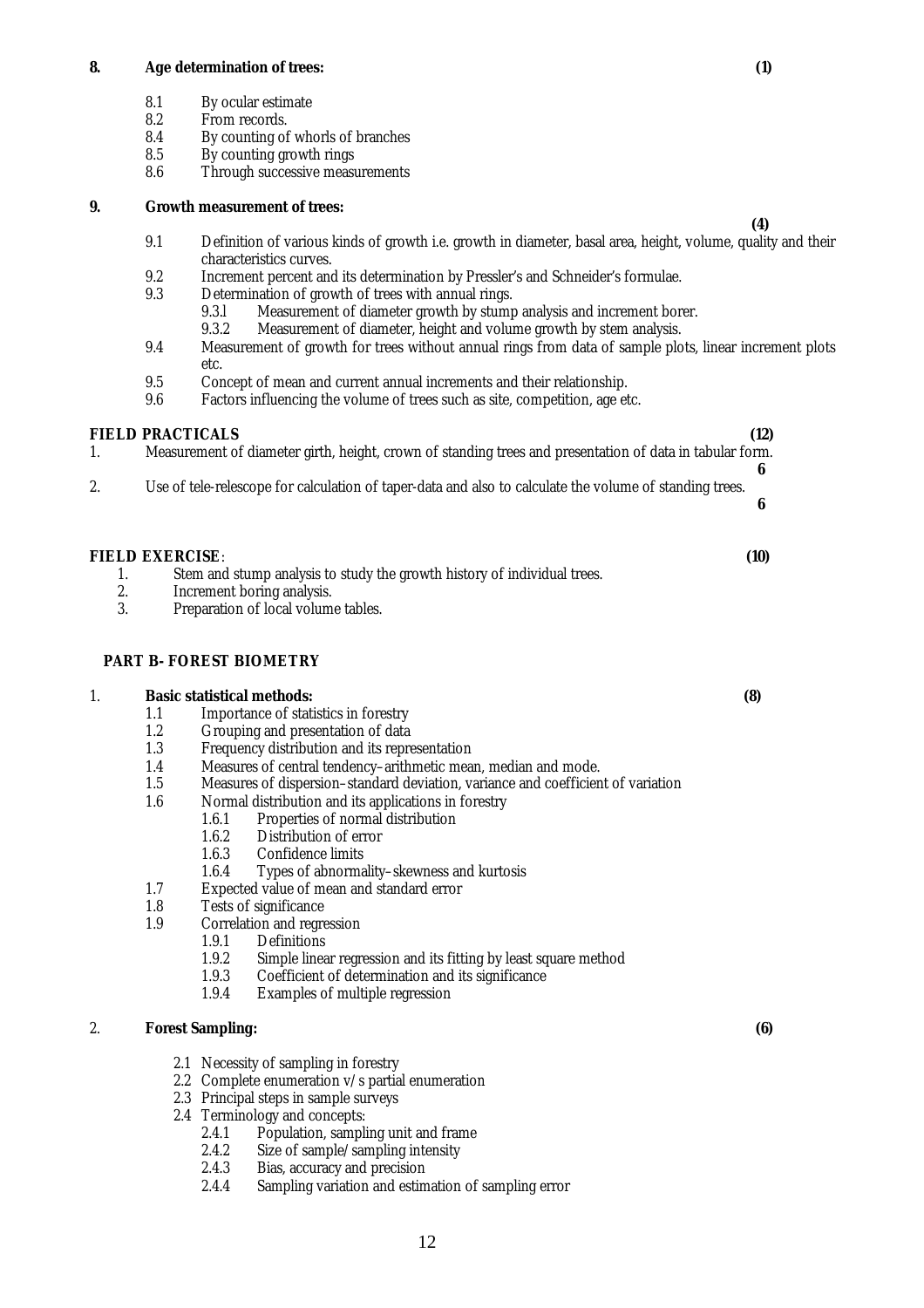### **8. Age determination of trees: (1)**

- 8.1 By ocular estimate<br>8.2 From records
- 8.2 From records.<br>8.4 By counting of
- 8.4 By counting of whorls of branches<br>8.5 By counting growth rings
- 8.5 By counting growth rings<br>8.6 Through successive measure
- Through successive measurements

### **9. Growth measurement of trees:**

- **(4)** 9.1 Definition of various kinds of growth i.e. growth in diameter, basal area, height, volume, quality and their characteristics curves.
- 9.2 Increment percent and its determination by Pressler's and Schneider's formulae.<br>9.3 Determination of growth of trees with annual rings.
	- Determination of growth of trees with annual rings.
		- 9.3.1 Measurement of diameter growth by stump analysis and increment borer.<br>9.3.2 Measurement of diameter, height and volume growth by stem analysis.
		- Measurement of diameter, height and volume growth by stem analysis.
- 9.4 Measurement of growth for trees without annual rings from data of sample plots, linear increment plots etc.
- 9.5 Concept of mean and current annual increments and their relationship.<br>9.6 Factors influencing the volume of trees such as site, competition, age et
- Factors influencing the volume of trees such as site, competition, age etc.

### **FIELD PRACTICALS (12)**

### 1. Measurement of diameter girth, height, crown of standing trees and presentation of data in tabular form. **6**

2. Use of tele-relescope for calculation of taper-data and also to calculate the volume of standing trees.

### **FIELD EXERCISE**: **(10)**

- 1. Stem and stump analysis to study the growth history of individual trees.<br>2. Increment boring analysis.
- Increment boring analysis.
- 3. Preparation of local volume tables.

### **PART B- FOREST BIOMETRY**

### 1. **Basic statistical methods: (8)**

- 1.1 Importance of statistics in forestry
- 1.2 Grouping and presentation of data
- 1.3 Frequency distribution and its representation
- 1.4 Measures of central tendency–arithmetic mean, median and mode.
- 1.5 Measures of dispersion–standard deviation, variance and coefficient of variation
- 1.6 Normal distribution and its applications in forestry
	- 1.6.1 Properties of normal distribution
	- 1.6.2 Distribution of error<br>1.6.3 Confidence limits
	- Confidence limits
	- 1.6.4 Types of abnormality–skewness and kurtosis
- 1.7 Expected value of mean and standard error
- 1.8 Tests of significance
- 1.9 Correlation and regression
	- 1.9.1 Definitions
		- 1.9.2 Simple linear regression and its fitting by least square method
		- 1.9.3 Coefficient of determination and its significance
		- 1.9.4 Examples of multiple regression

### 2. **Forest Sampling: (6)**

- 2.1 Necessity of sampling in forestry
- 2.2 Complete enumeration v/s partial enumeration
- 2.3 Principal steps in sample surveys
- 2.4 Terminology and concepts:
	- 2.4.1 Population, sampling unit and frame
	- 2.4.2 Size of sample/sampling intensity
	- 2.4.3 Bias, accuracy and precision
	- 2.4.4 Sampling variation and estimation of sampling error

**6**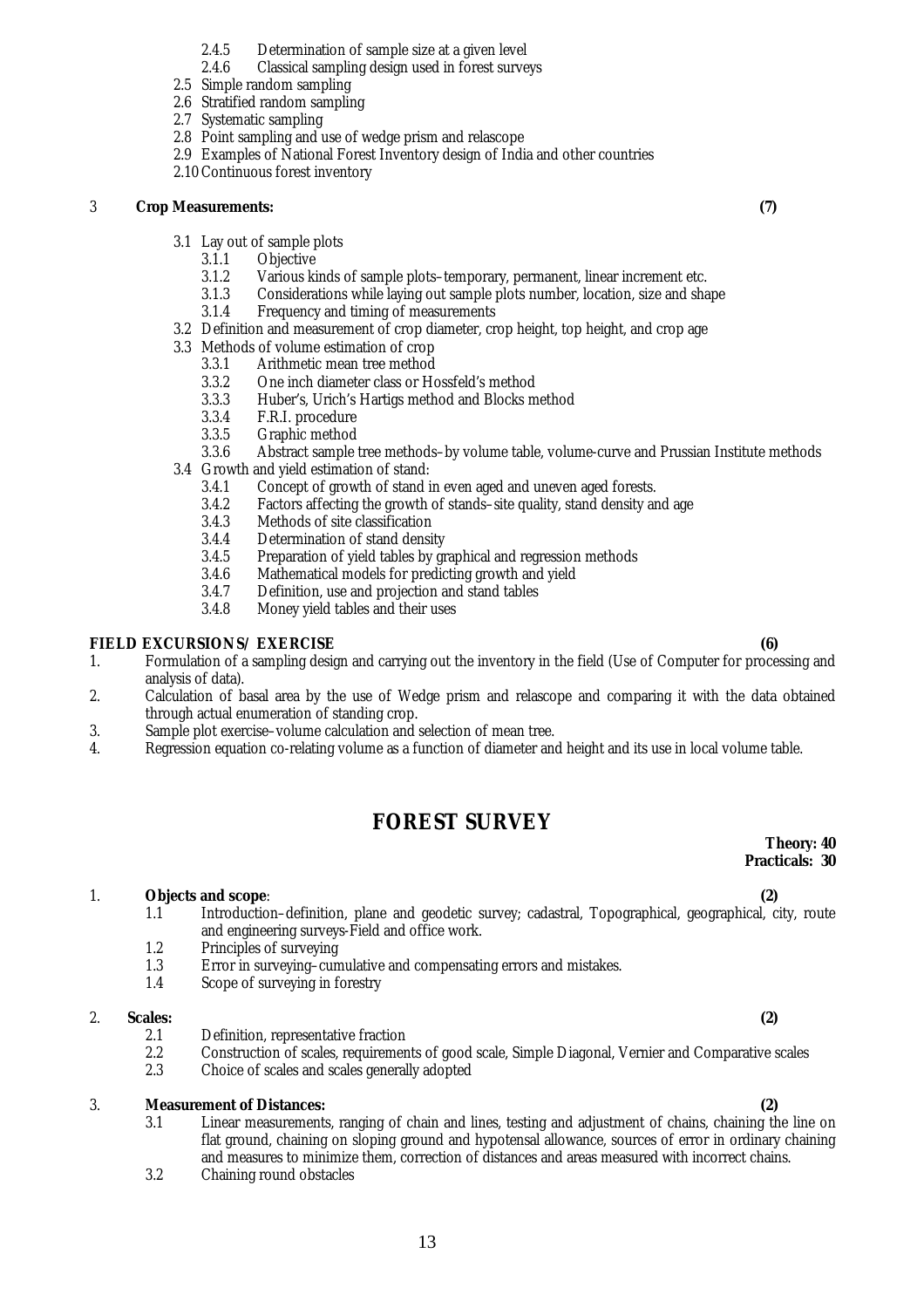- 2.4.5 Determination of sample size at a given level<br>2.4.6 Classical sampling design used in forest surve
- Classical sampling design used in forest surveys
- 2.5 Simple random sampling
- 2.6 Stratified random sampling
- 2.7 Systematic sampling
- 2.8 Point sampling and use of wedge prism and relascope
- 2.9 Examples of National Forest Inventory design of India and other countries
- 2.10 Continuous forest inventory

### 3 **Crop Measurements: (7)**

- 3.1 Lay out of sample plots
	- 3.1.1 Objective<br>3.1.2 Various ki
	- 3.1.2 Various kinds of sample plots–temporary, permanent, linear increment etc.
	- Considerations while laying out sample plots number, location, size and shape
	- 3.1.4 Frequency and timing of measurements
- 3.2 Definition and measurement of crop diameter, crop height, top height, and crop age
- 3.3 Methods of volume estimation of crop<br>3.3.1 Arithmetic mean tree method
	- 3.3.1 Arithmetic mean tree method<br>3.3.2 One inch diameter class or Ho
	- 3.3.2 One inch diameter class or Hossfeld's method<br>3.3.3 Huber's, Urich's Hartigs method and Blocks m
	- 3.3.3 Huber's, Urich's Hartigs method and Blocks method
	- 3.3.4 F.R.I. procedure<br>3.3.5 Graphic method
	- 3.3.5 Graphic method
	- 3.3.6 Abstract sample tree methods–by volume table, volume-curve and Prussian Institute methods
- 3.4 Growth and yield estimation of stand:
	- 3.4.1 Concept of growth of stand in even aged and uneven aged forests.<br>3.4.2 Factors affecting the growth of stands–site quality, stand density at
	- 3.4.2 Factors affecting the growth of stands–site quality, stand density and age 3.4.3 Methods of site classification
	- 3.4.3 Methods of site classification<br>3.4.4 Determination of stand densi
	- Determination of stand density
	- 3.4.5 Preparation of yield tables by graphical and regression methods
	- 3.4.6 Mathematical models for predicting growth and yield
	- 3.4.7 Definition, use and projection and stand tables
	- 3.4.8 Money yield tables and their uses

### **FIELD EXCURSIONS/ EXERCISE (6)**

- 1. Formulation of a sampling design and carrying out the inventory in the field (Use of Computer for processing and analysis of data).
- 2. Calculation of basal area by the use of Wedge prism and relascope and comparing it with the data obtained through actual enumeration of standing crop.
- 3. Sample plot exercise–volume calculation and selection of mean tree.
- 4. Regression equation co-relating volume as a function of diameter and height and its use in local volume table.

# **FOREST SURVEY**

### 1. **Objects and scope**: **(2)**

- 1.1 Introduction–definition, plane and geodetic survey; cadastral, Topographical, geographical, city, route and engineering surveys-Field and office work.
- 1.2 Principles of surveying
- 1.3 Error in surveying–cumulative and compensating errors and mistakes.
- 1.4 Scope of surveying in forestry

### 2. **Scales: (2)**

- 2.1 Definition, representative fraction
- 2.2 Construction of scales, requirements of good scale, Simple Diagonal, Vernier and Comparative scales
- 2.3 Choice of scales and scales generally adopted

### 3. **Measurement of Distances: (2)**

- 3.1 Linear measurements, ranging of chain and lines, testing and adjustment of chains, chaining the line on flat ground, chaining on sloping ground and hypotensal allowance, sources of error in ordinary chaining and measures to minimize them, correction of distances and areas measured with incorrect chains.
- 3.2 Chaining round obstacles

13

 **Practicals: 30**

**Theory: 40**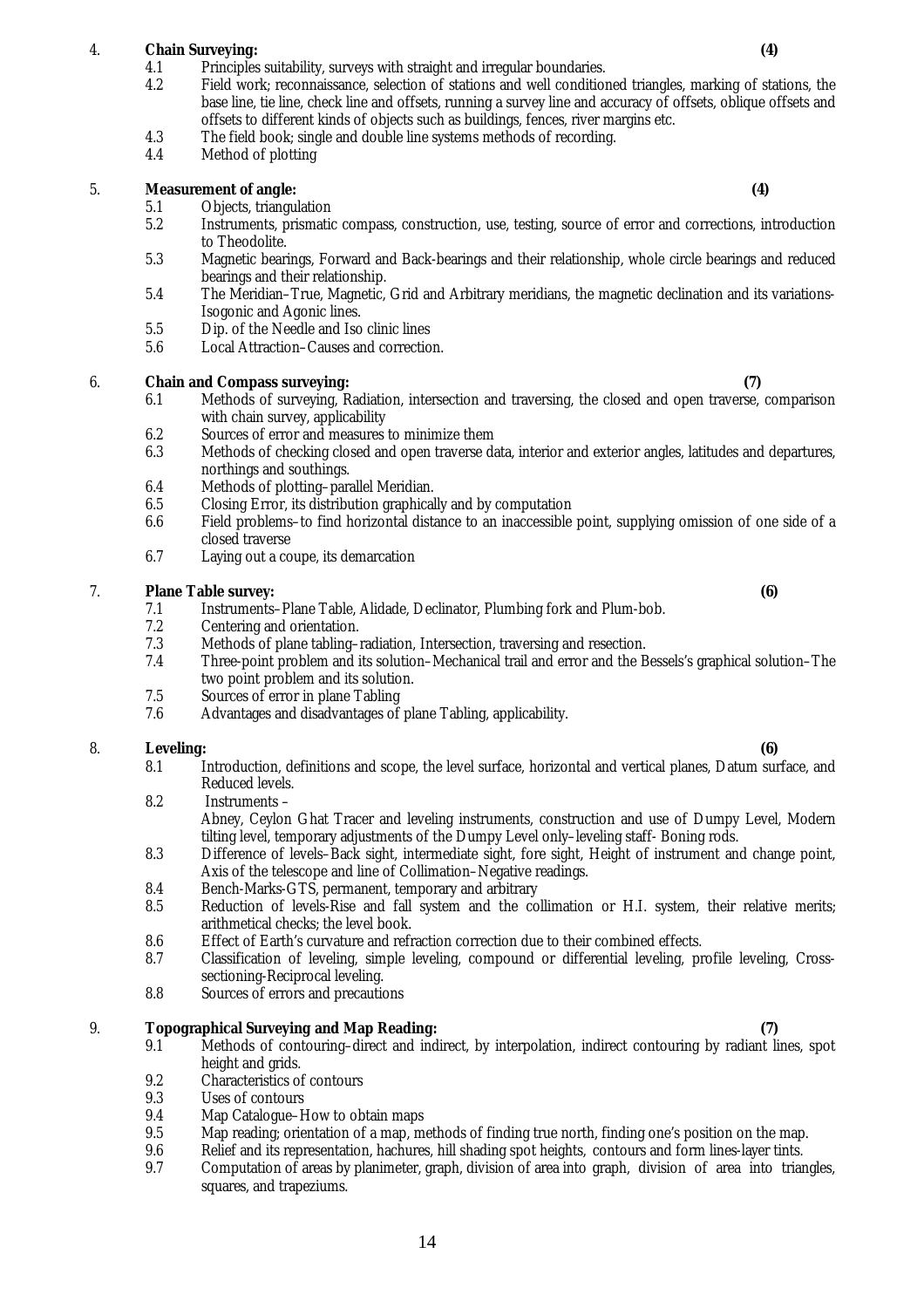### 4. **Chain Surveying: (4)**

- 4.1 Principles suitability, surveys with straight and irregular boundaries.<br>4.2 Field work: reconnaissance, selection of stations and well condition
- Field work; reconnaissance, selection of stations and well conditioned triangles, marking of stations, the base line, tie line, check line and offsets, running a survey line and accuracy of offsets, oblique offsets and offsets to different kinds of objects such as buildings, fences, river margins etc.
- 4.3 The field book; single and double line systems methods of recording.<br>4.4 Method of plotting
- Method of plotting

### 5. **Measurement of angle: (4)**

- 5.1 Objects, triangulation<br>5.2 Instruments, prismation
- Instruments, prismatic compass, construction, use, testing, source of error and corrections, introduction to Theodolite.
- 5.3 Magnetic bearings, Forward and Back-bearings and their relationship, whole circle bearings and reduced bearings and their relationship.
- 5.4 The Meridian–True, Magnetic, Grid and Arbitrary meridians, the magnetic declination and its variations-Isogonic and Agonic lines.
- 5.5 Dip. of the Needle and Iso clinic lines<br>5.6 Local Attraction–Causes and correction
- Local Attraction–Causes and correction.

### 6. **Chain and Compass surveying: (7)**

- 6.1 Methods of surveying, Radiation, intersection and traversing, the closed and open traverse, comparison with chain survey, applicability
- 6.2 Sources of error and measures to minimize them<br>6.3 Methods of checking closed and open traverse da
- Methods of checking closed and open traverse data, interior and exterior angles, latitudes and departures, northings and southings.
- 6.4 Methods of plotting–parallel Meridian.<br>6.5 Closing Error, its distribution graphical
- 6.5 Closing Error, its distribution graphically and by computation
- Field problems–to find horizontal distance to an inaccessible point, supplying omission of one side of a closed traverse
- 6.7 Laying out a coupe, its demarcation

### 7. **Plane Table survey: (6)**

- 7.1 Instruments–Plane Table, Alidade, Declinator, Plumbing fork and Plum-bob.
- 7.2 Centering and orientation.<br>7.3 Methods of plane tabling-
- 7.3 Methods of plane tabling–radiation, Intersection, traversing and resection.<br>7.4 Three-point problem and its solution–Mechanical trail and error and the B
- 7.4 Three-point problem and its solution–Mechanical trail and error and the Bessels's graphical solution–The two point problem and its solution.
- 
- 7.5 Sources of error in plane Tabling<br>7.6 Advantages and disadvantages of Advantages and disadvantages of plane Tabling, applicability.

### 8. **Leveling: (6)**

- 8.1 Introduction, definitions and scope, the level surface, horizontal and vertical planes, Datum surface, and Reduced levels.
- 8.2 Instruments –

Abney, Ceylon Ghat Tracer and leveling instruments, construction and use of Dumpy Level, Modern tilting level, temporary adjustments of the Dumpy Level only–leveling staff- Boning rods.

- 8.3 Difference of levels–Back sight, intermediate sight, fore sight, Height of instrument and change point, Axis of the telescope and line of Collimation–Negative readings.
- 8.4 Bench-Marks-GTS, permanent, temporary and arbitrary
- 8.5 Reduction of levels-Rise and fall system and the collimation or H.I. system, their relative merits; arithmetical checks; the level book.
- 8.6 Effect of Earth's curvature and refraction correction due to their combined effects.
- 8.7 Classification of leveling, simple leveling, compound or differential leveling, profile leveling, Crosssectioning-Reciprocal leveling.
- 8.8 Sources of errors and precautions

### 9. **Topographical Surveying and Map Reading: (7)**

- 9.1 Methods of contouring–direct and indirect, by interpolation, indirect contouring by radiant lines, spot height and grids.
- 9.2 Characteristics of contours
- 9.3 Uses of contours
- 9.4 Map Catalogue–How to obtain maps
- 9.5 Map reading; orientation of a map, methods of finding true north, finding one's position on the map.
- 9.6 Relief and its representation, hachures, hill shading spot heights, contours and form lines-layer tints.
- 9.7 Computation of areas by planimeter, graph, division of area into graph, division of area into triangles, squares, and trapeziums.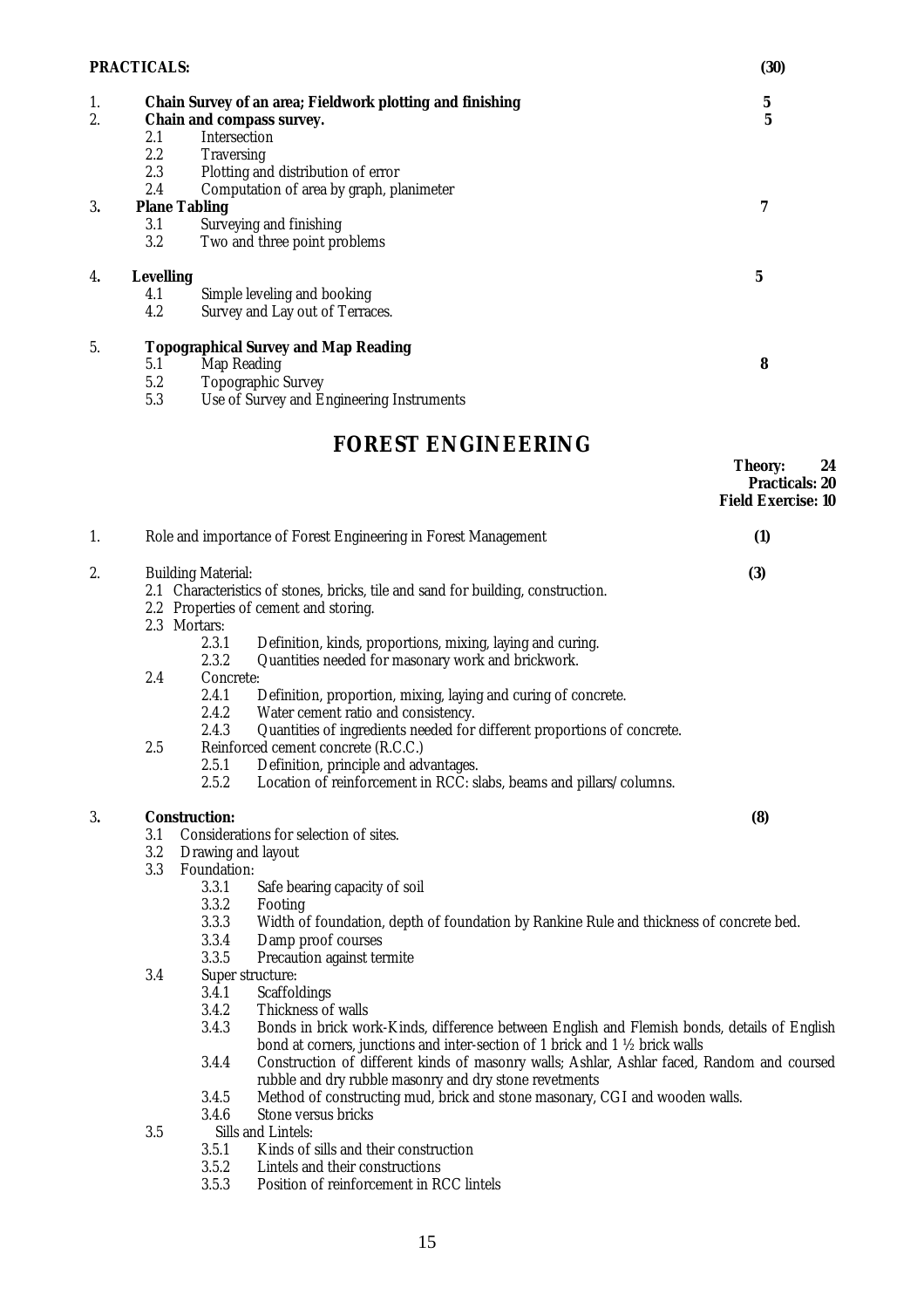|    | <b>PRACTICALS:</b> |                                                                                                  | (30)                                                                       |
|----|--------------------|--------------------------------------------------------------------------------------------------|----------------------------------------------------------------------------|
| 1. |                    | <b>Chain Survey of an area; Fieldwork plotting and finishing</b>                                 | $\bf{5}$                                                                   |
| 2. |                    | Chain and compass survey.                                                                        | $\mathbf 5$                                                                |
|    | 2.1                | Intersection                                                                                     |                                                                            |
|    | 2.2                | <b>Traversing</b>                                                                                |                                                                            |
|    | 2.3                | Plotting and distribution of error                                                               |                                                                            |
|    | 2.4                | Computation of area by graph, planimeter                                                         |                                                                            |
| 3. |                    | <b>Plane Tabling</b>                                                                             | 7                                                                          |
|    | 3.1                | Surveying and finishing                                                                          |                                                                            |
|    | 3.2                | Two and three point problems                                                                     |                                                                            |
| 4. | <b>Levelling</b>   |                                                                                                  | 5                                                                          |
|    | 4.1                | Simple leveling and booking                                                                      |                                                                            |
|    | 4.2                | Survey and Lay out of Terraces.                                                                  |                                                                            |
| 5. |                    | <b>Topographical Survey and Map Reading</b>                                                      |                                                                            |
|    | 5.1                | <b>Map Reading</b>                                                                               | 8                                                                          |
|    | 5.2                | <b>Topographic Survey</b>                                                                        |                                                                            |
|    | 5.3                | Use of Survey and Engineering Instruments                                                        |                                                                            |
|    |                    | <b>FOREST ENGINEERING</b>                                                                        |                                                                            |
|    |                    |                                                                                                  | <b>Theory:</b><br>24<br><b>Practicals: 20</b><br><b>Field Exercise: 10</b> |
| 1. |                    | Role and importance of Forest Engineering in Forest Management                                   | (1)                                                                        |
| 2. |                    | <b>Building Material:</b>                                                                        | (3)                                                                        |
|    |                    | 2.1 Characteristics of stones, bricks, tile and sand for building, construction.                 |                                                                            |
|    |                    | 2.2 Properties of cement and storing.                                                            |                                                                            |
|    |                    | 2.3 Mortars:                                                                                     |                                                                            |
|    |                    | 2.3.1<br>Definition, kinds, proportions, mixing, laying and curing.                              |                                                                            |
|    |                    | 2.3.2<br>Quantities needed for masonary work and brickwork.                                      |                                                                            |
|    | 2.4                | Concrete:                                                                                        |                                                                            |
|    |                    | Definition, proportion, mixing, laying and curing of concrete.<br>2.4.1                          |                                                                            |
|    |                    | 2.4.2<br>Water cement ratio and consistency.                                                     |                                                                            |
|    |                    | Quantities of ingredients needed for different proportions of concrete.<br>2.4.3                 |                                                                            |
|    | 2.5                | Reinforced cement concrete (R.C.C.)                                                              |                                                                            |
|    |                    | 2.5.1<br>Definition, principle and advantages.                                                   |                                                                            |
|    |                    | 2.5.2<br>Location of reinforcement in RCC: slabs, beams and pillars/columns.                     |                                                                            |
| 3. |                    | <b>Construction:</b>                                                                             | (8)                                                                        |
|    | 3.1                | Considerations for selection of sites.                                                           |                                                                            |
|    | 3.2                | Drawing and layout                                                                               |                                                                            |
|    | 3.3                | Foundation:                                                                                      |                                                                            |
|    |                    | 3.3.1<br>Safe bearing capacity of soil                                                           |                                                                            |
|    |                    | 3.3.2<br>Footing                                                                                 |                                                                            |
|    |                    | 3.3.3<br>Width of foundation, depth of foundation by Rankine Rule and thickness of concrete bed. |                                                                            |
|    |                    | 3.3.4<br>Damp proof courses                                                                      |                                                                            |

- 3.3.4 Damp proof courses<br>3.3.5 Precaution against ter
	- Precaution against termite

3.4 Super structure:<br>3.4.1 Scaffol

- 3.4.1 Scaffoldings<br>3.4.2 Thickness of
- 3.4.2 Thickness of walls<br>3.4.3 Bonds in brick wo
- 3.4.3 Bonds in brick work-Kinds, difference between English and Flemish bonds, details of English bond at corners, junctions and inter-section of 1 brick and 1 ½ brick walls
- 3.4.4 Construction of different kinds of masonry walls; Ashlar, Ashlar faced, Random and coursed rubble and dry rubble masonry and dry stone revetments
- 3.4.5 Method of constructing mud, brick and stone masonary, CGI and wooden walls.<br>3.4.6 Stone versus bricks
- Stone versus bricks
- 3.5 Sills and Lintels:<br>3.5.1 Kinds of
	- 3.5.1 Kinds of sills and their construction<br>3.5.2 Lintels and their constructions
	- 3.5.2 Lintels and their constructions<br>3.5.3 Position of reinforcement in R
	- 3.5.3 Position of reinforcement in RCC lintels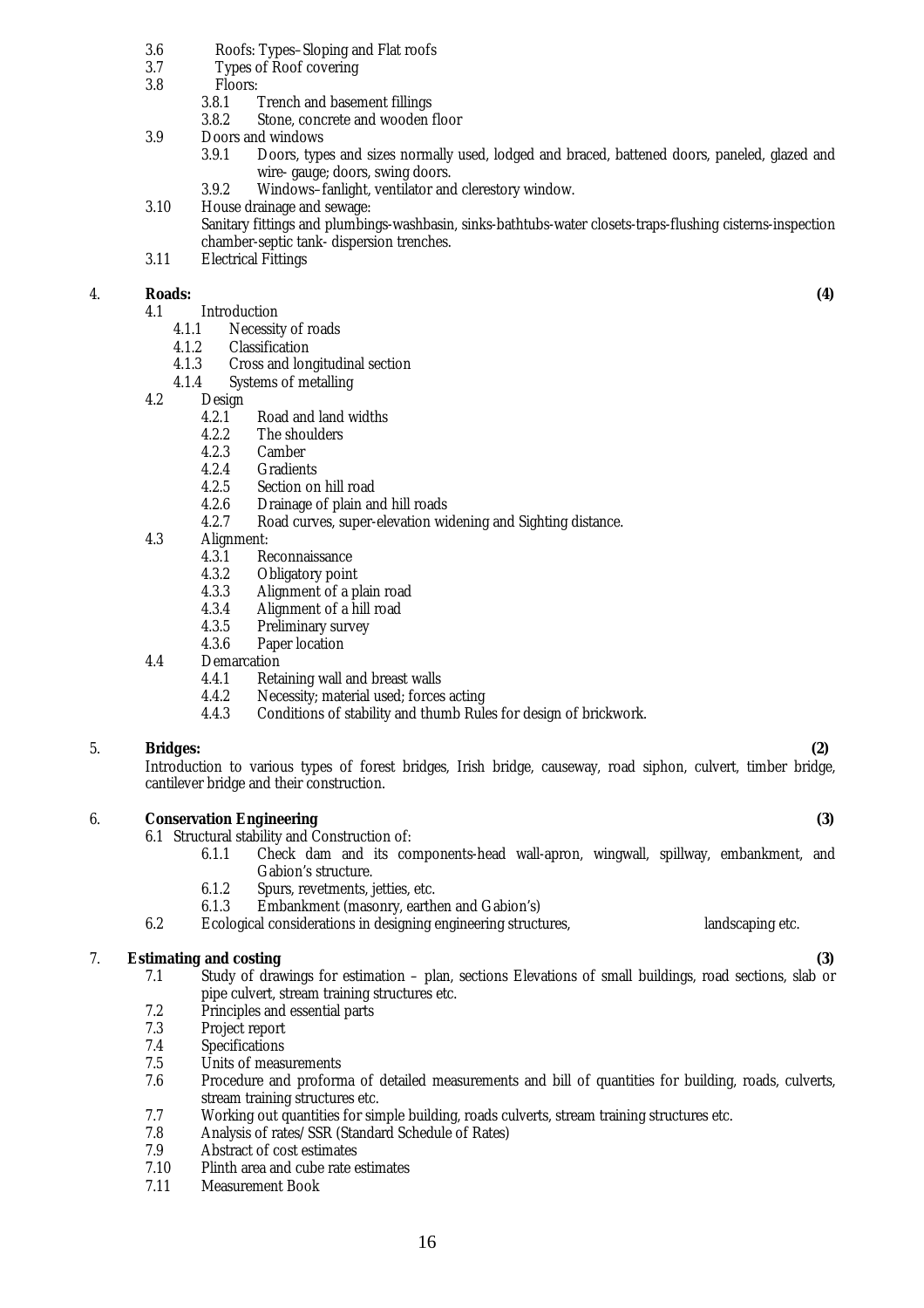- 3.6 Roofs: Types–Sloping and Flat roofs<br>3.7 Types of Roof covering
- 3.7 Types of Roof covering<br>3.8 Floors:
- Floors:<br>3.8.1
	- 3.8.1 Trench and basement fillings<br>3.8.2 Stone concrete and wooden
	- Stone, concrete and wooden floor
- 3.9 Doors and windows
	- 3.9.1 Doors, types and sizes normally used, lodged and braced, battened doors, paneled, glazed and wire- gauge; doors, swing doors.
	- 3.9.2 Windows–fanlight, ventilator and clerestory window.
- 3.10 House drainage and sewage: Sanitary fittings and plumbings-washbasin, sinks-bathtubs-water closets-traps-flushing cisterns-inspection chamber-septic tank- dispersion trenches.
- 3.11 Electrical Fittings

### 4. **Roads: (4)**

- 4.1 Introduction
	- 4.1.1 Necessity of roads<br>4.1.2 Classification
	- 4.1.2 Classification<br>4.1.3 Cross and lon
	- 4.1.3 Cross and longitudinal section<br>4.1.4 Systems of metalling
	- Systems of metalling
- 4.2 Design<br>4.2.1
	- 4.2.1 Road and land widths<br>4.2.2 The shoulders
	- 4.2.2 The shoulders<br>4.2.3 Camber
	- 4.2.3 Camber<br>4.2.4 Gradient
	- 4.2.4 Gradients<br>4.2.5 Section or
	- 4.2.5 Section on hill road<br>4.2.6 Drainage of plain are
	- 4.2.6 Drainage of plain and hill roads<br>4.2.7 Road curves, super-elevation wie
	- Road curves, super-elevation widening and Sighting distance.
- 4.3 Alignment:
	- 4.3.1 Reconnaissance<br>4.3.2 Obligatory point
	- 4.3.2 Obligatory point<br>4.3.3 Alignment of a p
	- Alignment of a plain road
	- 4.3.4 Alignment of a hill road
	- 4.3.5 Preliminary survey<br>4.3.6 Paper location
	- Paper location
- 4.4 Demarcation
	- 4.4.1 Retaining wall and breast walls
	- 4.4.2 Necessity; material used; forces acting
	- 4.4.3 Conditions of stability and thumb Rules for design of brickwork.

### 5. **Bridges: (2)**

Introduction to various types of forest bridges, Irish bridge, causeway, road siphon, culvert, timber bridge, cantilever bridge and their construction.

### 6. **Conservation Engineering (3)**

6.1 Structural stability and Construction of:

- 6.1.1 Check dam and its components-head wall-apron, wingwall, spillway, embankment, and Gabion's structure.
- 6.1.2 Spurs, revetments, jetties, etc.
- 6.1.3 Embankment (masonry, earthen and Gabion's)
- 6.2 Ecological considerations in designing engineering structures, landscaping etc.

### 7. **Estimating and costing (3)**

- 7.1 Study of drawings for estimation plan, sections Elevations of small buildings, road sections, slab or pipe culvert, stream training structures etc.
- 7.2 Principles and essential parts
- 7.3 Project report
- 7.4 Specifications
- 7.5 Units of measurements
- 7.6 Procedure and proforma of detailed measurements and bill of quantities for building, roads, culverts, stream training structures etc.
- 7.7 Working out quantities for simple building, roads culverts, stream training structures etc.
- 7.8 Analysis of rates/SSR (Standard Schedule of Rates)
- 7.9 Abstract of cost estimates
- 7.10 Plinth area and cube rate estimates
- 7.11 Measurement Book
- 
-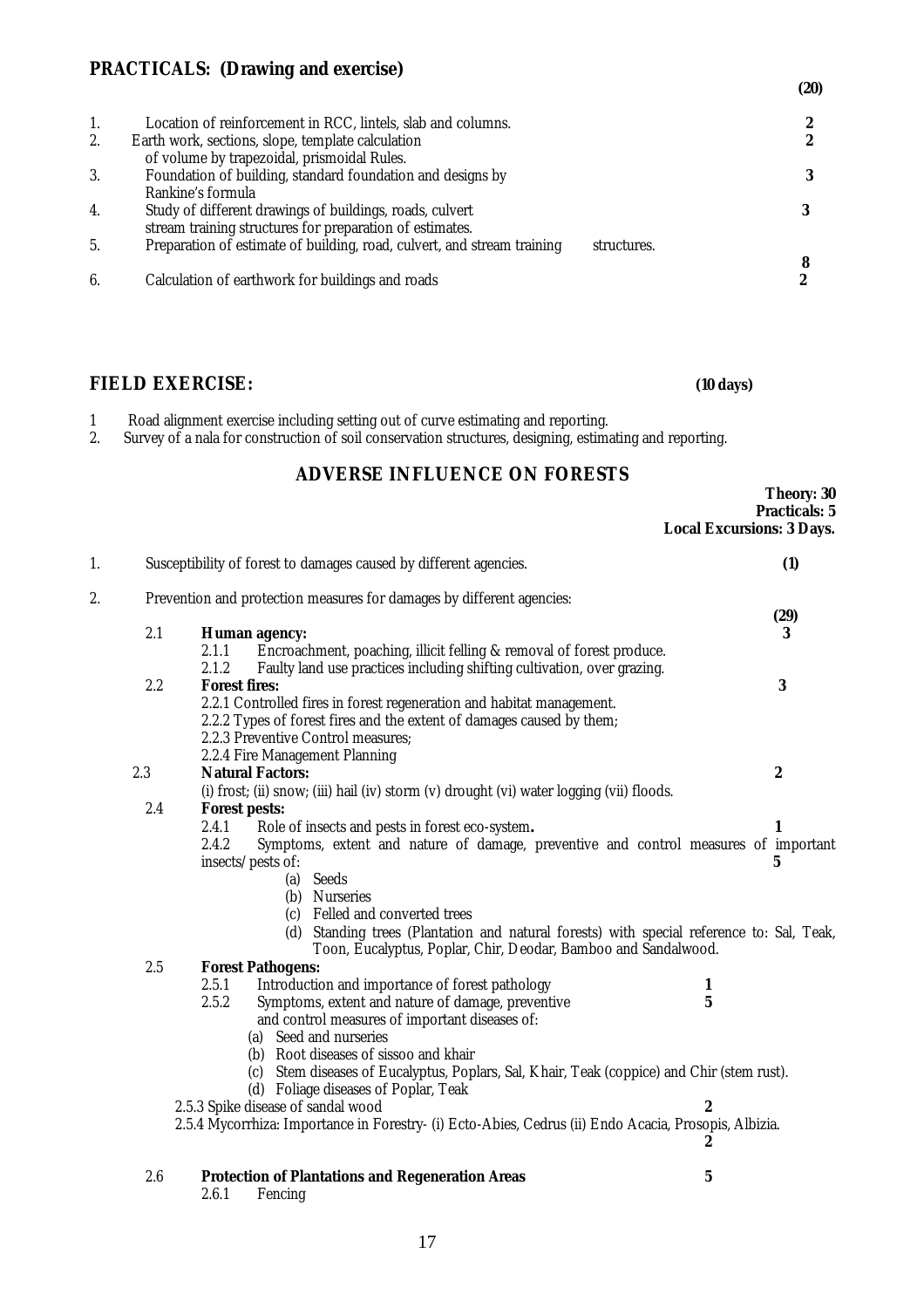# **PRACTICALS: (Drawing and exercise)**

|    |                                                                                                                      | (20) |
|----|----------------------------------------------------------------------------------------------------------------------|------|
| 1. | Location of reinforcement in RCC, lintels, slab and columns.                                                         | 2    |
| 2. | Earth work, sections, slope, template calculation<br>of volume by trapezoidal, prismoidal Rules.                     |      |
| 3. | Foundation of building, standard foundation and designs by<br>Rankine's formula                                      |      |
| 4. | Study of different drawings of buildings, roads, culvert<br>stream training structures for preparation of estimates. |      |
| 5. | Preparation of estimate of building, road, culvert, and stream training<br>structures.                               |      |
| 6. | Calculation of earthwork for buildings and roads                                                                     |      |

### FIELD EXERCISE: (10 days)

- 1 Road alignment exercise including setting out of curve estimating and reporting.
- 2. Survey of a nala for construction of soil conservation structures, designing, estimating and reporting.

### **ADVERSE INFLUENCE ON FORESTS**

|    |     |                                                                                                                                                          | <b>Theory: 30</b><br><b>Practicals: 5</b><br><b>Local Excursions: 3 Days.</b> |
|----|-----|----------------------------------------------------------------------------------------------------------------------------------------------------------|-------------------------------------------------------------------------------|
| 1. |     | Susceptibility of forest to damages caused by different agencies.                                                                                        | (1)                                                                           |
| 2. |     | Prevention and protection measures for damages by different agencies:                                                                                    |                                                                               |
|    |     |                                                                                                                                                          | (29)                                                                          |
|    | 2.1 | <b>Human agency:</b><br>2.1.1                                                                                                                            | 3                                                                             |
|    |     | Encroachment, poaching, illicit felling & removal of forest produce.<br>2.1.2<br>Faulty land use practices including shifting cultivation, over grazing. |                                                                               |
|    | 2.2 | <b>Forest fires:</b>                                                                                                                                     | 3                                                                             |
|    |     | 2.2.1 Controlled fires in forest regeneration and habitat management.                                                                                    |                                                                               |
|    |     | 2.2.2 Types of forest fires and the extent of damages caused by them;                                                                                    |                                                                               |
|    |     | 2.2.3 Preventive Control measures;                                                                                                                       |                                                                               |
|    |     | 2.2.4 Fire Management Planning                                                                                                                           |                                                                               |
|    | 2.3 | <b>Natural Factors:</b>                                                                                                                                  | $\boldsymbol{2}$                                                              |
|    |     | (i) frost; (ii) snow; (iii) hail (iv) storm (v) drought (vi) water logging (vii) floods.                                                                 |                                                                               |
|    | 2.4 | <b>Forest pests:</b>                                                                                                                                     |                                                                               |
|    |     | 2.4.1<br>Role of insects and pests in forest eco-system.                                                                                                 | 1                                                                             |
|    |     | 2.4.2<br>Symptoms, extent and nature of damage, preventive and control measures of important                                                             |                                                                               |
|    |     | insects/pests of:<br>(a) Seeds                                                                                                                           | 5                                                                             |
|    |     | (b) Nurseries                                                                                                                                            |                                                                               |
|    |     | (c) Felled and converted trees                                                                                                                           |                                                                               |
|    |     | (d) Standing trees (Plantation and natural forests) with special reference to: Sal, Teak,                                                                |                                                                               |
|    |     | Toon, Eucalyptus, Poplar, Chir, Deodar, Bamboo and Sandalwood.                                                                                           |                                                                               |
|    | 2.5 | <b>Forest Pathogens:</b>                                                                                                                                 |                                                                               |
|    |     | 2.5.1<br>Introduction and importance of forest pathology<br>1                                                                                            |                                                                               |
|    |     | Symptoms, extent and nature of damage, preventive<br>2.5.2<br>5                                                                                          |                                                                               |
|    |     | and control measures of important diseases of:                                                                                                           |                                                                               |
|    |     | (a) Seed and nurseries                                                                                                                                   |                                                                               |
|    |     | (b) Root diseases of sissoo and khair                                                                                                                    |                                                                               |
|    |     | (c) Stem diseases of Eucalyptus, Poplars, Sal, Khair, Teak (coppice) and Chir (stem rust).<br>(d) Foliage diseases of Poplar, Teak                       |                                                                               |
|    |     | $\overline{2}$<br>2.5.3 Spike disease of sandal wood                                                                                                     |                                                                               |
|    |     | 2.5.4 Mycorrhiza: Importance in Forestry- (i) Ecto-Abies, Cedrus (ii) Endo Acacia, Prosopis, Albizia.                                                    |                                                                               |
|    |     | 2                                                                                                                                                        |                                                                               |
|    | 2.6 | <b>Protection of Plantations and Regeneration Areas</b><br>$\mathbf 5$                                                                                   |                                                                               |
|    |     | 2.6.1<br>Fencing                                                                                                                                         |                                                                               |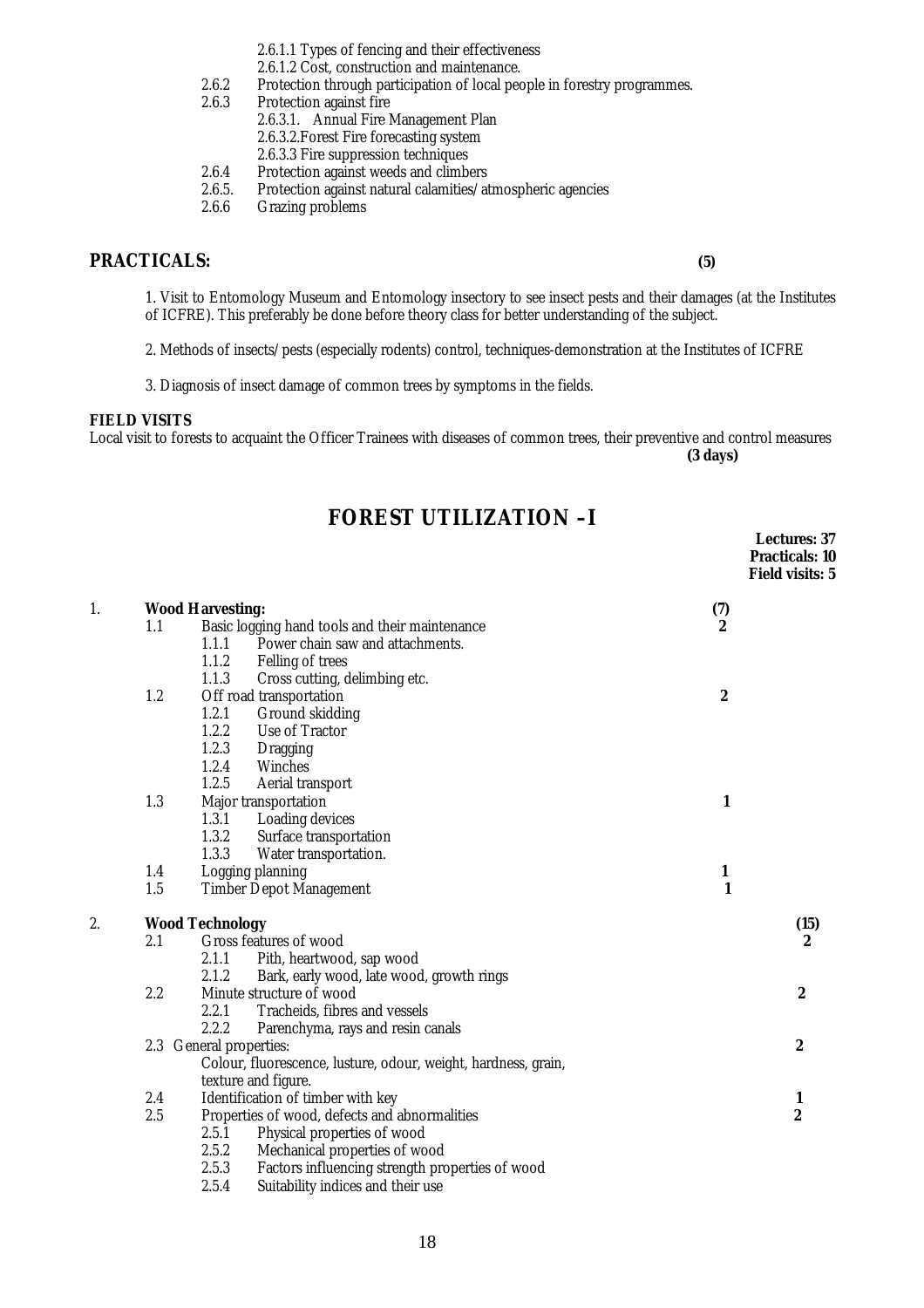- 2.6.1.1 Types of fencing and their effectiveness
- 2.6.1.2 Cost, construction and maintenance.
- 2.6.2 Protection through participation of local people in forestry programmes.<br>2.6.3 Protection against fire
- Protection against fire
	- 2.6.3.1. Annual Fire Management Plan
		- 2.6.3.2.Forest Fire forecasting system
	- 2.6.3.3 Fire suppression techniques
- 
- 2.6.4 Protection against weeds and climbers<br>2.6.5. Protection against natural calamities/at 2.6.5. Protection against natural calamities/atmospheric agencies<br>2.6.6 Grazing problems
- Grazing problems

### **PRACTICALS: (5)**

- 1. Visit to Entomology Museum and Entomology insectory to see insect pests and their damages (at the Institutes of ICFRE). This preferably be done before theory class for better understanding of the subject.
- 2. Methods of insects/pests (especially rodents) control, techniques-demonstration at the Institutes of ICFRE
- 3. Diagnosis of insect damage of common trees by symptoms in the fields.

### **FIELD VISITS**

Local visit to forests to acquaint the Officer Trainees with diseases of common trees, their preventive and control measures **(3 days)**

# **FOREST UTILIZATION –I**

|    |            |                         |                                                                |                              | <b>Lectures: 37</b><br><b>Practicals: 10</b><br><b>Field visits: 5</b> |
|----|------------|-------------------------|----------------------------------------------------------------|------------------------------|------------------------------------------------------------------------|
| 1. |            | <b>Wood Harvesting:</b> |                                                                | (7)                          |                                                                        |
|    | 1.1        |                         | Basic logging hand tools and their maintenance                 | $\boldsymbol{2}$             |                                                                        |
|    |            | 1.1.1                   | Power chain saw and attachments.                               |                              |                                                                        |
|    |            | 1.1.2                   | <b>Felling of trees</b>                                        |                              |                                                                        |
|    |            | 1.1.3                   | Cross cutting, delimbing etc.                                  |                              |                                                                        |
|    | 1.2        |                         | Off road transportation                                        | $\boldsymbol{2}$             |                                                                        |
|    |            | 1.2.1                   | Ground skidding                                                |                              |                                                                        |
|    |            | 1.2.2                   | Use of Tractor                                                 |                              |                                                                        |
|    |            | 1.2.3                   | <b>Dragging</b>                                                |                              |                                                                        |
|    |            | 1.2.4                   | Winches                                                        |                              |                                                                        |
|    |            | 1.2.5                   | Aerial transport                                               |                              |                                                                        |
|    | 1.3        |                         | Major transportation                                           | 1                            |                                                                        |
|    |            | 1.3.1                   | Loading devices                                                |                              |                                                                        |
|    |            | 1.3.2                   | Surface transportation                                         |                              |                                                                        |
|    |            | 1.3.3                   | Water transportation.                                          |                              |                                                                        |
|    | 1.4<br>1.5 |                         | Logging planning                                               | $\mathbf{1}$<br>$\mathbf{1}$ |                                                                        |
|    |            |                         | <b>Timber Depot Management</b>                                 |                              |                                                                        |
| 2. |            | <b>Wood Technology</b>  |                                                                |                              | (15)                                                                   |
|    | 2.1        |                         | Gross features of wood                                         |                              | $\mathbf{2}$                                                           |
|    |            | 2.1.1                   | Pith, heartwood, sap wood                                      |                              |                                                                        |
|    |            | 2.1.2                   | Bark, early wood, late wood, growth rings                      |                              |                                                                        |
|    | 2.2        |                         | Minute structure of wood                                       |                              | $\boldsymbol{2}$                                                       |
|    |            | 2.2.1                   | Tracheids, fibres and vessels                                  |                              |                                                                        |
|    |            | 2.2.2                   | Parenchyma, rays and resin canals                              |                              |                                                                        |
|    |            | 2.3 General properties: |                                                                |                              | $\boldsymbol{2}$                                                       |
|    |            |                         | Colour, fluorescence, lusture, odour, weight, hardness, grain, |                              |                                                                        |
|    |            |                         | texture and figure.                                            |                              |                                                                        |
|    | 2.4        |                         | Identification of timber with key                              |                              | 1                                                                      |
|    | 2.5        |                         | Properties of wood, defects and abnormalities                  |                              | 2                                                                      |
|    |            | 2.5.1                   | Physical properties of wood                                    |                              |                                                                        |
|    |            | 2.5.2                   | Mechanical properties of wood                                  |                              |                                                                        |
|    |            | 2.5.3                   | Factors influencing strength properties of wood                |                              |                                                                        |

2.5.4 Suitability indices and their use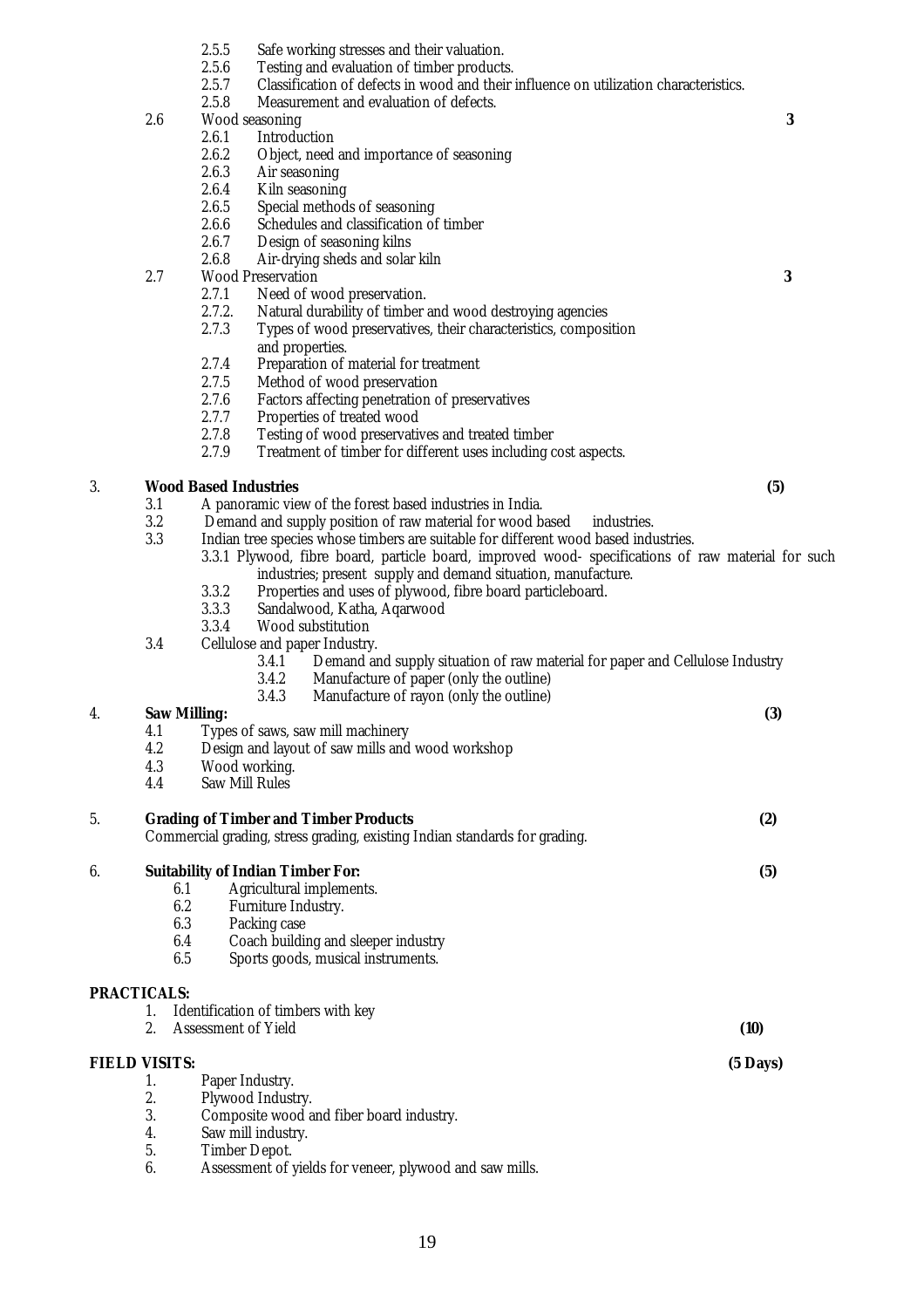- 2.5.5 Safe working stresses and their valuation.<br>2.5.6 Testing and evaluation of timber products
	- 2.5.6 Testing and evaluation of timber products.<br>2.5.7 Classification of defects in wood and their i
	- 2.5.7 Classification of defects in wood and their influence on utilization characteristics.<br>2.5.8 Measurement and evaluation of defects.
- Measurement and evaluation of defects.
- 2.6 Wood seasoning **3**<br>2.6.1 Introduction
	- 2.6.1 Introduction<br>2.6.2 Object. need
	- 2.6.2 Object, need and importance of seasoning<br>2.6.3 Air seasoning
	- 2.6.3 Air seasoning<br>2.6.4 Kiln seasoning
	- 2.6.4 Kiln seasoning<br>2.6.5 Special method
	- 2.6.5 Special methods of seasoning<br>2.6.6 Schedules and classification of
	- 2.6.6 Schedules and classification of timber<br>2.6.7 Design of seasoning kilns
	- 2.6.7 Design of seasoning kilns<br>2.6.8 Air-drying sheds and solar
	- Air-drying sheds and solar kiln
- 2.7 Wood Preservation **3** 
	- 2.7.1 Need of wood preservation.<br>2.7.2 Natural durability of timber a
	- 2.7.2. Natural durability of timber and wood destroying agencies<br>2.7.3 Types of wood preservatives, their characteristics, composity
	- Types of wood preservatives, their characteristics, composition and properties.
	- 2.7.4 Preparation of material for treatment<br>2.7.5 Method of wood preservation
	- 2.7.5 Method of wood preservation<br>2.7.6 Factors affecting penetration c
	- 2.7.6 Factors affecting penetration of preservatives<br>2.7.7 Properties of treated wood
	- 2.7.7 Properties of treated wood<br>2.7.8 Testing of wood preservative
	- 2.7.8 Testing of wood preservatives and treated timber<br>2.7.9 Treatment of timber for different uses including c
	- Treatment of timber for different uses including cost aspects.

### 3. **Wood Based Industries (5)**

- 3.1 A panoramic view of the forest based industries in India.<br>3.2 Demand and supply position of raw material for wood b
- 3.2 Demand and supply position of raw material for wood based industries.<br>3.3 Indian tree species whose timbers are suitable for different wood based indu
- Indian tree species whose timbers are suitable for different wood based industries.
	- 3.3.1 Plywood, fibre board, particle board, improved wood- specifications of raw material for such industries; present supply and demand situation, manufacture.
		- 3.3.2 Properties and uses of plywood, fibre board particleboard.<br>3.3.3 Sandalwood, Katha, Agarwood
		- 3.3.3 Sandalwood, Katha, Aqarwood
		- 3.3.4 Wood substitution
- 3.4 Cellulose and paper Industry.<br>3.4.1 Demand are
	- 3.4.1 Demand and supply situation of raw material for paper and Cellulose Industry<br>3.4.2 Manufacture of paper (only the outline)
	- Manufacture of paper (only the outline)
	- 3.4.3 Manufacture of rayon (only the outline)

### 4. **Saw Milling: (3)**

- 4.1 Types of saws, saw mill machinery
- 4.2 Design and layout of saw mills and wood workshop
- 4.3 Wood working.
- 4.4 Saw Mill Rules

### 5. **Grading of Timber and Timber Products (2)**

| Commercial grading, stress grading, existing Indian standards for grading. |                                          |     |
|----------------------------------------------------------------------------|------------------------------------------|-----|
|                                                                            | <b>Suitability of Indian Timber For.</b> | (5) |
| 6.1                                                                        | Agricultural implements.                 |     |
| 6.2                                                                        | <b>Furniture Industry.</b>               |     |
| 6.3                                                                        | Packing case                             |     |
| 6.4                                                                        | Coach building and sleeper industry      |     |
|                                                                            |                                          |     |

6.5 Sports goods, musical instruments.

### **PRACTICALS:**

- 1. Identification of timbers with key
- 2. Assessment of Yield **(10)**

### **FIELD VISITS: (5 Days)**

- 1. Paper Industry.
- 2. Plywood Industry.
- 3. Composite wood and fiber board industry.
- 4. Saw mill industry.
- 5. Timber Depot.
- 6. Assessment of yields for veneer, plywood and saw mills.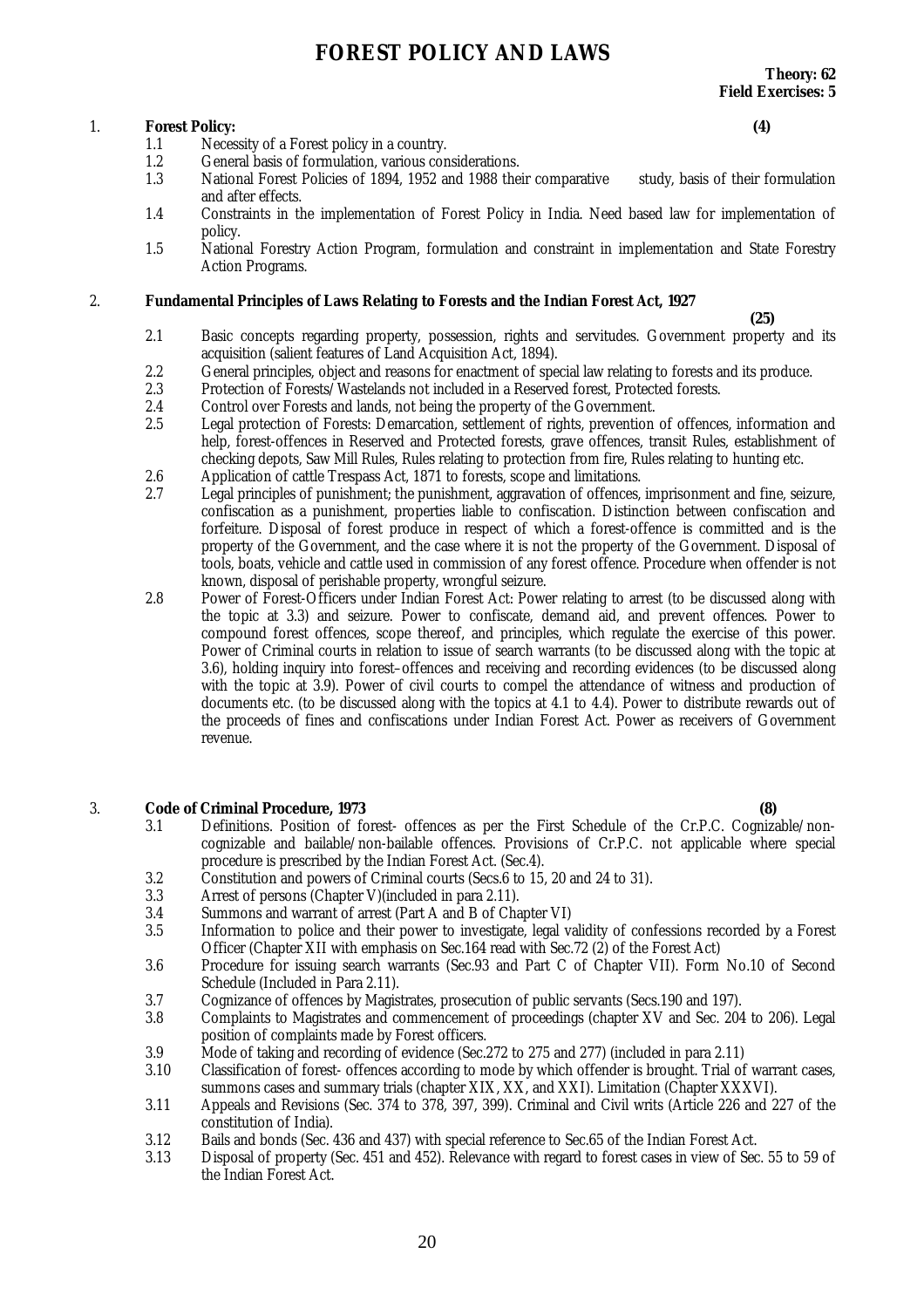# **FOREST POLICY AND LAWS**

- 1. **Forest Policy:** (4) **1.1** Necessity of a Forest policy in a country. 1.1 Necessity of a Forest policy in a country.<br>1.2 General basis of formulation, various con
	- 1.2 General basis of formulation, various considerations.<br>1.3 National Forest Policies of 1894, 1952 and 1988 the
	- National Forest Policies of 1894, 1952 and 1988 their comparative study, basis of their formulation and after effects.
	- 1.4 Constraints in the implementation of Forest Policy in India. Need based law for implementation of policy.
	- 1.5 National Forestry Action Program, formulation and constraint in implementation and State Forestry Action Programs.

### 2. **Fundamental Principles of Laws Relating to Forests and the Indian Forest Act, 1927**

- **(25)** 2.1 Basic concepts regarding property, possession, rights and servitudes. Government property and its acquisition (salient features of Land Acquisition Act, 1894).
- 2.2 General principles, object and reasons for enactment of special law relating to forests and its produce.<br>2.3 Protection of Forests/Wastelands not included in a Reserved forest. Protected forests.
- 2.3 Protection of Forests/Wastelands not included in a Reserved forest, Protected forests.<br>2.4 Control over Forests and lands, not being the property of the Government.
- 2.4 Control over Forests and lands, not being the property of the Government.<br>2.5 Legal protection of Forests: Demarcation, settlement of rights, prevention
- Legal protection of Forests: Demarcation, settlement of rights, prevention of offences, information and help, forest-offences in Reserved and Protected forests, grave offences, transit Rules, establishment of checking depots, Saw Mill Rules, Rules relating to protection from fire, Rules relating to hunting etc.
- 2.6 Application of cattle Trespass Act, 1871 to forests, scope and limitations.<br>2.7 Legal principles of punishment: the punishment, aggravation of offences.
- 2.7 Legal principles of punishment; the punishment, aggravation of offences, imprisonment and fine, seizure, confiscation as a punishment, properties liable to confiscation. Distinction between confiscation and forfeiture. Disposal of forest produce in respect of which a forest-offence is committed and is the property of the Government, and the case where it is not the property of the Government. Disposal of tools, boats, vehicle and cattle used in commission of any forest offence. Procedure when offender is not known, disposal of perishable property, wrongful seizure.
- 2.8 Power of Forest-Officers under Indian Forest Act: Power relating to arrest (to be discussed along with the topic at 3.3) and seizure. Power to confiscate, demand aid, and prevent offences. Power to compound forest offences, scope thereof, and principles, which regulate the exercise of this power. Power of Criminal courts in relation to issue of search warrants (to be discussed along with the topic at 3.6), holding inquiry into forest–offences and receiving and recording evidences (to be discussed along with the topic at 3.9). Power of civil courts to compel the attendance of witness and production of documents etc. (to be discussed along with the topics at 4.1 to 4.4). Power to distribute rewards out of the proceeds of fines and confiscations under Indian Forest Act. Power as receivers of Government revenue.

# 3. **Code of Criminal Procedure, 1973**<br>3.1 Definitions. Position of fo

- Definitions. Position of forest- offences as per the First Schedule of the Cr.P.C. Cognizable/noncognizable and bailable/non-bailable offences. Provisions of Cr.P.C. not applicable where special procedure is prescribed by the Indian Forest Act. (Sec.4).
- 3.2 Constitution and powers of Criminal courts (Secs.6 to 15, 20 and 24 to 31).
- 3.3 Arrest of persons (Chapter V)(included in para 2.11).
- 3.4 Summons and warrant of arrest (Part A and B of Chapter VI)
- 3.5 Information to police and their power to investigate, legal validity of confessions recorded by a Forest Officer (Chapter XII with emphasis on Sec.164 read with Sec.72 (2) of the Forest Act)
- 3.6 Procedure for issuing search warrants (Sec.93 and Part C of Chapter VII). Form No.10 of Second Schedule (Included in Para 2.11).
- 3.7 Cognizance of offences by Magistrates, prosecution of public servants (Secs.190 and 197).
- 3.8 Complaints to Magistrates and commencement of proceedings (chapter XV and Sec. 204 to 206). Legal position of complaints made by Forest officers.
- 3.9 Mode of taking and recording of evidence (Sec.272 to 275 and 277) (included in para 2.11)
- 3.10 Classification of forest- offences according to mode by which offender is brought. Trial of warrant cases, summons cases and summary trials (chapter XIX, XX, and XXI). Limitation (Chapter XXXVI).
- 3.11 Appeals and Revisions (Sec. 374 to 378, 397, 399). Criminal and Civil writs (Article 226 and 227 of the constitution of India).
- 3.12 Bails and bonds (Sec. 436 and 437) with special reference to Sec.65 of the Indian Forest Act.
- 3.13 Disposal of property (Sec. 451 and 452). Relevance with regard to forest cases in view of Sec. 55 to 59 of the Indian Forest Act.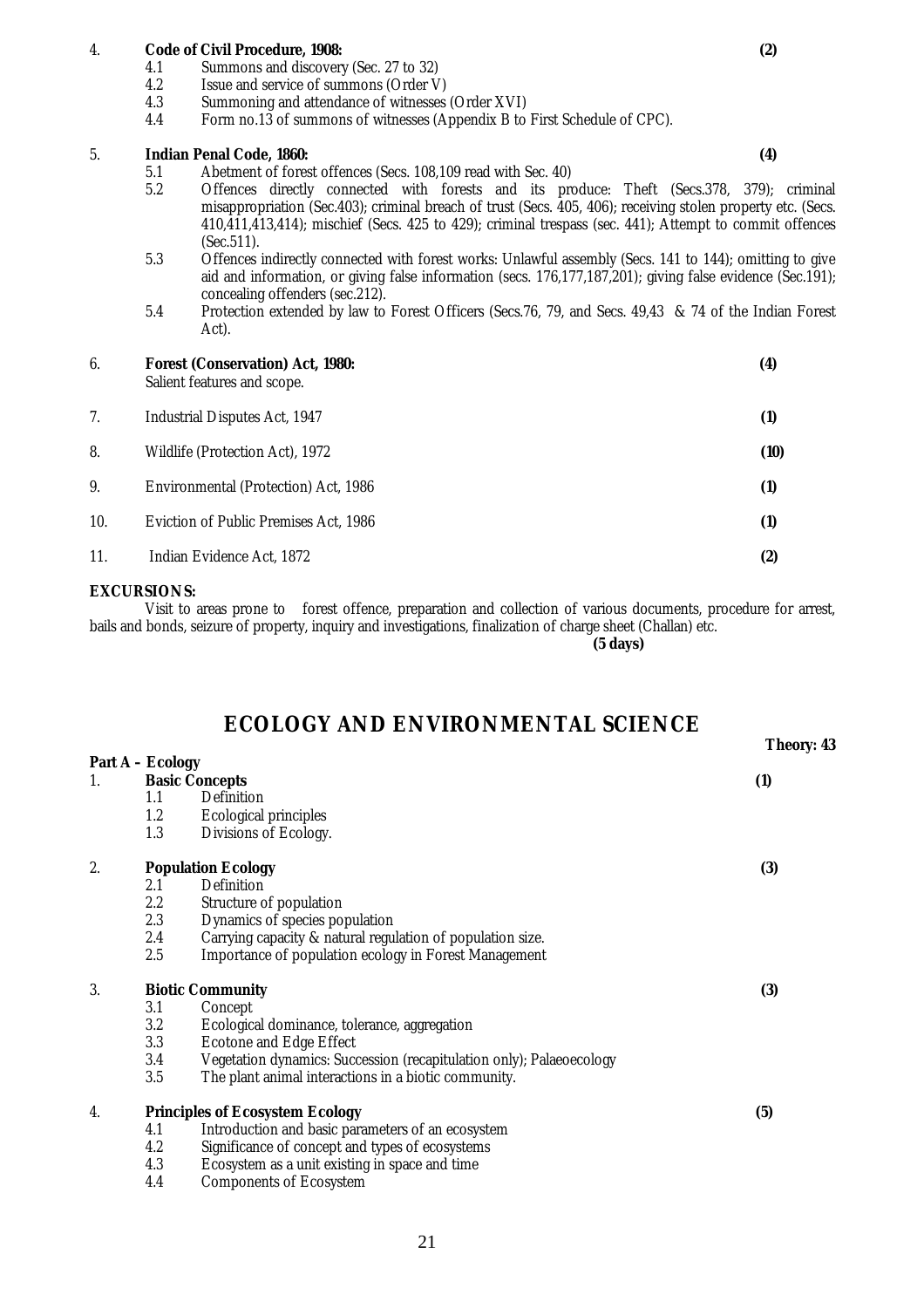- 4. **Code of Civil Procedure, 1908: (2)** 4.1 Summons and discovery (Sec. 27 to 32)<br>4.2 Issue and service of summons (Order V
	- 4.2 Issue and service of summons (Order V)<br>4.3 Summoning and attendance of witnesses
	- 4.3 Summoning and attendance of witnesses (Order XVI)<br>4.4 Form no.13 of summons of witnesses (Appendix B to
	- Form no.13 of summons of witnesses (Appendix B to First Schedule of CPC).

### 5. **Indian Penal Code, 1860: (4)**

- 5.1 Abetment of forest offences (Secs. 108,109 read with Sec. 40)<br>5.2 Offences directly connected with forests and its pro-
- 5.2 Offences directly connected with forests and its produce: Theft (Secs.378, 379); criminal misappropriation (Sec.403); criminal breach of trust (Secs. 405, 406); receiving stolen property etc. (Secs. 410,411,413,414); mischief (Secs. 425 to 429); criminal trespass (sec. 441); Attempt to commit offences (Sec.511).
- 5.3 Offences indirectly connected with forest works: Unlawful assembly (Secs. 141 to 144); omitting to give aid and information, or giving false information (secs. 176,177,187,201); giving false evidence (Sec.191); concealing offenders (sec.212).
- 5.4 Protection extended by law to Forest Officers (Secs.76, 79, and Secs. 49,43 & 74 of the Indian Forest Act).

| 6.  | <b>Forest (Conservation) Act, 1980:</b><br>Salient features and scope. | $\left(4\right)$ |
|-----|------------------------------------------------------------------------|------------------|
| 7.  | <b>Industrial Disputes Act, 1947</b>                                   | (1)              |
| 8.  | Wildlife (Protection Act), 1972                                        | (10)             |
| 9.  | Environmental (Protection) Act, 1986                                   | (1)              |
| 10. | Eviction of Public Premises Act, 1986                                  | (1)              |
| 11. | Indian Evidence Act, 1872                                              | (2)              |

### **EXCURSIONS:**

Visit to areas prone to forest offence, preparation and collection of various documents, procedure for arrest, bails and bonds, seizure of property, inquiry and investigations, finalization of charge sheet (Challan) etc.

**(5 days)**

### **ECOLOGY AND ENVIRONMENTAL SCIENCE**

| Part A – Ecology |         |                                                                      | 1 neory: |
|------------------|---------|----------------------------------------------------------------------|----------|
| 1.               |         | <b>Basic Concepts</b>                                                | (1)      |
|                  | 1.1     | Definition                                                           |          |
|                  | 1.2     | Ecological principles                                                |          |
|                  | 1.3     | Divisions of Ecology.                                                |          |
| 2.               |         | <b>Population Ecology</b>                                            | (3)      |
|                  | 2.1     | Definition                                                           |          |
|                  | $2.2\,$ | Structure of population                                              |          |
|                  | 2.3     | Dynamics of species population                                       |          |
|                  | 2.4     | Carrying capacity & natural regulation of population size.           |          |
|                  | 2.5     | Importance of population ecology in Forest Management                |          |
| 3.               |         | <b>Biotic Community</b>                                              | (3)      |
|                  | 3.1     | Concept                                                              |          |
|                  | 3.2     | Ecological dominance, tolerance, aggregation                         |          |
|                  | 3.3     | <b>Ecotone and Edge Effect</b>                                       |          |
|                  | 3.4     | Vegetation dynamics: Succession (recapitulation only); Palaeoecology |          |
|                  | 3.5     | The plant animal interactions in a biotic community.                 |          |
| 4.               |         | <b>Principles of Ecosystem Ecology</b>                               | (5)      |
|                  | 4.1     | Introduction and basic parameters of an ecosystem                    |          |
|                  | 4.2     | Significance of concept and types of ecosystems                      |          |
|                  | 4.3     | Ecosystem as a unit existing in space and time                       |          |
|                  |         |                                                                      |          |

4.4 Components of Ecosystem

**Theory: 43**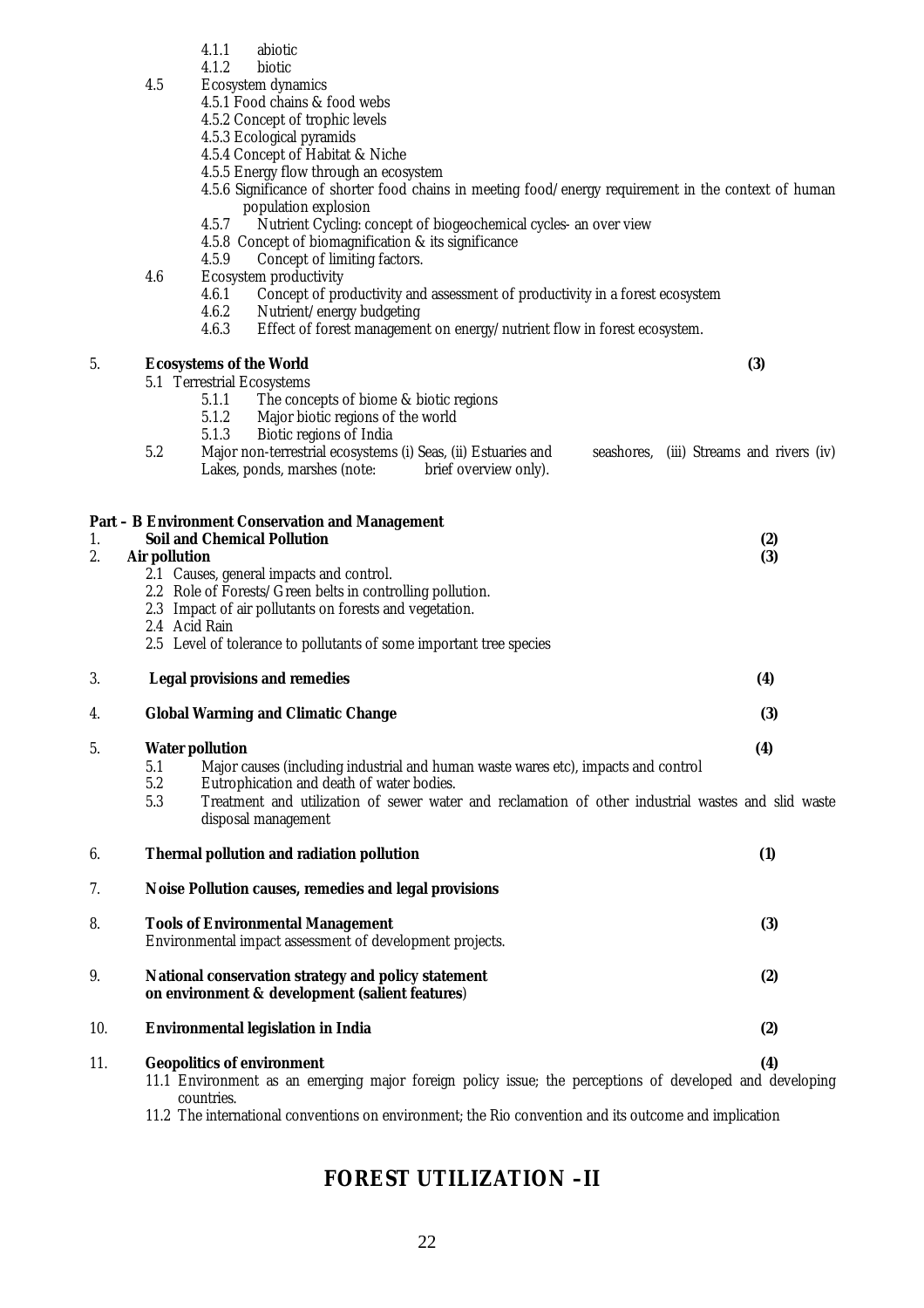- 
- 4.1.1 abiotic **biotic**
- 4.5 Ecosystem dynamics
	- 4.5.1 Food chains & food webs
	- 4.5.2 Concept of trophic levels
	- 4.5.3 Ecological pyramids
	- 4.5.4 Concept of Habitat & Niche
	- 4.5.5 Energy flow through an ecosystem
	- 4.5.6 Significance of shorter food chains in meeting food/energy requirement in the context of human population explosion
	- 4.5.7 Nutrient Cycling: concept of biogeochemical cycles- an over view
	- 4.5.8 Concept of biomagnification & its significance
	- Concept of limiting factors.
- 4.6 Ecosystem productivity
	- 4.6.1 Concept of productivity and assessment of productivity in a forest ecosystem 4.6.2 Nutrient/energy budgeting
	- 4.6.2 Nutrient/energy budgeting<br>4.6.3 Effect of forest management
	- Effect of forest management on energy/nutrient flow in forest ecosystem.

### 5. **Ecosystems of the World (3)**

| 5.1 Terrestrial Ecosystems |
|----------------------------|
|                            |
|                            |

- 5.1.1 The concepts of biome & biotic regions<br>5.1.2 Major biotic regions of the world
- 5.1.2 Major biotic regions of the world<br>5.1.3 Biotic regions of India
- Biotic regions of India

| 5.2 | Major non-terrestrial ecosystems (i) Seas, (ii) Estuaries and |                       | seashores, (iii) Streams and rivers (iv) |  |  |  |
|-----|---------------------------------------------------------------|-----------------------|------------------------------------------|--|--|--|
|     | Lakes, ponds, marshes (note:                                  | brief overview only). |                                          |  |  |  |

| 1.  | <b>Part - B Environment Conservation and Management</b><br><b>Soil and Chemical Pollution</b>                                                                                                                                                                                                               | (2) |
|-----|-------------------------------------------------------------------------------------------------------------------------------------------------------------------------------------------------------------------------------------------------------------------------------------------------------------|-----|
| 2.  | <b>Air pollution</b><br>2.1 Causes, general impacts and control.<br>2.2 Role of Forests/Green belts in controlling pollution.<br>2.3 Impact of air pollutants on forests and vegetation.<br>2.4 Acid Rain<br>2.5 Level of tolerance to pollutants of some important tree species                            | (3) |
| 3.  | <b>Legal provisions and remedies</b>                                                                                                                                                                                                                                                                        | (4) |
| 4.  | <b>Global Warming and Climatic Change</b>                                                                                                                                                                                                                                                                   | (3) |
| 5.  | <b>Water pollution</b><br>Major causes (including industrial and human waste wares etc), impacts and control<br>5.1<br>5.2<br>Eutrophication and death of water bodies.<br>Treatment and utilization of sewer water and reclamation of other industrial wastes and slid waste<br>5.3<br>disposal management | (4) |
| 6.  | Thermal pollution and radiation pollution                                                                                                                                                                                                                                                                   | (1) |
| 7.  | <b>Noise Pollution causes, remedies and legal provisions</b>                                                                                                                                                                                                                                                |     |
| 8.  | <b>Tools of Environmental Management</b><br>Environmental impact assessment of development projects.                                                                                                                                                                                                        | (3) |
| 9.  | National conservation strategy and policy statement<br>on environment & development (salient features)                                                                                                                                                                                                      | (2) |
| 10. | <b>Environmental legislation in India</b>                                                                                                                                                                                                                                                                   | (2) |
| 11. | <b>Geopolitics of environment</b><br>11.1 Environment as an emerging major foreign policy issue: the perceptions of developed and developing                                                                                                                                                                | (4) |

11.1 Environment as an emerging major foreign policy issue; the perceptions of developed and developing countries.

11.2 The international conventions on environment; the Rio convention and its outcome and implication

# **FOREST UTILIZATION –II**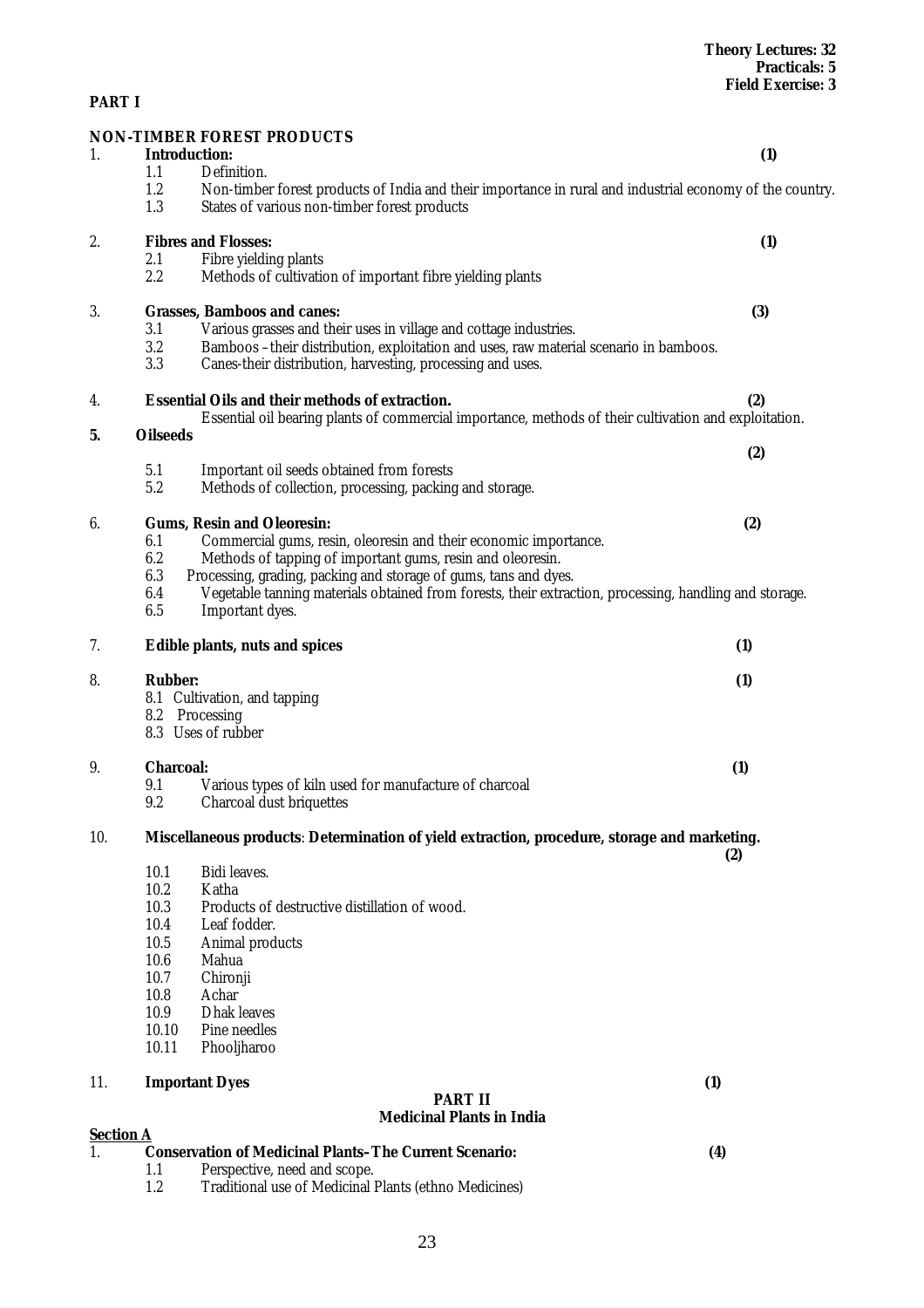| 1.  |                  | <b>Introduction:</b>                                                                                     | (1) |
|-----|------------------|----------------------------------------------------------------------------------------------------------|-----|
|     | 1.1              | Definition.                                                                                              |     |
|     | 1.2              | Non-timber forest products of India and their importance in rural and industrial economy of the country. |     |
|     | 1.3              | States of various non-timber forest products                                                             |     |
| 2.  |                  | <b>Fibres and Flosses:</b>                                                                               | (1) |
|     | 2.1              | Fibre yielding plants                                                                                    |     |
|     | 2.2              | Methods of cultivation of important fibre yielding plants                                                |     |
| 3.  |                  | <b>Grasses, Bamboos and canes:</b>                                                                       | (3) |
|     | 3.1              | Various grasses and their uses in village and cottage industries.                                        |     |
|     | $3.2\,$          | Bamboos - their distribution, exploitation and uses, raw material scenario in bamboos.                   |     |
|     | 3.3              | Canes-their distribution, harvesting, processing and uses.                                               |     |
| 4.  |                  | <b>Essential Oils and their methods of extraction.</b>                                                   | (2) |
|     |                  | Essential oil bearing plants of commercial importance, methods of their cultivation and exploitation.    |     |
| 5.  | <b>Oilseeds</b>  |                                                                                                          |     |
|     |                  |                                                                                                          | (2) |
|     | 5.1              | Important oil seeds obtained from forests                                                                |     |
|     | 5.2              | Methods of collection, processing, packing and storage.                                                  |     |
| 6.  |                  | <b>Gums, Resin and Oleoresin:</b>                                                                        | (2) |
|     | 6.1              | Commercial gums, resin, oleoresin and their economic importance.                                         |     |
|     | 6.2              | Methods of tapping of important gums, resin and oleoresin.                                               |     |
|     | 6.3              | Processing, grading, packing and storage of gums, tans and dyes.                                         |     |
|     | 6.4              | Vegetable tanning materials obtained from forests, their extraction, processing, handling and storage.   |     |
|     | 6.5              | Important dyes.                                                                                          |     |
| 7.  |                  | <b>Edible plants, nuts and spices</b>                                                                    | (1) |
| 8.  | <b>Rubber:</b>   |                                                                                                          | (1) |
|     |                  | 8.1 Cultivation, and tapping                                                                             |     |
|     |                  | 8.2 Processing                                                                                           |     |
|     |                  | 8.3 Uses of rubber                                                                                       |     |
| 9.  | <b>Charcoal:</b> |                                                                                                          | (1) |
|     | 9.1              | Various types of kiln used for manufacture of charcoal                                                   |     |
|     | 9.2              | Charcoal dust briquettes                                                                                 |     |
| 10. |                  | Miscellaneous products: Determination of yield extraction, procedure, storage and marketing.             |     |
|     |                  |                                                                                                          | (2) |
|     | 10.1             | Bidi leaves.                                                                                             |     |
|     | 10.2             | Katha                                                                                                    |     |
|     | 10.3             | Products of destructive distillation of wood.                                                            |     |
|     | 10.4             | Leaf fodder.                                                                                             |     |
|     | 10.5             | Animal products                                                                                          |     |
|     | 10.6<br>10.7     | Mahua                                                                                                    |     |
|     | 10.8             | Chironji<br>Achar                                                                                        |     |
|     | 10.9             | <b>Dhak</b> leaves                                                                                       |     |
|     | 10.10            | Pine needles                                                                                             |     |
|     | 10.11            | Phooljharoo                                                                                              |     |
| 11. |                  | <b>Important Dyes</b>                                                                                    | (1) |
|     |                  | <b>PART II</b>                                                                                           |     |
|     |                  | <b>Medicinal Plants in India</b>                                                                         |     |

# **<u>Section A</u>**<br>1. **C Conservation of Medicinal Plants–The Current Scenario:** (4)<br>1.1 Perspective, need and scope.

1.1 Perspective, need and scope.<br>1.2 Traditional use of Medicinal l

**PART I**

**NON-TIMBER FOREST PRODUCTS**

Traditional use of Medicinal Plants (ethno Medicines)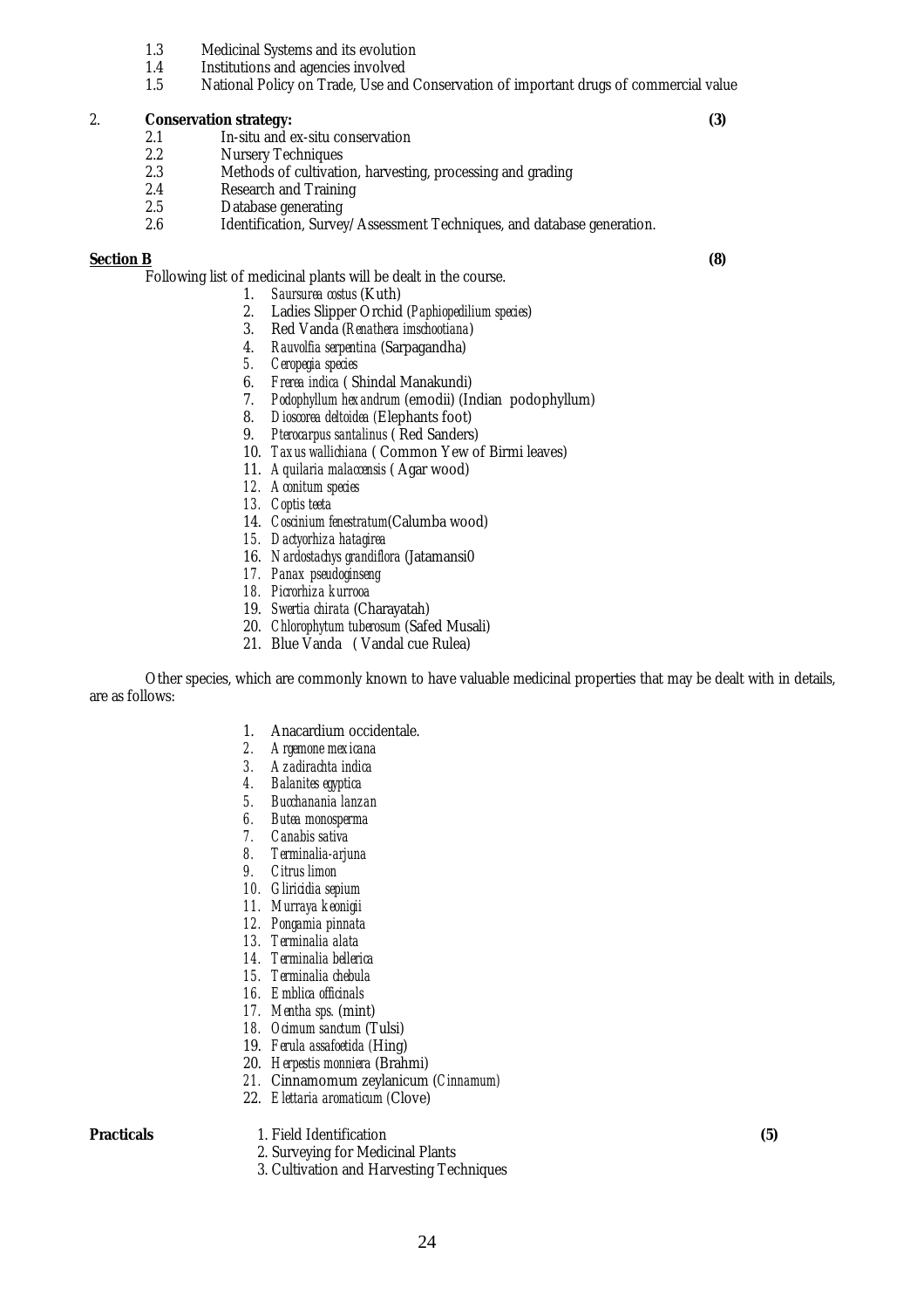- 1.3 Medicinal Systems and its evolution<br>1.4 Institutions and agencies involved
- 1.4 Institutions and agencies involved<br>1.5 National Policy on Trade. Use and
- National Policy on Trade, Use and Conservation of important drugs of commercial value

### 2. **Conservation strategy: (3)**

- 2.1 In-situ and ex-situ conservation<br>2.2 Nurserv Techniques
- 2.2 Nursery Techniques<br>2.3 Methods of cultivation
- 2.3 Methods of cultivation, harvesting, processing and grading<br>2.4 Research and Training
- 2.4 Research and Training<br>2.5 Database generating
- 2.5 Database generating<br>2.6 Identification. Survey
- Identification, Survey/Assessment Techniques, and database generation.

### **Section B (8)**

Following list of medicinal plants will be dealt in the course.

- 1. *Saursurea costus* (Kuth)
- 2. Ladies Slipper Orchid (*Paphiopedilium species*)
- 3. Red Vanda (*Renathera imschootiana*)
- 4. *Rauvolfia serpentina* (Sarpagandha)
- *5. Ceropegia species*
- 6. *Frerea indica* ( Shindal Manakundi)
- 7. *Podophyllum hexandrum* (emodii) (Indian podophyllum)
- 8. *Dioscorea deltoidea (*Elephants foot)
- 9. *Pterocarpus santalinus* ( Red Sanders)
- 10. *Taxus wallichiana* ( Common Yew of Birmi leaves)
- 11. *Aquilaria malaccensis* ( Agar wood)
- *12. Aconitum species*
- *13. Coptis teeta*
- 14. *Coscinium fenestratum*(Calumba wood)
- *15. Dactyorhiza hatagirea*
- 16. *Nardostachys grandiflora* (Jatamansi0
- *17. Panax pseudoginseng*
- *18. Picrorhiza kurrooa*
- 19. *Swertia chirata* (Charayatah)
- 20. *Chlorophytum tuberosum* (Safed Musali)
- 21. Blue Vanda ( Vandal cue Rulea)

Other species, which are commonly known to have valuable medicinal properties that may be dealt with in details, are as follows:

- 1. Anacardium occidentale.
- *2. Argemone mexicana*
- *3. Azadirachta indica*
- *4. Balanites egyptica*
- *5. Bucchanania lanzan*
- *6. Butea monosperma*
- *7. Canabis sativa*
- *8. Terminalia-arjuna*
- *9. Citrus limon*
- *10. Gliricidia sepium*
- *11. Murraya keonigii*
- *12. Pongamia pinnata*
- *13. Terminalia alata*
- *14. Terminalia bellerica*
- *15. Terminalia chebula*
- *16. Emblica officinals*
- *17. Mentha sps.* (mint)
- *18. Ocimum sanctum* (Tulsi)
- 19. *Ferula assafoetida (*Hing)
- 20. *Herpestis monniera* (Brahmi)
- *21.* Cinnamomum zeylanicum (*Cinnamum)*
- 22. *Elettaria aromaticum (*Clove)

- **Practicals** 1. Field Identification **(5)**
	- 2. Surveying for Medicinal Plants
	- 3. Cultivation and Harvesting Techniques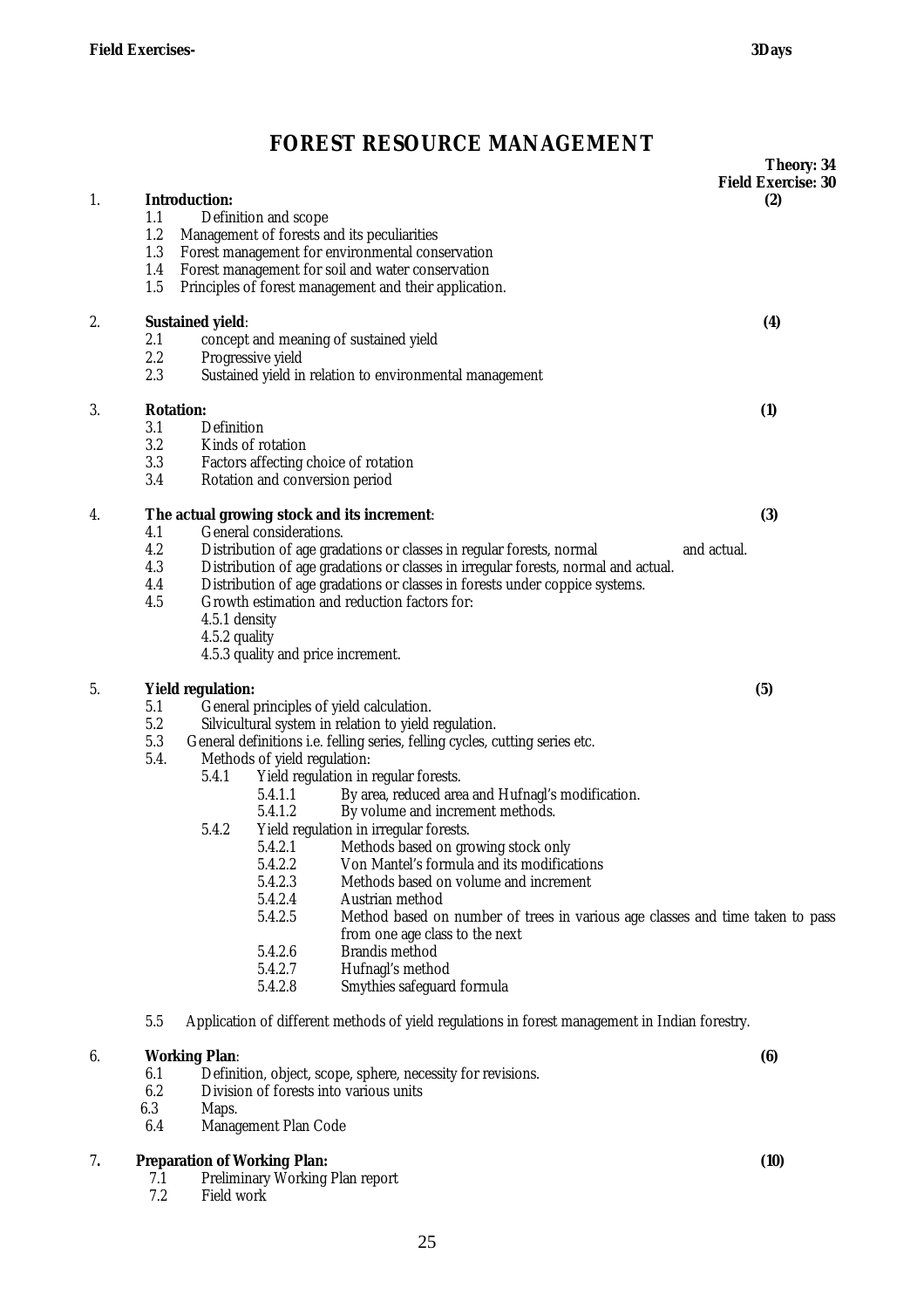# **FOREST RESOURCE MANAGEMENT**

| 1. |            | <b>Introduction:</b>     |                              |                                                                                                | Theory: 34<br><b>Field Exercise: 30</b><br>(2) |
|----|------------|--------------------------|------------------------------|------------------------------------------------------------------------------------------------|------------------------------------------------|
|    | 1.1        |                          | Definition and scope         |                                                                                                |                                                |
|    | 1.2        |                          |                              | Management of forests and its peculiarities                                                    |                                                |
|    | 1.3        |                          |                              | Forest management for environmental conservation                                               |                                                |
|    | 1.4        |                          |                              | Forest management for soil and water conservation                                              |                                                |
|    | 1.5        |                          |                              | Principles of forest management and their application.                                         |                                                |
| 2. |            | <b>Sustained yield:</b>  |                              |                                                                                                | (4)                                            |
|    | 2.1        |                          |                              | concept and meaning of sustained yield                                                         |                                                |
|    | 2.2        |                          | Progressive yield            |                                                                                                |                                                |
|    | 2.3        |                          |                              | Sustained yield in relation to environmental management                                        |                                                |
| 3. |            | <b>Rotation:</b>         |                              |                                                                                                | (1)                                            |
|    | 3.1        | Definition               |                              |                                                                                                |                                                |
|    | $3.2\,$    |                          | Kinds of rotation            |                                                                                                |                                                |
|    | 3.3<br>3.4 |                          |                              | Factors affecting choice of rotation<br>Rotation and conversion period                         |                                                |
|    |            |                          |                              |                                                                                                |                                                |
| 4. | 4.1        |                          | General considerations.      | The actual growing stock and its increment:                                                    | (3)                                            |
|    | 4.2        |                          |                              | Distribution of age gradations or classes in regular forests, normal                           | and actual.                                    |
|    | 4.3        |                          |                              | Distribution of age gradations or classes in irregular forests, normal and actual.             |                                                |
|    | 4.4        |                          |                              | Distribution of age gradations or classes in forests under coppice systems.                    |                                                |
|    | 4.5        |                          |                              | Growth estimation and reduction factors for:                                                   |                                                |
|    |            | 4.5.1 density            |                              |                                                                                                |                                                |
|    |            | 4.5.2 quality            |                              |                                                                                                |                                                |
|    |            |                          |                              | 4.5.3 quality and price increment.                                                             |                                                |
| 5. |            | <b>Yield regulation:</b> |                              |                                                                                                | (5)                                            |
|    | 5.1        |                          |                              | General principles of yield calculation.                                                       |                                                |
|    | 5.2        |                          |                              | Silvicultural system in relation to yield regulation.                                          |                                                |
|    | 5.3        |                          |                              | General definitions i.e. felling series, felling cycles, cutting series etc.                   |                                                |
|    | 5.4.       |                          | Methods of yield regulation: |                                                                                                |                                                |
|    |            | 5.4.1                    |                              | Yield regulation in regular forests.                                                           |                                                |
|    |            |                          | 5.4.1.1<br>5.4.1.2           | By area, reduced area and Hufnagl's modification.                                              |                                                |
|    |            | 5.4.2                    |                              | By volume and increment methods.<br>Yield regulation in irregular forests.                     |                                                |
|    |            |                          | 5.4.2.1                      | Methods based on growing stock only                                                            |                                                |
|    |            |                          | 5.4.2.2                      | Von Mantel's formula and its modifications                                                     |                                                |
|    |            |                          | 5.4.2.3                      | Methods based on volume and increment                                                          |                                                |
|    |            |                          | 5.4.2.4                      | Austrian method                                                                                |                                                |
|    |            |                          | 5.4.2.5                      | Method based on number of trees in various age classes and time taken to pass                  |                                                |
|    |            |                          |                              | from one age class to the next                                                                 |                                                |
|    |            |                          | 5.4.2.6                      | <b>Brandis method</b>                                                                          |                                                |
|    |            |                          | 5.4.2.7                      | Hufnagl's method                                                                               |                                                |
|    |            |                          | 5.4.2.8                      | Smythies safeguard formula                                                                     |                                                |
|    | 5.5        |                          |                              | Application of different methods of yield regulations in forest management in Indian forestry. |                                                |
| 6. |            | <b>Working Plan:</b>     |                              |                                                                                                | (6)                                            |
|    | 6.1        |                          |                              | Definition, object, scope, sphere, necessity for revisions.                                    |                                                |
|    | 6.2<br>eΩ  | $M_{\odot}$              |                              | Division of forests into various units                                                         |                                                |

 6.3 Maps. Management Plan Code

### 7**. Preparation of Working Plan: (10)**

- 7.1 Preliminary Working Plan report
- 7.2 Field work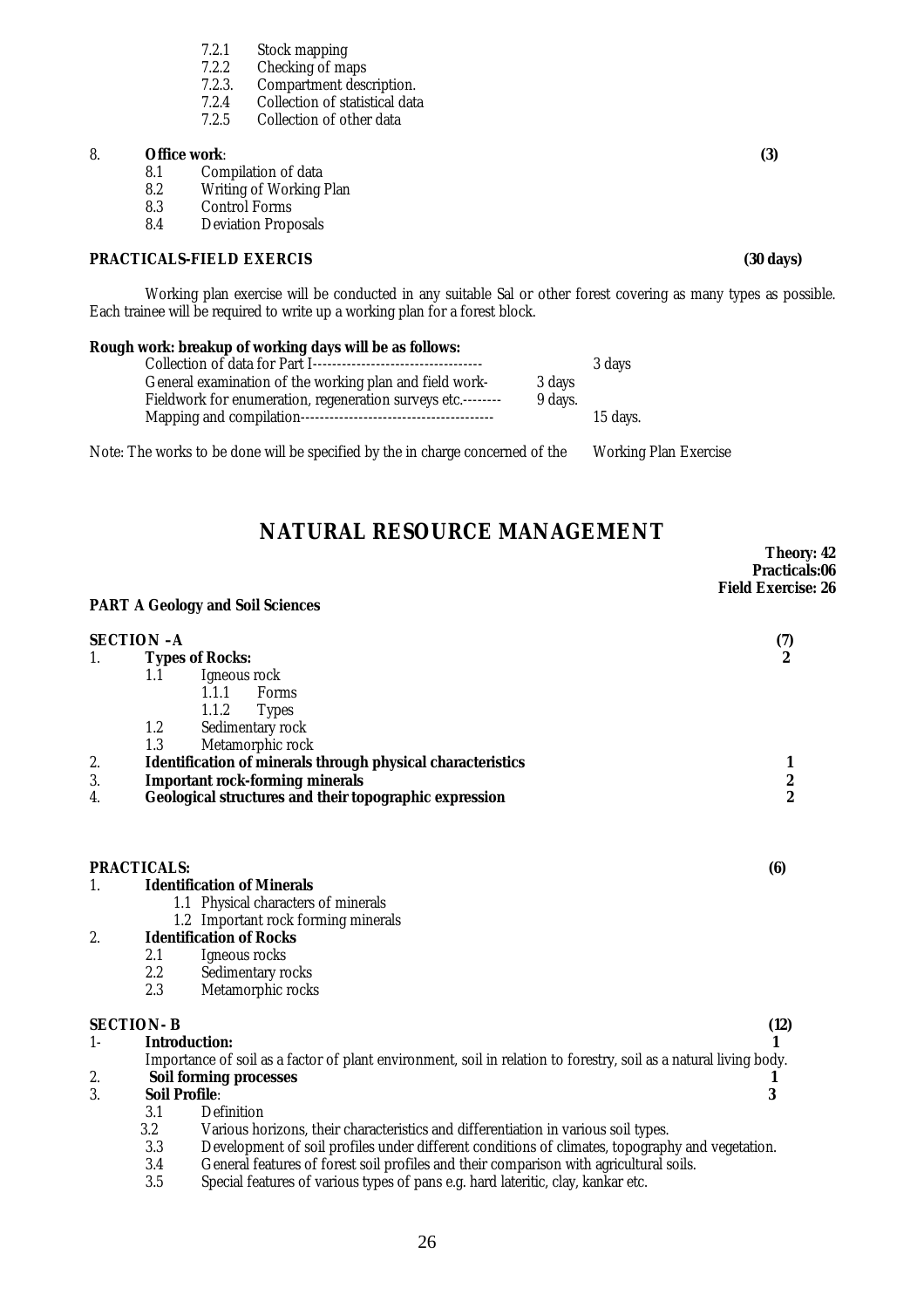- 7.2.1 Stock mapping<br>7.2.2 Checking of ma
- 7.2.2 Checking of maps<br>7.2.3. Compartment desc
- 7.2.3. Compartment description.<br>7.2.4 Collection of statistical data
- 7.2.4 Collection of statistical data<br>7.2.5 Collection of other data
- Collection of other data

- 8. **Office work**: (3)<br>8.1 Compilation of data 8.1 Compilation of data<br>8.2 Writing of Working
	- 8.2 Writing of Working Plan<br>8.3 Control Forms
	- 8.3 Control Forms<br>8.4 Deviation Prop
	- **Deviation Proposals**

### **PRACTICALS-FIELD EXERCIS (30 days)**

Working plan exercise will be conducted in any suitable Sal or other forest covering as many types as possible. Each trainee will be required to write up a working plan for a forest block.

| Rough work: breakup of working days will be as follows:                                                                         | 3 days                       |          |
|---------------------------------------------------------------------------------------------------------------------------------|------------------------------|----------|
| General examination of the working plan and field work-                                                                         | 3 days                       |          |
| Fieldwork for enumeration, regeneration surveys etc.--------<br>Mapping and compilation--<br>---------------------------------- | 9 days.                      | 15 days. |
| Note: The works to be done will be specified by the in charge concerned of the                                                  | <b>Working Plan Exercise</b> |          |

# **NATURAL RESOURCE MANAGEMENT**

|                                                                                                                                                                                                                                                                                                      | Theory: 42<br>Practicals:06<br><b>Field Exercise: 26</b>                                                                                                                                                                                                                                                                                                                                                                                                   |
|------------------------------------------------------------------------------------------------------------------------------------------------------------------------------------------------------------------------------------------------------------------------------------------------------|------------------------------------------------------------------------------------------------------------------------------------------------------------------------------------------------------------------------------------------------------------------------------------------------------------------------------------------------------------------------------------------------------------------------------------------------------------|
| <b>PART A Geology and Soil Sciences</b>                                                                                                                                                                                                                                                              |                                                                                                                                                                                                                                                                                                                                                                                                                                                            |
| <b>SECTION -A</b>                                                                                                                                                                                                                                                                                    | (7)                                                                                                                                                                                                                                                                                                                                                                                                                                                        |
| <b>Types of Rocks:</b><br>Igneous rock<br>1.1<br>1.1.1<br>Forms                                                                                                                                                                                                                                      | $\boldsymbol{2}$                                                                                                                                                                                                                                                                                                                                                                                                                                           |
| 1.2<br>Sedimentary rock<br>1.3<br>Metamorphic rock                                                                                                                                                                                                                                                   |                                                                                                                                                                                                                                                                                                                                                                                                                                                            |
|                                                                                                                                                                                                                                                                                                      | 1<br>2                                                                                                                                                                                                                                                                                                                                                                                                                                                     |
| Geological structures and their topographic expression                                                                                                                                                                                                                                               | $\overline{2}$                                                                                                                                                                                                                                                                                                                                                                                                                                             |
| <b>PRACTICALS:</b>                                                                                                                                                                                                                                                                                   | (6)                                                                                                                                                                                                                                                                                                                                                                                                                                                        |
| <b>Identification of Minerals</b><br>1.1 Physical characters of minerals                                                                                                                                                                                                                             |                                                                                                                                                                                                                                                                                                                                                                                                                                                            |
| <b>Identification of Rocks</b>                                                                                                                                                                                                                                                                       |                                                                                                                                                                                                                                                                                                                                                                                                                                                            |
| 2.1<br>Igneous rocks                                                                                                                                                                                                                                                                                 |                                                                                                                                                                                                                                                                                                                                                                                                                                                            |
| 2.3<br>Metamorphic rocks                                                                                                                                                                                                                                                                             |                                                                                                                                                                                                                                                                                                                                                                                                                                                            |
|                                                                                                                                                                                                                                                                                                      | (12)                                                                                                                                                                                                                                                                                                                                                                                                                                                       |
| <b>Introduction:</b>                                                                                                                                                                                                                                                                                 |                                                                                                                                                                                                                                                                                                                                                                                                                                                            |
| <b>Soil forming processes</b>                                                                                                                                                                                                                                                                        | 1                                                                                                                                                                                                                                                                                                                                                                                                                                                          |
| <b>Soil Profile:</b>                                                                                                                                                                                                                                                                                 | 3                                                                                                                                                                                                                                                                                                                                                                                                                                                          |
| 3.2<br>Various horizons, their characteristics and differentiation in various soil types.<br>3.3<br>Development of soil profiles under different conditions of climates, topography and vegetation.<br>3.4<br>General features of forest soil profiles and their comparison with agricultural soils. |                                                                                                                                                                                                                                                                                                                                                                                                                                                            |
|                                                                                                                                                                                                                                                                                                      | 1.1.2<br><b>Types</b><br>Identification of minerals through physical characteristics<br><b>Important rock-forming minerals</b><br>1.2 Important rock forming minerals<br>2.2<br>Sedimentary rocks<br><b>SECTION-B</b><br>Importance of soil as a factor of plant environment, soil in relation to forestry, soil as a natural living body.<br>3.1<br>Definition<br>3.5<br>Special features of various types of pans e.g. hard lateritic, clay, kankar etc. |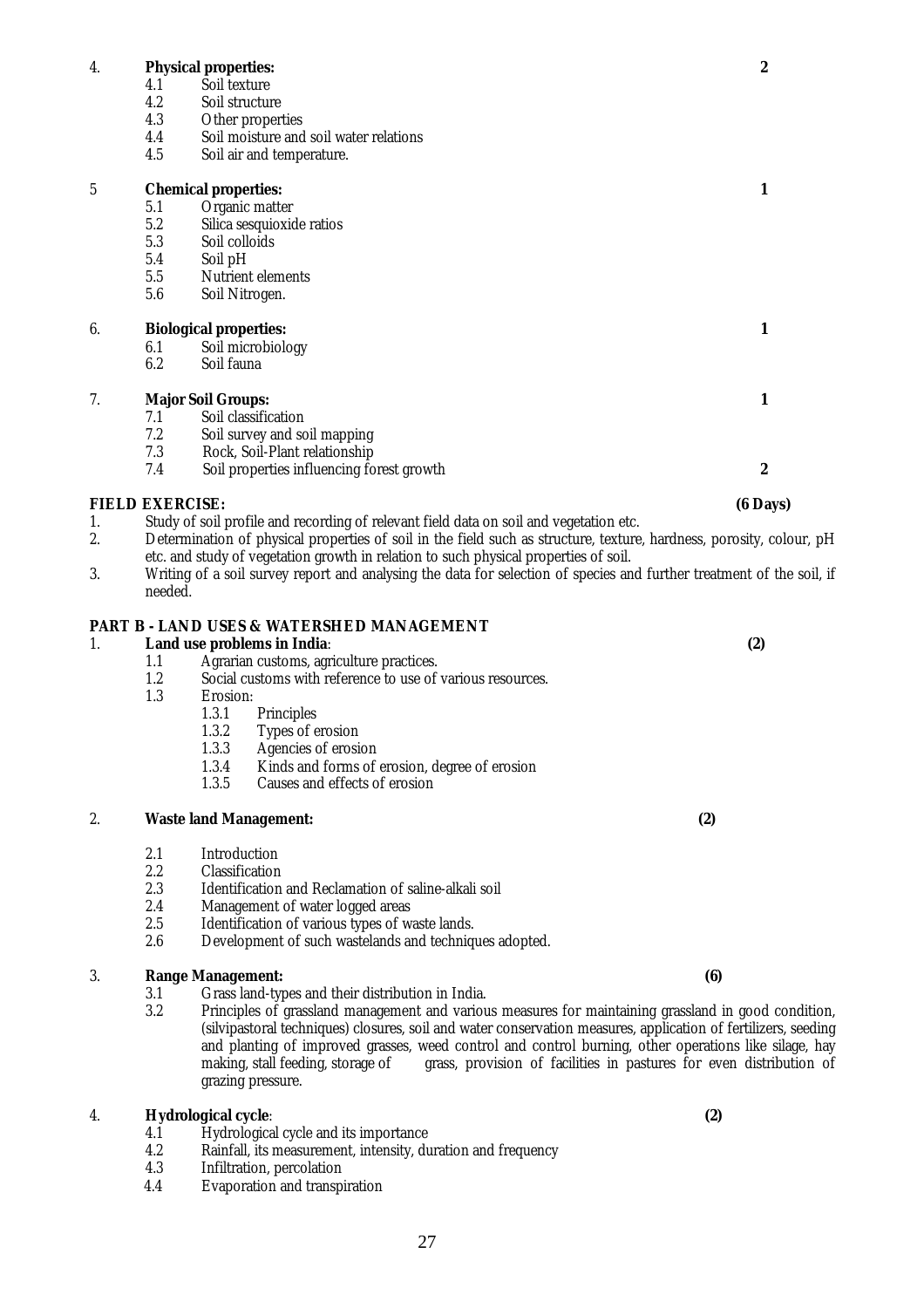# 4. **Physical properties:** 2<br>4.1 Soil texture

- 4.1 Soil texture<br>4.2 Soil structure
- 
- 4.2 Soil structure<br>4.3 Other proper
- 4.3 Other properties<br>4.4 Soil moisture and Soil moisture and soil water relations
- 

|    | 4.5                    | Soil air and temperature.                                                              |          |
|----|------------------------|----------------------------------------------------------------------------------------|----------|
| 5  |                        | <b>Chemical properties:</b>                                                            |          |
|    | 5.1                    | Organic matter                                                                         |          |
|    | 5.2                    | Silica sesquioxide ratios                                                              |          |
|    | 5.3                    | Soil colloids                                                                          |          |
|    | 5.4                    | Soil pH                                                                                |          |
|    | 5.5                    | Nutrient elements                                                                      |          |
|    | 5.6                    | Soil Nitrogen.                                                                         |          |
| 6. |                        | <b>Biological properties:</b>                                                          |          |
|    | 6.1                    | Soil microbiology                                                                      |          |
|    | 6.2                    | Soil fauna                                                                             |          |
| 7. |                        | <b>Major Soil Groups:</b>                                                              |          |
|    | 7.1                    | Soil classification                                                                    |          |
|    | 7.2                    | Soil survey and soil mapping                                                           |          |
|    | 7.3                    | Rock, Soil-Plant relationship                                                          |          |
|    | 7.4                    | Soil properties influencing forest growth                                              | 2        |
|    | <b>FIELD EXERCISE:</b> |                                                                                        | (6 Days) |
| 1. |                        | Study of soil profile and recording of relevant field data on soil and vegetation etc. |          |

- 2. Determination of physical properties of soil in the field such as structure, texture, hardness, porosity, colour, pH etc. and study of vegetation growth in relation to such physical properties of soil.
- 3. Writing of a soil survey report and analysing the data for selection of species and further treatment of the soil, if needed.

### **PART B - LAND USES & WATERSHED MANAGEMENT**

### 1. **Land use problems in India**: **(2)**

- 1.1 Agrarian customs, agriculture practices.
- 1.2 Social customs with reference to use of various resources.
- 1.3 Erosion:<br>1.3.1
	- 1.3.1 Principles<br>1.3.2 Types of  $\epsilon$
	- Types of erosion
	- 1.3.3 Agencies of erosion
	- 1.3.4 Kinds and forms of erosion, degree of erosion
	- 1.3.5 Causes and effects of erosion

### 2. **Waste land Management: (2)**

- 2.1 Introduction
- 2.2 Classification
- 2.3 Identification and Reclamation of saline-alkali soil
- 2.4 Management of water logged areas
- 2.5 Identification of various types of waste lands.
- 2.6 Development of such wastelands and techniques adopted.

### 3. **Range Management: (6)**

- 3.1 Grass land-types and their distribution in India.
- 3.2 Principles of grassland management and various measures for maintaining grassland in good condition, (silvipastoral techniques) closures, soil and water conservation measures, application of fertilizers, seeding and planting of improved grasses, weed control and control burning, other operations like silage, hay making, stall feeding, storage of grass, provision of facilities in pastures for even distribution of grazing pressure.

### 4. **Hydrological cycle**: **(2)**

- 4.1 Hydrological cycle and its importance
- 4.2 Rainfall, its measurement, intensity, duration and frequency
- 4.3 Infiltration, percolation
- 4.4 Evaporation and transpiration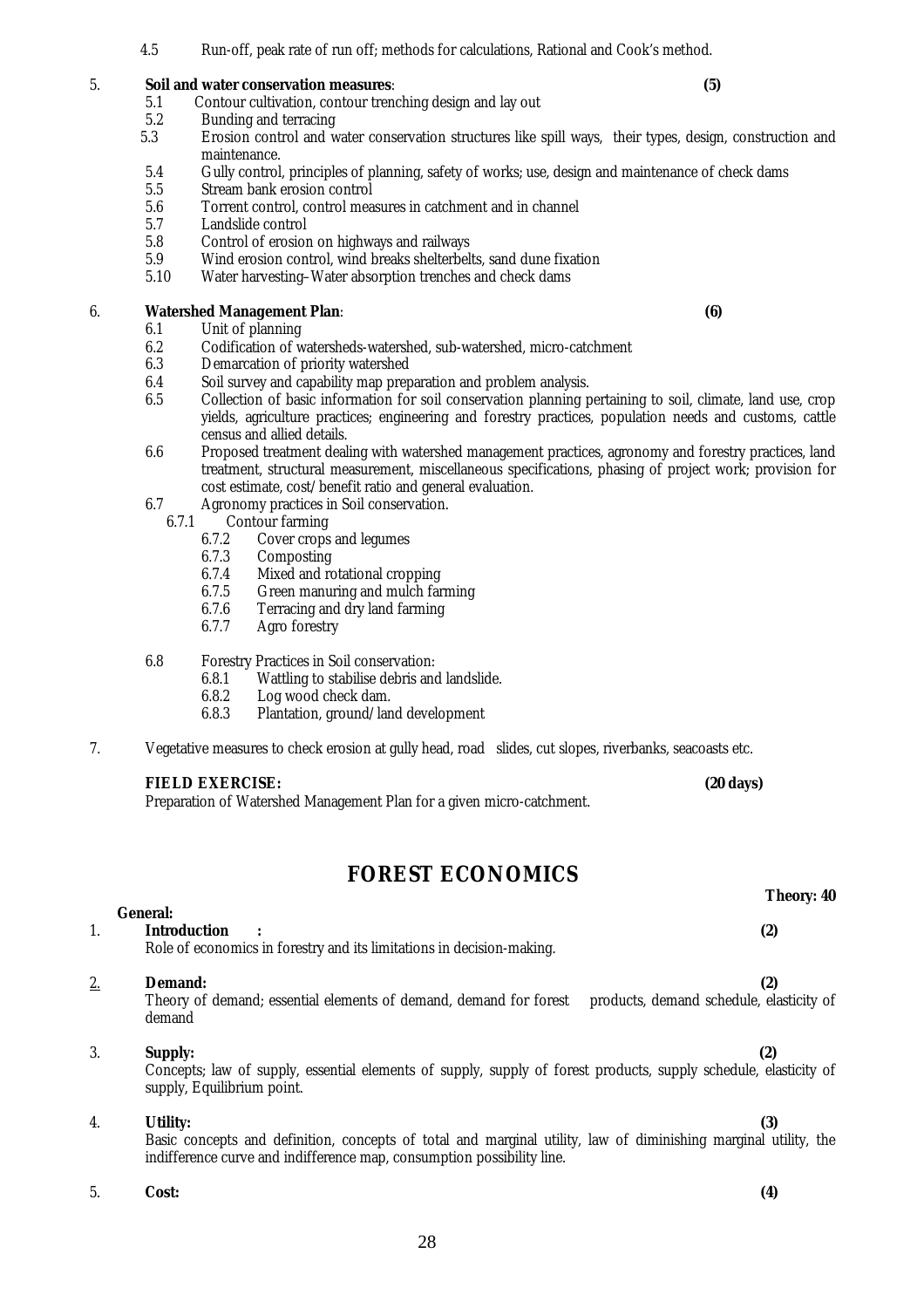4.5 Run-off, peak rate of run off; methods for calculations, Rational and Cook's method.

### 5. **Soil and water conservation measures**: **(5)**

- 5.1 Contour cultivation, contour trenching design and lay out 5.2 Bunding and terracing
- 5.2 Bunding and terracing<br>5.3 Erosion control and w
- 5.3 Erosion control and water conservation structures like spill ways, their types, design, construction and maintenance.
- 5.4 Gully control, principles of planning, safety of works; use, design and maintenance of check dams<br>5.5 Stream bank erosion control
- 5.5 Stream bank erosion control<br>5.6 Torrent control. control mea
- 5.6 Torrent control, control measures in catchment and in channel<br>5.7 Landslide control
- 5.7 Landslide control<br>5.8 Control of erosion
- 5.8 Control of erosion on highways and railways<br>5.9 Wind erosion control, wind breaks shelterbel
- 5.9 Wind erosion control, wind breaks shelterbelts, sand dune fixation<br>5.10 Water harvesting–Water absorption trenches and check dams
- 5.10 Water harvesting–Water absorption trenches and check dams

### 6. **Watershed Management Plan**: **(6)**

- 6.1 Unit of planning<br>6.2 Codification of w
- 6.2 Codification of watersheds-watershed, sub-watershed, micro-catchment
- 6.3 Demarcation of priority watershed<br>6.4 Soil survey and capability map prep
- 6.4 Soil survey and capability map preparation and problem analysis.<br>6.5 Collection of basic information for soil conservation planning p
- 6.5 Collection of basic information for soil conservation planning pertaining to soil, climate, land use, crop yields, agriculture practices; engineering and forestry practices, population needs and customs, cattle census and allied details.
- 6.6 Proposed treatment dealing with watershed management practices, agronomy and forestry practices, land treatment, structural measurement, miscellaneous specifications, phasing of project work; provision for cost estimate, cost/benefit ratio and general evaluation.
- 6.7 Agronomy practices in Soil conservation.<br>6.7.1 Contour farming
	- - **Contour farming**<br>6.7.2 Cover crops 6.7.2 Cover crops and legumes<br>6.7.3 Composting
			- **Composting**
			- 6.7.4 Mixed and rotational cropping<br>6.7.5 Green manuring and mulch far
			- Green manuring and mulch farming
			- 6.7.6 Terracing and dry land farming
			- 6.7.7 Agro forestry
- 6.8 Forestry Practices in Soil conservation:
	- 6.8.1 Wattling to stabilise debris and landslide.
	- 6.8.2 Log wood check dam.<br>6.8.3 Plantation, ground/lan
	- Plantation, ground/land development
- 7. Vegetative measures to check erosion at gully head, road slides, cut slopes, riverbanks, seacoasts etc.

### **FIELD EXERCISE:** (20 days)

Preparation of Watershed Management Plan for a given micro-catchment.

# **FOREST ECONOMICS**

| 1. | <b>Introduction</b><br>Role of economics in forestry and its limitations in decision-making.                                                                     | (2) |
|----|------------------------------------------------------------------------------------------------------------------------------------------------------------------|-----|
| 2. | <b>Demand:</b><br>products, demand schedule, elasticity of<br>Theory of demand; essential elements of demand, demand for forest<br>demand                        | (2) |
| 3. | <b>Supply:</b><br>Concepts; law of supply, essential elements of supply, supply of forest products, supply schedule, elasticity of<br>supply, Equilibrium point. | (2) |
| 4. | Utilitv:                                                                                                                                                         | (3) |

Basic concepts and definition, concepts of total and marginal utility, law of diminishing marginal utility, the indifference curve and indifference map, consumption possibility line.

5. **Cost: (4)**

**General:**

**Theory: 40**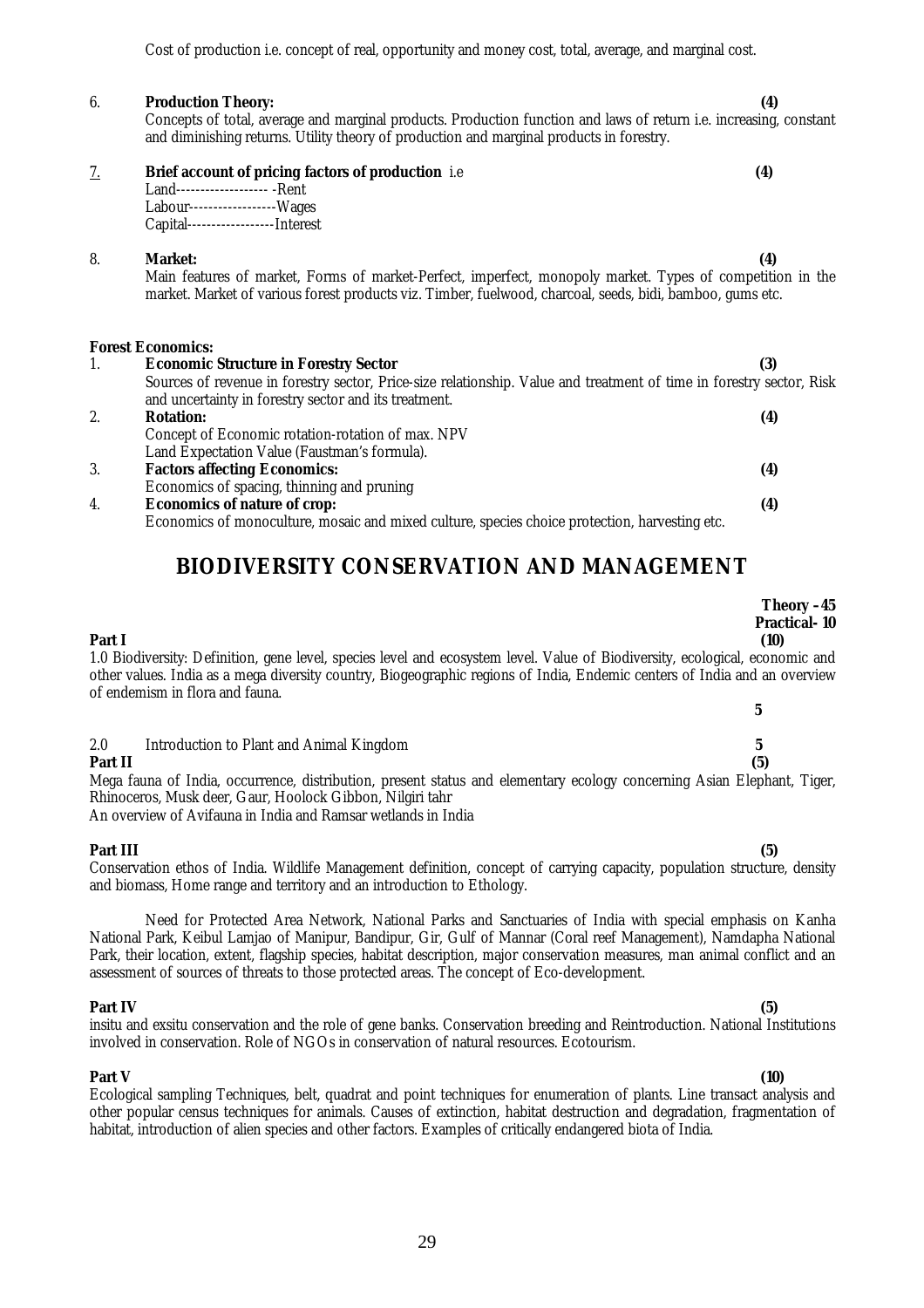Cost of production i.e. concept of real, opportunity and money cost, total, average, and marginal cost.

| <b>Production Theory:</b> | (4) |  |
|---------------------------|-----|--|
|                           |     |  |

Concepts of total, average and marginal products. Production function and laws of return i.e. increasing, constant and diminishing returns. Utility theory of production and marginal products in forestry.

### 7. **Brief account of pricing factors of production** i.e **(4)**

| Land--------------------- - Rent    |  |
|-------------------------------------|--|
| Labour--------------------Wages     |  |
| Capital--------------------Interest |  |

### 8. **Market: (4)**

Main features of market, Forms of market-Perfect, imperfect, monopoly market. Types of competition in the market. Market of various forest products viz. Timber, fuelwood, charcoal, seeds, bidi, bamboo, gums etc.

### **Forest Economics:**

| 1. | <b>Economic Structure in Forestry Sector</b>                                                                         | (3)              |
|----|----------------------------------------------------------------------------------------------------------------------|------------------|
|    | Sources of revenue in forestry sector, Price-size relationship. Value and treatment of time in forestry sector, Risk |                  |
|    | and uncertainty in forestry sector and its treatment.                                                                |                  |
| 2. | <b>Rotation:</b>                                                                                                     | $\left(4\right)$ |
|    | Concept of Economic rotation-rotation of max. NPV                                                                    |                  |
|    | Land Expectation Value (Faustman's formula).                                                                         |                  |
| 3. | <b>Factors affecting Economics:</b>                                                                                  | $\left(4\right)$ |
|    | Economics of spacing, thinning and pruning                                                                           |                  |
| 4. | <b>Economics of nature of crop:</b>                                                                                  | $\left(4\right)$ |

Economics of monoculture, mosaic and mixed culture, species choice protection, harvesting etc.

# **BIODIVERSITY CONSERVATION AND MANAGEMENT**

|                                                                                                                                                                                                                                                                                              | Theory $-45$        |  |
|----------------------------------------------------------------------------------------------------------------------------------------------------------------------------------------------------------------------------------------------------------------------------------------------|---------------------|--|
|                                                                                                                                                                                                                                                                                              | <b>Practical-10</b> |  |
| Part I                                                                                                                                                                                                                                                                                       | (10)                |  |
| 1.0 Biodiversity: Definition, gene level, species level and ecosystem level. Value of Biodiversity, ecological, economic and<br>other values. India as a mega diversity country, Biogeographic regions of India, Endemic centers of India and an overview<br>of endemism in flora and fauna. |                     |  |
|                                                                                                                                                                                                                                                                                              |                     |  |
| <b>Introduction to Plant and Animal Kingdom</b><br>2.0                                                                                                                                                                                                                                       |                     |  |
| <b>Part II</b>                                                                                                                                                                                                                                                                               | (5)                 |  |
| Mega fauna of India occurrence distribution present status and elementary ecology concerning Asian Flenhant Tiger                                                                                                                                                                            |                     |  |

lia, occurrence, distribution, present status and elementary ecology concerning Asian Elephant, Tiger, Rhinoceros, Musk deer, Gaur, Hoolock Gibbon, Nilgiri tahr An overview of Avifauna in India and Ramsar wetlands in India

**Part III (5)** Conservation ethos of India. Wildlife Management definition, concept of carrying capacity, population structure, density and biomass, Home range and territory and an introduction to Ethology.

Need for Protected Area Network, National Parks and Sanctuaries of India with special emphasis on Kanha National Park, Keibul Lamjao of Manipur, Bandipur, Gir, Gulf of Mannar (Coral reef Management), Namdapha National Park, their location, extent, flagship species, habitat description, major conservation measures, man animal conflict and an assessment of sources of threats to those protected areas. The concept of Eco-development.

**Part IV (5)** insitu and exsitu conservation and the role of gene banks. Conservation breeding and Reintroduction. National Institutions involved in conservation. Role of NGOs in conservation of natural resources. Ecotourism.

### **Part V (10)**

Ecological sampling Techniques, belt, quadrat and point techniques for enumeration of plants. Line transact analysis and other popular census techniques for animals. Causes of extinction, habitat destruction and degradation, fragmentation of habitat, introduction of alien species and other factors. Examples of critically endangered biota of India.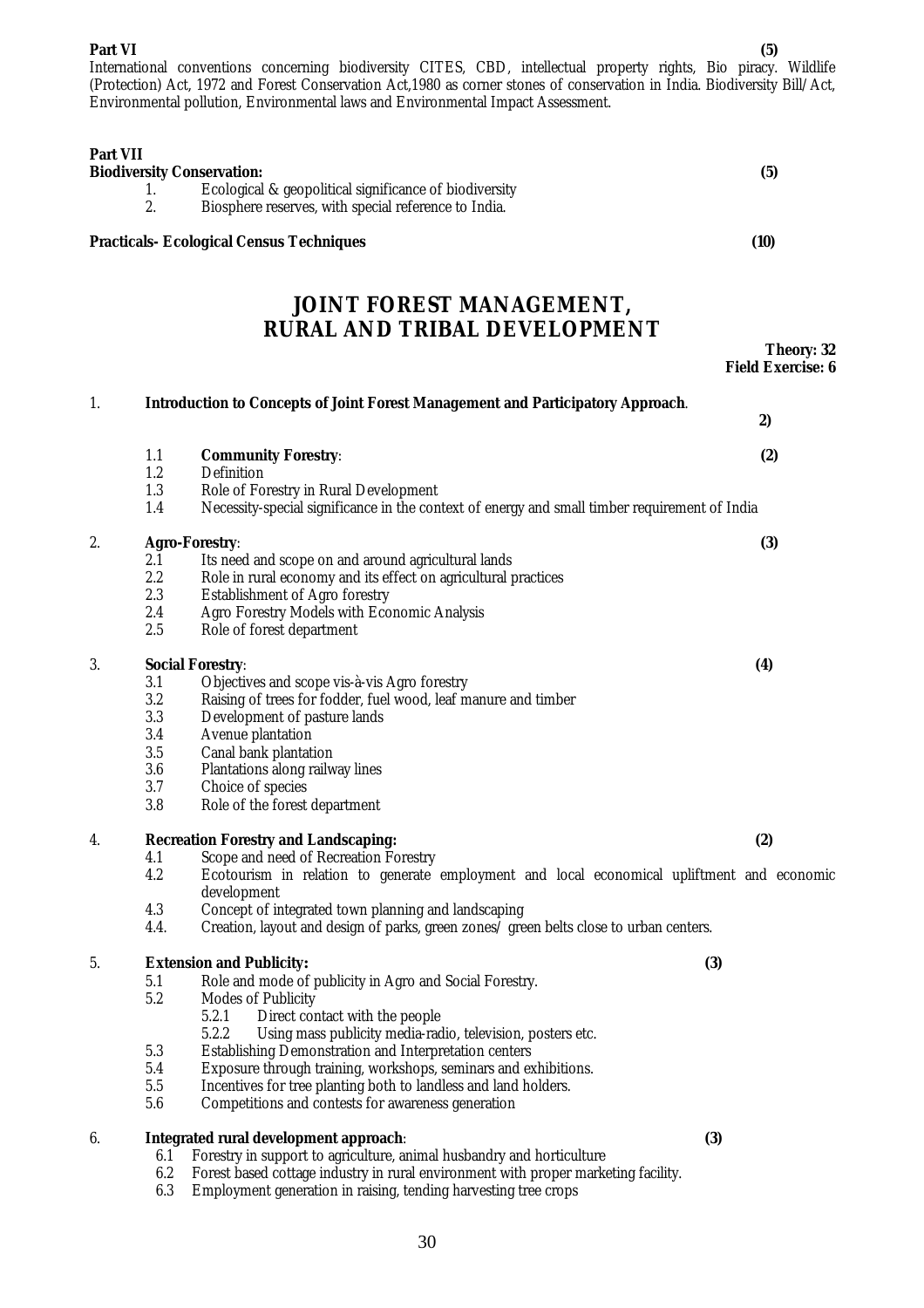**Part VI (5)** International conventions concerning biodiversity CITES, CBD, intellectual property rights, Bio piracy. Wildlife (Protection) Act, 1972 and Forest Conservation Act,1980 as corner stones of conservation in India. Biodiversity Bill/Act, Environmental pollution, Environmental laws and Environmental Impact Assessment.

| <b>Part VII</b><br><b>Biodiversity Conservation:</b> |                                                                                                                | (5) |
|------------------------------------------------------|----------------------------------------------------------------------------------------------------------------|-----|
| 2.                                                   | Ecological & geopolitical significance of biodiversity<br>Biosphere reserves, with special reference to India. |     |
| <b>Practicals-Ecological Census Techniques</b>       | (10)                                                                                                           |     |

### **JOINT FOREST MANAGEMENT, RURAL AND TRIBAL DEVELOPMENT**

|    |                       |                                                                                                                                              | <b>Theory: 32</b><br><b>Field Exercise: 6</b> |
|----|-----------------------|----------------------------------------------------------------------------------------------------------------------------------------------|-----------------------------------------------|
| 1. |                       | <b>Introduction to Concepts of Joint Forest Management and Participatory Approach.</b>                                                       | 2)                                            |
|    | 1.1                   | <b>Community Forestry:</b>                                                                                                                   | (2)                                           |
|    | 1.2                   | Definition                                                                                                                                   |                                               |
|    | 1.3                   | Role of Forestry in Rural Development                                                                                                        |                                               |
|    | 1.4                   | Necessity-special significance in the context of energy and small timber requirement of India                                                |                                               |
| 2. | <b>Agro-Forestry:</b> |                                                                                                                                              | (3)                                           |
|    | 2.1                   | Its need and scope on and around agricultural lands                                                                                          |                                               |
|    | 2.2                   | Role in rural economy and its effect on agricultural practices                                                                               |                                               |
|    | 2.3                   | <b>Establishment of Agro forestry</b>                                                                                                        |                                               |
|    | 2.4                   | Agro Forestry Models with Economic Analysis                                                                                                  |                                               |
|    | 2.5                   | Role of forest department                                                                                                                    |                                               |
| 3. |                       | <b>Social Forestry:</b>                                                                                                                      | (4)                                           |
|    | 3.1                   | Objectives and scope vis-à-vis Agro forestry                                                                                                 |                                               |
|    | 3.2                   | Raising of trees for fodder, fuel wood, leaf manure and timber                                                                               |                                               |
|    | 3.3                   | Development of pasture lands                                                                                                                 |                                               |
|    | 3.4                   | Avenue plantation                                                                                                                            |                                               |
|    | $3.5\,$               | Canal bank plantation                                                                                                                        |                                               |
|    | 3.6<br>3.7            | Plantations along railway lines                                                                                                              |                                               |
|    | 3.8                   | Choice of species<br>Role of the forest department                                                                                           |                                               |
|    |                       |                                                                                                                                              |                                               |
| 4. |                       | <b>Recreation Forestry and Landscaping:</b>                                                                                                  | (2)                                           |
|    | 4.1                   | Scope and need of Recreation Forestry                                                                                                        |                                               |
|    | 4.2                   | Ecotourism in relation to generate employment and local economical upliftment and economic                                                   |                                               |
|    | 4.3                   | development                                                                                                                                  |                                               |
|    | 4.4.                  | Concept of integrated town planning and landscaping<br>Creation, layout and design of parks, green zones/green belts close to urban centers. |                                               |
|    |                       |                                                                                                                                              |                                               |
| 5. |                       | <b>Extension and Publicity:</b>                                                                                                              | (3)                                           |
|    | 5.1                   | Role and mode of publicity in Agro and Social Forestry.                                                                                      |                                               |
|    | 5.2                   | <b>Modes of Publicity</b>                                                                                                                    |                                               |
|    |                       | Direct contact with the people<br>5.2.1                                                                                                      |                                               |
|    |                       | 5.2.2<br>Using mass publicity media-radio, television, posters etc.                                                                          |                                               |
|    | $5.3\,$<br>5.4        | <b>Establishing Demonstration and Interpretation centers</b><br>Exposure through training, workshops, seminars and exhibitions.              |                                               |
|    | 5.5                   | Incentives for tree planting both to landless and land holders.                                                                              |                                               |
|    | 5.6                   | Competitions and contests for awareness generation                                                                                           |                                               |
|    |                       |                                                                                                                                              |                                               |
| 6. |                       | Integrated rural development approach:                                                                                                       | (3)                                           |
|    | 6.1                   | Forestry in support to agriculture, animal husbandry and horticulture                                                                        |                                               |
|    | 6.2                   | Forest based cottage industry in rural environment with proper marketing facility.                                                           |                                               |
|    | 6.3                   | Employment generation in raising, tending harvesting tree crops                                                                              |                                               |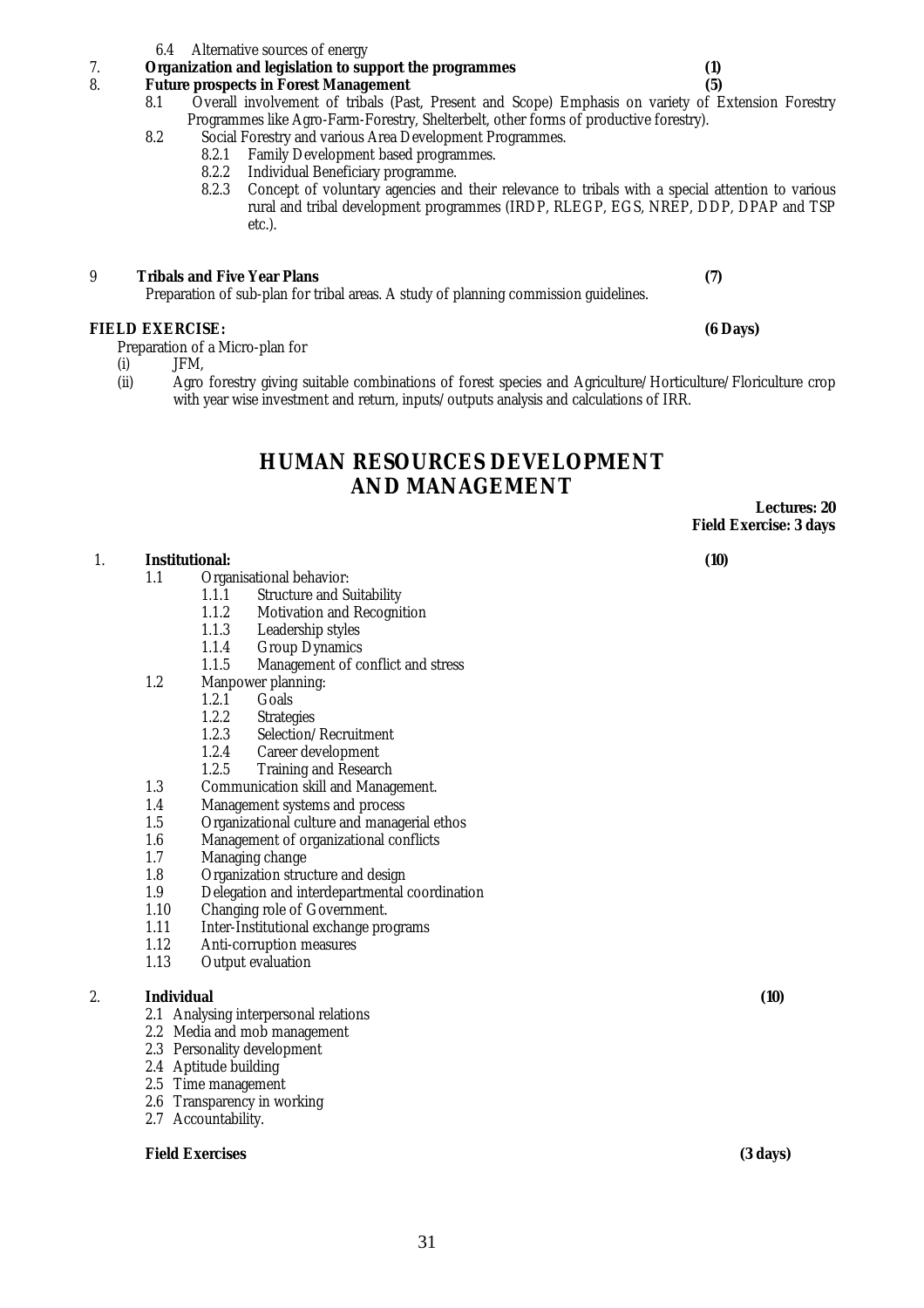- 6.4 Alternative sources of energy
- 7. **Organization and legislation to support the programmes (1)**

### 8. **Future prospects in Forest Management (5)**

- 8.1 Overall involvement of tribals (Past, Present and Scope) Emphasis on variety of Extension Forestry Programmes like Agro-Farm-Forestry, Shelterbelt, other forms of productive forestry).
- 8.2 Social Forestry and various Area Development Programmes.
	- 8.2.1 Family Development based programmes.
	- 8.2.2 Individual Beneficiary programme.<br>8.2.3 Concept of voluntary agencies and
	- 8.2.3 Concept of voluntary agencies and their relevance to tribals with a special attention to various rural and tribal development programmes (IRDP, RLEGP, EGS, NREP, DDP, DPAP and TSP etc.).

### 9 **Tribals and Five Year Plans (7)**

Preparation of sub-plan for tribal areas. A study of planning commission guidelines.

### **FIELD EXERCISE: (6 Days)**

Preparation of a Micro-plan for

(i) JFM,

Agro forestry giving suitable combinations of forest species and Agriculture/Horticulture/Floriculture crop with year wise investment and return, inputs/outputs analysis and calculations of IRR.

### **HUMAN RESOURCES DEVELOPMENT AND MANAGEMENT**

**Lectures: 20 Field Exercise: 3 days**

### 1. **Institutional: (10)**

- 1.1 Organisational behavior:
	- 1.1.1 Structure and Suitability
	- 1.1.2 Motivation and Recognition<br>1.1.3 Leadership styles
	- 1.1.3 Leadership styles<br>1.1.4 Group Dynamics
	- **Group Dynamics**
	- 1.1.5 Management of conflict and stress
- 1.2 Manpower planning:
	- 1.2.1 Goals
	- 1.2.2 Strategies
	- 1.2.3 Selection/Recruitment
	-
	- 1.2.4 Career development<br>1.2.5 Training and Researd Training and Research
- 1.3 Communication skill and Management.
- 1.4 Management systems and process
- 1.5 Organizational culture and managerial ethos<br>1.6 Management of organizational conflicts
- Management of organizational conflicts
- 1.7 Managing change
- 1.8 Organization structure and design
- 1.9 Delegation and interdepartmental coordination
- 1.10 Changing role of Government.
- 1.11 Inter-Institutional exchange programs
- 1.12 Anti-corruption measures
- 1.13 Output evaluation

### 2. **Individual (10)**

- 2.1 Analysing interpersonal relations
- 2.2 Media and mob management
- 2.3 Personality development
- 2.4 Aptitude building
- 2.5 Time management
- 2.6 Transparency in working
- 2.7 Accountability.

### **Field Exercises (3 days)**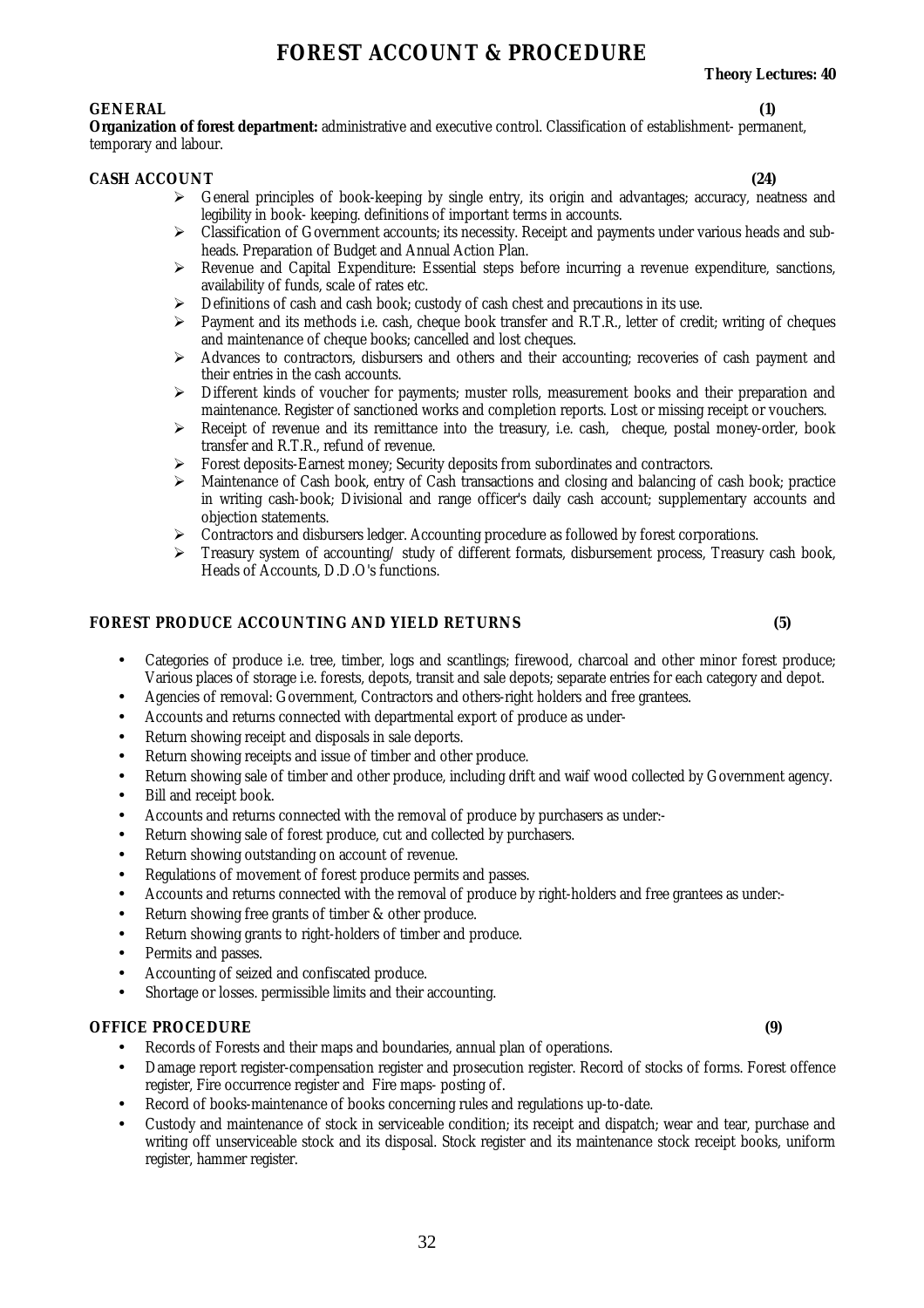# **FOREST ACCOUNT & PROCEDURE**

### **Theory Lectures: 40**

**GENERAL (1) Organization of forest department:** administrative and executive control. Classification of establishment- permanent, temporary and labour.

### **CASH ACCOUNT (24)**

- $\triangleright$  General principles of book-keeping by single entry, its origin and advantages; accuracy, neatness and legibility in book- keeping. definitions of important terms in accounts.
- ! Classification of Government accounts; its necessity. Receipt and payments under various heads and subheads. Preparation of Budget and Annual Action Plan.
- $\triangleright$  Revenue and Capital Expenditure: Essential steps before incurring a revenue expenditure, sanctions, availability of funds, scale of rates etc.
- $\triangleright$  Definitions of cash and cash book; custody of cash chest and precautions in its use.
- $\triangleright$  Payment and its methods i.e. cash, cheque book transfer and R.T.R., letter of credit; writing of cheques and maintenance of cheque books; cancelled and lost cheques.
- $\triangleright$  Advances to contractors, disbursers and others and their accounting; recoveries of cash payment and their entries in the cash accounts.
- $\triangleright$  Different kinds of voucher for payments; muster rolls, measurement books and their preparation and maintenance. Register of sanctioned works and completion reports. Lost or missing receipt or vouchers.
- $\triangleright$  Receipt of revenue and its remittance into the treasury, i.e. cash, cheque, postal money-order, book transfer and R.T.R., refund of revenue.
- ! Forest deposits-Earnest money; Security deposits from subordinates and contractors.
- $\triangleright$  Maintenance of Cash book, entry of Cash transactions and closing and balancing of cash book; practice in writing cash-book; Divisional and range officer's daily cash account; supplementary accounts and objection statements.
- > Contractors and disbursers ledger. Accounting procedure as followed by forest corporations.
- $\triangleright$  Treasury system of accounting/ study of different formats, disbursement process, Treasury cash book, Heads of Accounts, D.D.O's functions.

### **FOREST PRODUCE ACCOUNTING AND YIELD RETURNS (5)**

- Categories of produce i.e. tree, timber, logs and scantlings; firewood, charcoal and other minor forest produce; Various places of storage i.e. forests, depots, transit and sale depots; separate entries for each category and depot.
- Agencies of removal: Government, Contractors and others-right holders and free grantees.
- Accounts and returns connected with departmental export of produce as under-
- Return showing receipt and disposals in sale deports.
- Return showing receipts and issue of timber and other produce.
- Return showing sale of timber and other produce, including drift and waif wood collected by Government agency.
- Bill and receipt book.
- Accounts and returns connected with the removal of produce by purchasers as under:-
- Return showing sale of forest produce, cut and collected by purchasers.
- Return showing outstanding on account of revenue.
- Regulations of movement of forest produce permits and passes.
- Accounts and returns connected with the removal of produce by right-holders and free grantees as under:-
- Return showing free grants of timber & other produce.
- Return showing grants to right-holders of timber and produce.
- Permits and passes.
- Accounting of seized and confiscated produce.
- Shortage or losses. permissible limits and their accounting.

### **OFFICE PROCEDURE (9)**

- Records of Forests and their maps and boundaries, annual plan of operations.
- Damage report register-compensation register and prosecution register. Record of stocks of forms. Forest offence register, Fire occurrence register and Fire maps- posting of.
- Record of books-maintenance of books concerning rules and regulations up-to-date.
- Custody and maintenance of stock in serviceable condition; its receipt and dispatch; wear and tear, purchase and writing off unserviceable stock and its disposal. Stock register and its maintenance stock receipt books, uniform register, hammer register.